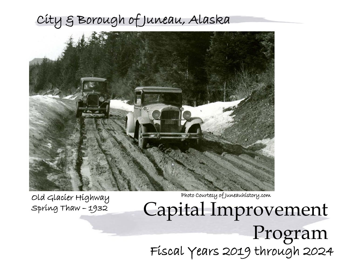# City & Borough of Juneau, Alaska



Photo Courtesy of Juneauhistory.com

Capital Improvement Program Fiscal Years 2019 through 2024

Old Glacier Highway Spring Thaw – 1932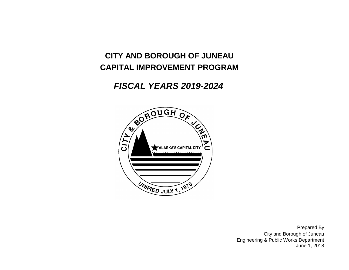# **CITY AND BOROUGH OF JUNEAU CAPITAL IMPROVEMENT PROGRAM**

# *FISCAL YEARS 2019-2024*



June 1, 2018 City and Borough of Juneau Prepared By Engineering & Public Works Department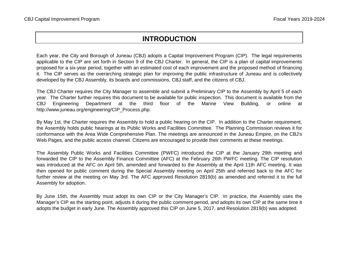# **INTRODUCTION**

Each year, the City and Borough of Juneau (CBJ) adopts a Capital Improvement Program (CIP). The legal requirements applicable to the CIP are set forth in Section 9 of the CBJ Charter. In general, the CIP is a plan of capital improvements proposed for a six-year period, together with an estimated cost of each improvement and the proposed method of financing it. The CIP serves as the overarching strategic plan for improving the public infrastructure of Juneau and is collectively developed by the CBJ Assembly, its boards and commissions, CBJ staff, and the citizens of CBJ.

The CBJ Charter requires the City Manager to assemble and submit a Preliminary CIP to the Assembly by April 5 of each year. The Charter further requires this document to be available for public inspection. This document is available from the CBJ Engineering Department at the third floor of the Marine View Building, or online at http://www.juneau.org/engineering/CIP\_Process.php.

By May 1st, the Charter requires the Assembly to hold a public hearing on the CIP. In addition to the Charter requirement, the Assembly holds public hearings at its Public Works and Facilities Committee. The Planning Commission reviews it for conformance with the Area Wide Comprehensive Plan. The meetings are announced in the Juneau Empire, on the CBJ's Web Pages, and the public access channel. Citizens are encouraged to provide their comments at these meetings.

The Assembly Public Works and Facilities Committee (PWFC) introduced the CIP at the January 29th meeting and forwarded the CIP to the Assembly Finance Committee (AFC) at the February 26th PWFC meeting. The CIP resolution was introduced at the AFC on April 5th, amended and forwarded to the Assembly at the April 11th AFC meeting. It was then opened for public comment during the Special Assembly meeting on April 25th and referred back to the AFC for further review at the meeting on May 3rd. The AFC approved Resolution 2819(b) as amended and referred it to the full Assembly for adoption.

By June 15th, the Assembly must adopt its own CIP or the City Manager's CIP. In practice, the Assembly uses the Manager's CIP as the starting point, adjusts it during the public comment period, and adopts its own CIP at the same time it adopts the budget in early June. The Assembly approved this CIP on June 5, 2017, and Resolution 2819(b) was adopted.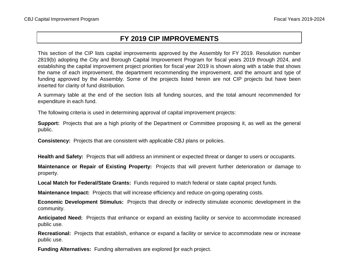# **FY 2019 CIP IMPROVEMENTS**

This section of the CIP lists capital improvements approved by the Assembly for FY 2019. Resolution number 2819(b) adopting the City and Borough Capital Improvement Program for fiscal years 2019 through 2024, and establishing the capital improvement project priorities for fiscal year 2019 is shown along with a table that shows the name of each improvement, the department recommending the improvement, and the amount and type of funding approved by the Assembly. Some of the projects listed herein are not CIP projects but have been inserted for clarity of fund distribution.

A summary table at the end of the section lists all funding sources, and the total amount recommended for expenditure in each fund.

The following criteria is used in determining approval of capital improvement projects:

**Support:** Projects that are a high priority of the Department or Committee proposing it, as well as the general public.

**Consistency:** Projects that are consistent with applicable CBJ plans or policies.

**Health and Safety:** Projects that will address an imminent or expected threat or danger to users or occupants.

**Maintenance or Repair of Existing Property:** Projects that will prevent further deterioration or damage to property.

**Local Match for Federal/State Grants:** Funds required to match federal or state capital project funds.

**Maintenance Impact:** Projects that will increase efficiency and reduce on-going operating costs.

**Economic Development Stimulus:** Projects that directly or indirectly stimulate economic development in the community.

**Anticipated Need:** Projects that enhance or expand an existing facility or service to accommodate increased public use.

**Recreational:** Projects that establish, enhance or expand a facility or service to accommodate new or increase public use.

**Funding Alternatives:** Funding alternatives are explored for each project.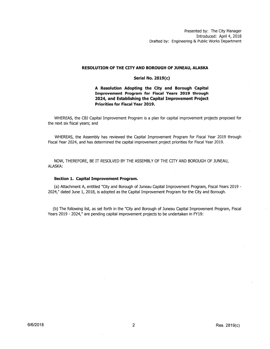Presented by: The City Manager Introduced: April 4, 2018 Drafted by: Engineering & Public Works Department

### **RESOLUTION OF THE CITY AND BOROUGH OF JUNEAU, ALASKA**

### Serial No. 2819(c)

# **A Resolution Adopting the City and Borough Capital Improvement Program for Fiscal Years 2019 through 2024, and Establishing the Capital Improvement Project Priorities for Fiscal Year 2019.**

WHEREAS, the CBJ Capital Improvement Program is a plan for capital improvement projects proposed for the next six fiscal years; and

WHEREAS, the Assembly has reviewed the Capital Improvement Program for Fiscal Year 2019 through Fiscal Year 2024, and has determined the capital improvement project priorities for Fiscal Year 2019.

NOW, THEREFORE, BE IT RESOLVED BY THE ASSEMBLY OF THE CITY AND BOROUGH OF JUNEAU, ALASKA:

### **Section 1. Capital Improvement Program.**

(a) Attachment A, entitled "City and Borough of Juneau capital Improvement Program, Fiscal Years 2019 - 2024," dated June 1, 2018, is adopted as the capital Improvement Program for the City and Borough.

(b) The following list, as set forth in the "City and Borough of Juneau Capital Improvement Program, Fiscal Years 2019 - 2024," are pending capital improvement projects to be undertaken in FY19: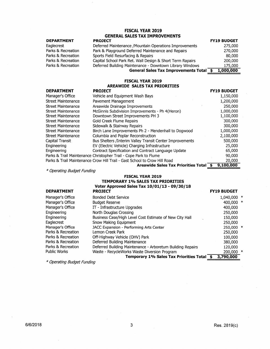# **FISCAL YEAR 2019 GENERAL SALES TAX IMPROVEMENTS**

## **DEPARTMENT**

Eaglecrest Parks & Recreation Parks & Recreation Parks & Recreation Parks & Recreation

| <b>PROJECT</b>                                            | <b>FY19 BUDGET</b> |
|-----------------------------------------------------------|--------------------|
| Deferred Maintenance / Mountain Operations Improvements   | 275,000            |
| Park & Playground Deferred Maintenance and Repairs        | 270,000            |
| Sports Field Resurfacing & Repairs                        | 80,000             |
| Capital School Park Ret. Wall Design & Short Term Rapairs | 200,000            |
| Deferred Building Maintenance - Downtown Library Windows  | 175,000            |
| General Sales Tax Improvements Total \$                   | 1,000,000          |

# **FISCAL YEAR 2019 AREAWIDE SALES TAX PRIORITIES**

| <b>DEPARTMENT</b> |  |
|-------------------|--|
|-------------------|--|

| <b>DEPARTMENT</b>         | <b>PROJECT</b>                                                            | <b>FY19 BUDGET</b> |
|---------------------------|---------------------------------------------------------------------------|--------------------|
| Manager's Office          | Vehicle and Equipment Wash Bays                                           | 1,150,000          |
| <b>Street Maintenance</b> | Pavement Management                                                       | 1,200,000          |
| <b>Street Maintenance</b> | Areawide Drainage Improvements                                            | 250,000            |
| <b>Street Maintenance</b> | McGinnis Subdivision Improvements - Ph 4(Heron)                           | 1,000,000          |
| <b>Street Maintenance</b> | Downtown Street Improvements PH 3                                         | 1,100,000          |
| <b>Street Maintenance</b> | Gold Creek Flume Repairs                                                  | 300,000            |
| <b>Street Maintenance</b> | Sidewalk & Stairway Repairs                                               | 300,000            |
| <b>Street Maintenance</b> | Birch Lane Improvements Ph 2 - Mendenhall to Dogwood                      | 1,000,000          |
| Street Maintenance        | Columbia and Poplar Reconstruction                                        | 2,100,000          |
| Capital Transit           | Bus Shelters / Interim Valley Transit Center Improvements                 | 500,000            |
| Engineering               | EV (Electric Vehicle) Charging Infrastructure                             | 25,000             |
| Engineering               | Contract Specification and Contract Language Update                       | 65,000             |
|                           | Parks & Trail Maintenance Christopher Trail - Cope Park to Flume          | 90,000             |
|                           | Parks & Trail Maintenance Crow Hill Trail - Gast School to Crow Hill Road | 20,000             |
|                           | Areawide Sales Tax Priorities Total \$                                    | 9,100,000          |

============ \* Operating Budget Funding

## **FISCAL YEAR 2019 TEMPORARY 1% SALES TAX PRIORITIES Voter Approved Sales Tax 10/01/13 - 09/30/18**

| <b>DEPARTMENT</b>  | <b>PROJECT</b>                                             | <b>FY19 BUDGET</b> |  |
|--------------------|------------------------------------------------------------|--------------------|--|
| Manager's Office   | <b>Bonded Debt Service</b>                                 | 1,040,000 *        |  |
| Manager's Office   | <b>Budget Reserve</b>                                      | 400,000 *          |  |
| Manager's Office   | IT - Infrastructure Upgrades                               | 400,000            |  |
| Engineering        | North Douglas Crossing                                     | 250,000            |  |
| Engineering        | Business Case/High Level Cost Estimate of New City Hall    | 150,000            |  |
| Eaglecrest         | Snow Making Equipment                                      | 250,000            |  |
| Manager's Office   | JACC Expansion - Performing Arts Center                    | 250,000 *          |  |
| Parks & Recreation | Lemon Creek Park                                           | 250,000            |  |
| Parks & Recreation | Off-Highway Vehicle (OHV) Park                             | 100,000            |  |
| Parks & Recreation | Deferred Building Maintenance                              | 380,000            |  |
| Parks & Recreation | Deferred Building Maintenance - Arboretum Building Repairs | 120,000            |  |
| Public Works       | Waste - RecycleWorks Waste Diversion Program               | $200,000$ *        |  |
|                    | Temporary 1% Sales Tax Priorities Total \$                 | 3,790,000          |  |

\* Operating Budget Funding ============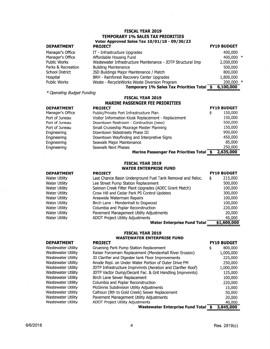# **FISCAL YEAR 2019 TEMPORARY 10/o SALES TAX PRIORITIES Voter Approved Sales Tax 10/01/18 - 09/30/23**

### **DEPARTMENT**

Manager's Office Manager's Office Public Works Parks & Recreation School District Hospital Public Works

**DEPARTMENT**  Water Utility Water Utility Water Utility Water Utility Water Utility Water Utility Water Utility Water Utility Water Utility

| <b>PROJECT</b>                                              | <b>FY19 BUDGET</b> |   |
|-------------------------------------------------------------|--------------------|---|
| IT - Infrastructure Upgrades                                | 400,000            |   |
| Affordable Housing Fund                                     | 400,000            | ∗ |
| Wastewater Infrastructure Maintenance - JDTP Structural Imp | 2,000,000          |   |
| <b>Building Maintenance</b>                                 | 500,000            |   |
| JSD Buildings Major Maintenance / Match                     | 800,000            |   |
| BRH - Rainforest Recovery Center Upgrades                   | 1,800,000          |   |
| Waste - RecycleWorks Waste Diversion Program                | 200,000            | ∗ |
| Temporary 1% Sales Tax Priorities Total \$                  | 6,100,000          |   |

\* Operating Budget Funding ============

# **FISCAL YEAR 2019 MARINE PASSENGER FEE PRIORITIES**

| <b>DEPARTMENT</b> | <b>PROJECT</b>                                      | <b>FY19 BUDGET</b> |
|-------------------|-----------------------------------------------------|--------------------|
| Manager's Office  | Public/Private Port Infrastructure Plan             | \$<br>150,000      |
| Port of Juneau    | Visitor Information Kiosk Replacement - Replacement | 150,000            |
| Port of Juneau    | Downtown Restroom - Contruction (new)               | 500,000            |
| Port of Juneau    | Small Cruiseship Moorage Master Planning            | 150,000            |
| Engineering       | Downtown Sidestreets Phase III                      | 900,000            |
| Engineering       | Downtown Wayfinding and Interpretive Signs          | 450,000            |
| Engineering       | Seawalk Major Maintenance                           | 85,000             |
| Engineering       | Seawalk Next Phases                                 | 250,000            |
|                   | Marine Passenger Fee Priorities Total \$            | 2,635,000          |

# **FISCAL YEAR 2019**

# **WATER ENTERPRISE FUND**

| <b>PROJECT</b>                                             | <b>FY19 BUDGET</b> |
|------------------------------------------------------------|--------------------|
| Last Chance Basin Underground Fuel Tank Removal and Reloc. | 215,000<br>\$      |
| Lee Street Pump Station Replacement                        | 500,000            |
| Salmon Creek Filter Plant Upgrades (ADEC Grant Match)      | 100,000            |
| Crow Hill and Cedar Park PS Control Updates                | 300,000            |
| Areawide Watermain Repairs                                 | 100,000            |
| Birch Lane - Mendenhall to Dogwood                         | 100,000            |
| Columbia and Poplar Reconstruction                         | 220,000            |
| Pavement Management Utility Adjustments                    | 20,000             |
| <b>ADOT Project Utility Adjustments</b>                    | 45,000             |
| <b>Water Enterprise Fund Total</b>                         | \$1,600,000        |

### **FISCAL YEAR 2019 WASTEWATER ENTERPRISE FUND**

#### **DEPARTMENT**  Wastewater Utility Wastewater Utility Wastewater Utility Wastewater Utility Wastewater Utility Wastewater Utility Wastewater Utility Wastewater Utility Wastewater Utility Wastewater Utility Wastewater Utility Wastewater Utility **PROJECT**  Gruening Park Pump Station Replacement Kaiser Forcemain Replacement (Mendenhall River Erosion) JD Clarifier and Digester tank Floor Improvements Anode Repl. on Under Water Portion of Outer Drive FM JDTP Infrastructure Imprvmnts (Aeration and Clarifier Roof) JDTP Vactor Dump/Decant Fae. & Grit Handling Imprvmnts) Birch Lane Sewer Replacement Columbia and Poplar Reconstruction McGinnis Subdivision Utility Adjustments Calhoun (8th to Gold Creek) Sewer Replacement Pavement Management Utility Adjustments ADOT Project Utility Adjustments **Wastewater Enterprise Fund Total**

**FY19 BUDGET**  \$ 800,000 1,000,000 225,000 250,000 1,000,000 125,000 100,000 220,000 15,000 50,000 20,000 40,000 \$ **3,845,000**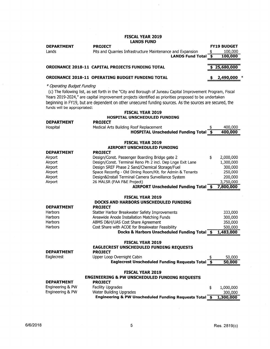### **FISCAL YEAR 2019 LANDS FUND**

 $\bar{z}$ 

| <b>DEPARTMENT</b>                                         | <b>PROJECT</b>                                                                                                                                                                                                                                                                                                                   |             | <b>FY19 BUDGET</b>     |
|-----------------------------------------------------------|----------------------------------------------------------------------------------------------------------------------------------------------------------------------------------------------------------------------------------------------------------------------------------------------------------------------------------|-------------|------------------------|
| Lands                                                     | Pits and Quarries Infrastructure Maintenance and Expansion                                                                                                                                                                                                                                                                       | \$          | 100,000                |
|                                                           | <b>LANDS Fund Total</b>                                                                                                                                                                                                                                                                                                          | $\clubsuit$ | 100,000                |
|                                                           |                                                                                                                                                                                                                                                                                                                                  |             |                        |
|                                                           | ORDINANCE 2018-11 CAPITAL PROJECTS FUNDING TOTAL                                                                                                                                                                                                                                                                                 | \$          | 25,680,000             |
|                                                           | <b>ORDINANCE 2018-11 OPERATING BUDGET FUNDING TOTAL</b>                                                                                                                                                                                                                                                                          |             | 2,490,000              |
| * Operating Budget Funding<br>funds will be appropriated: | (c) The following list, as set forth in the "City and Borough of Juneau Capital Improvement Program, Fiscal<br>Years 2019-2024," are capital improvement projects identified as priorities proposed to be undertaken<br>beginning in FY19, but are dependent on other unsecured funding sources. As the sources are secured, the |             |                        |
|                                                           | <b>FISCAL YEAR 2019</b>                                                                                                                                                                                                                                                                                                          |             |                        |
|                                                           | HOSPITAL UNSCHEDULED FUNDING                                                                                                                                                                                                                                                                                                     |             |                        |
| <b>DEPARTMENT</b>                                         | <b>PROJECT</b>                                                                                                                                                                                                                                                                                                                   |             |                        |
| Hospital                                                  | Medical Arts Building Roof Replacement<br><b>HOSPITAL Unscheduled Funding Total \$</b>                                                                                                                                                                                                                                           |             | 400,000<br>400,000     |
|                                                           |                                                                                                                                                                                                                                                                                                                                  |             |                        |
|                                                           | <b>FISCAL YEAR 2019</b>                                                                                                                                                                                                                                                                                                          |             |                        |
|                                                           | AIRPORT UNSCHEDULED FUNDING                                                                                                                                                                                                                                                                                                      |             |                        |
| <b>DEPARTMENT</b>                                         | <b>PROJECT</b>                                                                                                                                                                                                                                                                                                                   |             |                        |
| Airport                                                   | Design/Const. Passenger Boarding Bridge gate 2                                                                                                                                                                                                                                                                                   | \$          | 2,000,000              |
| Airport                                                   | Design/Const. Terminal Reno Ph 2 incl. Dep Lnge Exit Lane                                                                                                                                                                                                                                                                        |             | 1,300,000              |
| Airport                                                   | Design SREF Phase 2 Sand/Chemical Storage/Fuel                                                                                                                                                                                                                                                                                   |             | 300,000                |
| Airport                                                   | Space Reconfig - Old Dining Room/Kit. for Admin & Tenants                                                                                                                                                                                                                                                                        |             | 250,000                |
| Airport                                                   | Design&Install Terminal Camera Surveillance System                                                                                                                                                                                                                                                                               |             | 200,000                |
| Airport                                                   | 26 MALSR (FAA F&E Project)                                                                                                                                                                                                                                                                                                       |             | 3,750,000<br>7,800,000 |
|                                                           | AIRPORT Unscheduled Funding Total \$                                                                                                                                                                                                                                                                                             |             |                        |
|                                                           | <b>FISCAL YEAR 2019</b>                                                                                                                                                                                                                                                                                                          |             |                        |
|                                                           | DOCKS AND HARBORS UNSCHEDULED FUNDING                                                                                                                                                                                                                                                                                            |             |                        |
| <b>DEPARTMENT</b>                                         | <b>PROJECT</b>                                                                                                                                                                                                                                                                                                                   |             |                        |
| <b>Harbors</b>                                            | Statter Harbor Breakwater Safety Improvements                                                                                                                                                                                                                                                                                    |             | 333,000                |
| Harbors                                                   | Areawide Anode Installation Matching Funds                                                                                                                                                                                                                                                                                       |             | 300,000                |
| <b>Harbors</b>                                            | ABMS D&H/UAS Cost Share Agreement                                                                                                                                                                                                                                                                                                |             | 350,000                |
| Harbors                                                   | Cost Share with ACOE for Breakwater Feasibility                                                                                                                                                                                                                                                                                  |             | 500,000                |
|                                                           | Docks & Harbors Unscheduled Funding Total \$                                                                                                                                                                                                                                                                                     |             | 1,483,000              |
|                                                           |                                                                                                                                                                                                                                                                                                                                  |             |                        |
|                                                           | <b>FISCAL YEAR 2019</b>                                                                                                                                                                                                                                                                                                          |             |                        |
|                                                           | <b>EAGLECREST UNSCHEDULED FUNDING REQUESTS</b>                                                                                                                                                                                                                                                                                   |             |                        |
| <b>DEPARTMENT</b>                                         | <b>PROJECT</b>                                                                                                                                                                                                                                                                                                                   |             |                        |
| Eaglecrest                                                | Upper Loop Overnight Cabin                                                                                                                                                                                                                                                                                                       |             | 50,000                 |
|                                                           | Eaglecrest Unscheduled Funding Requests Total \$                                                                                                                                                                                                                                                                                 |             | 50,000                 |
|                                                           | <b>FISCAL YEAR 2019</b>                                                                                                                                                                                                                                                                                                          |             |                        |
|                                                           | <b>ENGINEERING &amp; PW UNSCHEDULED FUNDING REQUESTS</b>                                                                                                                                                                                                                                                                         |             |                        |
| <b>DEPARTMENT</b>                                         | <b>PROJECT</b>                                                                                                                                                                                                                                                                                                                   |             |                        |
| Engineering & PW                                          | <b>Facility Upgrades</b>                                                                                                                                                                                                                                                                                                         | \$          | 1,000,000              |
| Engineering & PW                                          | Water Building Upgrades                                                                                                                                                                                                                                                                                                          |             | 300,000                |
|                                                           | Engineering & PW Unscheduled Funding Requests Total 5                                                                                                                                                                                                                                                                            |             | 1,300,000              |

 $\hat{\boldsymbol{\cdot}$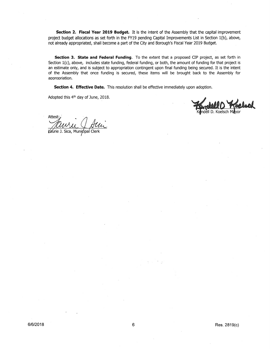**Section 2. Fiscal Year 2019 Budget.** It is the intent of the Assembly that the capital improvement project budget allocations as set forth in the FY19 pending Capital Improvements List in Section l(b), above, not already appropriated, shall become a part of the City and Borough's Fiscal Year 2019 Budget.

**Section 3. State and Federal Funding.** To the extent that a proposed CIP project, as set forth in Section 1(c), above, includes state funding, federal funding, or both, the amount of funding for that project is an estimate only, and is subject to appropriation contingent upon final funding being secured. It is the intent of the Assembly that once funding is secured, these items will be brought back to the Assembly for appropriation.

Section 4. Effective Date. This resolution shall be effective immediately upon adoption.

Adopted this 4th day of June, 2018.

II D. Koelsch

Attest

Vaurie J. Sica, Municipal Clerk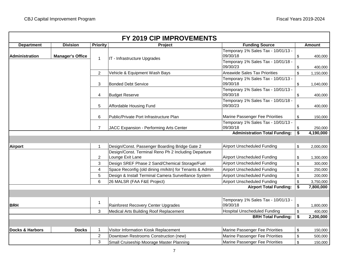| <b>Department</b>          | <b>Division</b>         | <b>Priority</b> | Project                                                 | <b>Funding Source</b>                                               | <b>Amount</b>   |
|----------------------------|-------------------------|-----------------|---------------------------------------------------------|---------------------------------------------------------------------|-----------------|
| <b>Administration</b>      | <b>Manager's Office</b> |                 |                                                         | Temporary 1% Sales Tax - 10/01/13 -<br>09/30/18                     | \$<br>400,000   |
|                            |                         | $\mathbf{1}$    | IT - Infrastructure Upgrades                            | Temporary 1% Sales Tax - 10/01/18 -<br>09/30/23                     | \$<br>400,000   |
|                            |                         | $\overline{c}$  | Vehicle & Equipment Wash Bays                           | <b>Areawide Sales Tax Priorities</b>                                | \$<br>1,150,000 |
|                            |                         | 3               | <b>Bonded Debt Service</b>                              | Temporary 1% Sales Tax - 10/01/13 -<br>09/30/18                     | \$<br>1,040,000 |
|                            |                         | 4               | <b>Budget Reserve</b>                                   | Temporary 1% Sales Tax - 10/01/13 -<br>09/30/18                     | \$<br>400,000   |
|                            |                         | 5               | Affordable Housing Fund                                 | Temporary 1% Sales Tax - 10/01/18 -<br>09/30/23                     | \$<br>400,000   |
|                            |                         | 6               | Public/Private Port Infrastructure Plan                 | Marine Passenger Fee Priorities                                     | \$<br>150,000   |
|                            |                         | $\overline{7}$  | JACC Expansion - Performing Arts Center                 | Temporary 1% Sales Tax - 10/01/13 -<br>09/30/18                     | \$<br>250,000   |
|                            |                         |                 |                                                         | <b>Administration Total Funding:</b>                                | \$<br>4,190,000 |
|                            |                         |                 |                                                         |                                                                     |                 |
| <b>Airport</b>             |                         | $\mathbf{1}$    | Design/Const. Passenger Boarding Bridge Gate 2          | <b>Airport Unscheduled Funding</b>                                  | \$<br>2,000,000 |
|                            |                         |                 | Design/Const. Terminal Reno Ph 2 Including Departure    |                                                                     |                 |
|                            |                         | $\overline{c}$  | Lounge Exit Lane                                        | <b>Airport Unscheduled Funding</b>                                  | \$<br>1,300,000 |
|                            |                         | 3               | Design SREF Phase 2 Sand/Chemical Storage/Fuel          | <b>Airport Unscheduled Funding</b>                                  | \$<br>300,000   |
|                            |                         | 4               | Space Reconfig (old dining rm/kitn) for Tenants & Admin | <b>Airport Unscheduled Funding</b>                                  | \$<br>250,000   |
|                            |                         | 5               | Design & Install Terminal Camera Surveillance System    | <b>Airport Unscheduled Funding</b>                                  | \$<br>200,000   |
|                            |                         | 6               | 26 MALSR (FAA F&E Project)                              | <b>Airport Unscheduled Funding</b><br><b>Airport Total Funding:</b> | \$<br>3,750,000 |
|                            |                         |                 |                                                         |                                                                     | \$<br>7,800,000 |
| <b>BRH</b>                 |                         | 1               | Rainforest Recovery Center Upgrades                     | Temporary 1% Sales Tax - 10/01/13 -<br>09/30/18                     | \$<br>1,800,000 |
|                            |                         | 3               | Medical Arts Building Roof Replacement                  | <b>Hospital Unscheduled Funding</b>                                 | \$<br>400,000   |
|                            |                         |                 |                                                         | <b>BRH Total Funding:</b>                                           | \$<br>2,200,000 |
|                            |                         |                 |                                                         |                                                                     |                 |
| <b>Docks &amp; Harbors</b> | <b>Docks</b>            | $\mathbf 1$     | Visitor Information Kiosk Replacement                   | Marine Passenger Fee Priorities                                     | \$<br>150,000   |
|                            |                         | $\overline{c}$  | Downtown Restrooms Construction (new)                   | Marine Passenger Fee Priorities                                     | \$<br>500,000   |
|                            |                         | 3               | Small Cruiseship Moorage Master Planning                | <b>Marine Passenger Fee Priorities</b>                              | \$<br>150,000   |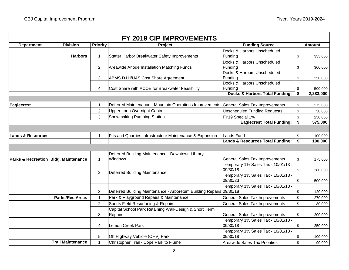|                                      |                          |                     | FY 2019 CIP IMPROVEMENTS                                                              |                                                                                     |          |                      |
|--------------------------------------|--------------------------|---------------------|---------------------------------------------------------------------------------------|-------------------------------------------------------------------------------------|----------|----------------------|
| <b>Department</b>                    | <b>Division</b>          | <b>Priority</b>     | <b>Project</b>                                                                        | <b>Funding Source</b>                                                               |          | <b>Amount</b>        |
|                                      | <b>Harbors</b>           | 1                   | Statter Harbor Breakwater Safety Improvements                                         | Docks & Harbors Unscheduled<br>Funding                                              | \$       | 333,000              |
|                                      |                          | $\overline{2}$      | Areawide Anode Installation Matching Funds                                            | Docks & Harbors Unscheduled<br>Funding                                              | \$       | 300,000              |
|                                      |                          | 3                   | <b>ABMS D&amp;H/UAS Cost Share Agreement</b>                                          | Docks & Harbors Unscheduled<br>Funding                                              | \$       | 350,000              |
|                                      |                          | 4                   | Cost Share with ACOE for Breakwater Feasibility                                       | Docks & Harbors Unscheduled<br>Funding<br><b>Docks &amp; Harbors Total Funding:</b> | \$<br>\$ | 500,000<br>2,283,000 |
|                                      |                          |                     |                                                                                       |                                                                                     |          |                      |
| <b>Eaglecrest</b>                    |                          | 1<br>$\overline{c}$ | Deferred Maintenance - Mountain Operations Improvements<br>Upper Loop Overnight Cabin | General Sales Tax Improvements<br><b>Unscheduled Funding Requests</b>               | \$<br>\$ | 275,000<br>50,000    |
|                                      |                          | 3                   | Snowmaking Pumping Station                                                            | FY19 Special 1%                                                                     | \$       | 250,000              |
|                                      |                          |                     |                                                                                       | <b>Eaglecrest Total Funding:</b>                                                    | \$       | 575,000              |
|                                      |                          |                     |                                                                                       |                                                                                     |          |                      |
| <b>Lands &amp; Resources</b>         |                          | 1                   | Pits and Quarries Infrastructure Maintenance & Expansion                              | <b>Lands Fund</b>                                                                   | \$       | 100,000              |
|                                      |                          |                     |                                                                                       | <b>Lands &amp; Resources Total Funding:</b>                                         | \$       | 100,000              |
|                                      |                          |                     |                                                                                       |                                                                                     |          |                      |
|                                      |                          |                     | Deferred Building Maintenance - Downtown Library                                      |                                                                                     |          |                      |
| Parks & Recreation Bldg. Maintenance |                          | $\mathbf{1}$        | Windows                                                                               | General Sales Tax Improvements                                                      | \$       | 175,000              |
|                                      |                          | $\overline{c}$      | Deferred Building Maintenance                                                         | Temporary 1% Sales Tax - 10/01/13 -<br>09/30/18                                     | \$       | 380,000              |
|                                      |                          |                     |                                                                                       | Temporary 1% Sales Tax - 10/01/18 -<br>09/30/23                                     | \$       | 500,000              |
|                                      |                          | 3                   | Deferred Building Maintenance - Arboretum Building Repairs 09/30/18                   | Temporary 1% Sales Tax - 10/01/13 -                                                 | \$       | 120,000              |
|                                      | <b>Parks/Rec Areas</b>   | 1                   | Park & Playground Repairs & Maintenance                                               | <b>General Sales Tax Improvements</b>                                               | \$       | 270,000              |
|                                      |                          | $\overline{2}$      | Sports Field Resurfacing & Repairs                                                    | General Sales Tax Improvements                                                      | \$       | 80,000               |
|                                      |                          |                     | Capital School Park Retaining Wall-Design & Short Term                                |                                                                                     |          |                      |
|                                      |                          | 3                   | Repairs                                                                               | General Sales Tax Improvements                                                      | \$       | 200,000              |
|                                      |                          | 4                   | Lemon Creek Park                                                                      | Temporary 1% Sales Tax - 10/01/13 -<br>09/30/18                                     | \$       | 250,000              |
|                                      |                          | 5                   | Off Highway Vehicle (OHV) Park                                                        | Temporary 1% Sales Tax - 10/01/13 -<br>09/30/18                                     | \$       | 100,000              |
|                                      | <b>Trail Maintenance</b> | $\mathbf{1}$        | Christopher Trail - Cope Park to Flume                                                | <b>Areawide Sales Tax Priorities</b>                                                | \$       | 90,000               |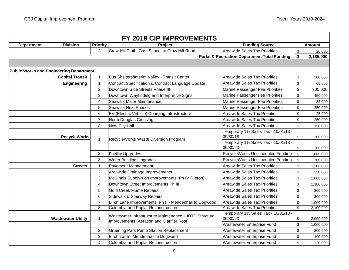|                                                |                           |                         | FY 2019 CIP IMPROVEMENTS                                                                              |                                                         |                 |
|------------------------------------------------|---------------------------|-------------------------|-------------------------------------------------------------------------------------------------------|---------------------------------------------------------|-----------------|
| <b>Department</b>                              | <b>Division</b>           | <b>Priority</b>         | <b>Project</b>                                                                                        | <b>Funding Source</b>                                   | <b>Amount</b>   |
|                                                |                           | $\overline{2}$          | Crow Hill Trail - Gast School to Crow Hill Road                                                       | <b>Areawide Sales Tax Priorities</b>                    | \$<br>20,000    |
|                                                |                           |                         |                                                                                                       | <b>Parks &amp; Recreation Department Total Funding:</b> | \$<br>2,185,000 |
|                                                |                           |                         |                                                                                                       |                                                         |                 |
| <b>Public Works and Engineering Department</b> |                           |                         |                                                                                                       |                                                         |                 |
|                                                | <b>Capital Transit</b>    | $\mathbf{1}$            | Bus Shelters/Interim Valley - Transit Center                                                          | <b>Areawide Sales Tax Priorities</b>                    | \$<br>500,000   |
|                                                | <b>Engineering</b>        | 1                       | Contract Specification & Contract Language Update                                                     | <b>Areawide Sales Tax Priorities</b>                    | \$<br>65,000    |
|                                                |                           | $\overline{2}$          | Downtown Side Streets Phase III                                                                       | Marine Passenger Fee Priorities                         | \$<br>900,000   |
|                                                |                           | 3                       | Downtown Wayfinding and Interpretive Signs                                                            | Marine Passenger Fee Priorities                         | \$<br>450,000   |
|                                                |                           | $\overline{\mathbf{4}}$ | Seawalk Major Maintenance                                                                             | Marine Passenger Fee Priorities                         | \$<br>85,000    |
|                                                |                           | 5                       | <b>Seawalk Next Phases</b>                                                                            | Marine Passenger Fee Priorities                         | \$<br>250,000   |
|                                                |                           | 6                       | EV (Electric Vehicle) Charging Infrastructure                                                         | <b>Areawide Sales Tax Priorities</b>                    | \$<br>25,000    |
|                                                |                           | $\overline{7}$          | North Douglas Crossing                                                                                | <b>Areawide Sales Tax Priorities</b>                    | \$<br>250,000   |
|                                                |                           | 8                       | New City Hall                                                                                         | <b>Areawide Sales Tax Priorities</b>                    | \$<br>150,000   |
|                                                | <b>RecycleWorks</b>       |                         | RecycleWorks Waste Diversion Program                                                                  | Temporary 1% Sales Tax - 10/01/13 -<br>09/30/18         | \$<br>200,000   |
|                                                |                           | $\mathbf{1}$            |                                                                                                       | Temporary 1% Sales Tax - 10/01/18 -<br>09/30/23         | \$<br>200,000   |
|                                                |                           | 2                       | <b>Facility Upgrades</b>                                                                              | RecycleWorks Unscheduled Funding                        | \$<br>1,000,000 |
|                                                |                           | 3                       | <b>Water Building Upgrades</b>                                                                        | RecycleWorks Unscheduled Funding                        | \$<br>300,000   |
|                                                | <b>Streets</b>            | 1                       | Pavement Management                                                                                   | <b>Areawide Sales Tax Priorities</b>                    | \$<br>1,200,000 |
|                                                |                           | $\overline{2}$          | Areawide Drainage Improvements                                                                        | <b>Areawide Sales Tax Priorities</b>                    | \$<br>250,000   |
|                                                |                           | 3                       | McGinnis Subdivision Improvements, Ph IV (Heron)                                                      | <b>Areawide Sales Tax Priorities</b>                    | \$<br>1,000,000 |
|                                                |                           | $\overline{\mathbf{4}}$ | Downtown Street Improvements Ph III                                                                   | <b>Areawide Sales Tax Priorities</b>                    | \$<br>1,100,000 |
|                                                |                           | 5                       | <b>Gold Creek Flume Repairs</b>                                                                       | <b>Areawide Sales Tax Priorities</b>                    | \$<br>300,000   |
|                                                |                           | $6\phantom{1}$          | Sidewalk & Stairway Repairs                                                                           | <b>Areawide Sales Tax Priorities</b>                    | \$<br>300,000   |
|                                                |                           | $\overline{7}$          | Birch Lane Improvements, Ph II - Mendenhall to Dogwood                                                | <b>Areawide Sales Tax Priorities</b>                    | \$<br>1,000,000 |
|                                                |                           | 8                       | Columbia and Poplar Reconstruction                                                                    | <b>Areawide Sales Tax Priorities</b>                    | \$<br>2,100,000 |
|                                                | <b>Wastewater Utility</b> | $\mathbf{1}$            | Wastewater Infrastructure Maintenance - JDTP Structural<br>Improvements (Aeration and Clarifier Roof) | Temporary 1% Sales Tax - 10/01/18 -<br>09/30/23         | \$<br>2,000,000 |
|                                                |                           |                         |                                                                                                       | Wastewater Enterprise Fund                              | \$<br>1,000,000 |
|                                                |                           | 2                       | <b>Gruening Park Pump Station Replacement</b>                                                         | Wastewater Enterprise Fund                              | \$<br>800,000   |
|                                                |                           | 3                       | Birch Lane - Mendenhall to Dogwood                                                                    | Wastewater Enterprise Fund                              | \$<br>100,000   |
|                                                |                           | 4                       | Columbia and Poplar Reconstruction                                                                    | <b>Wastewater Enterprise Fund</b>                       | \$<br>220,000   |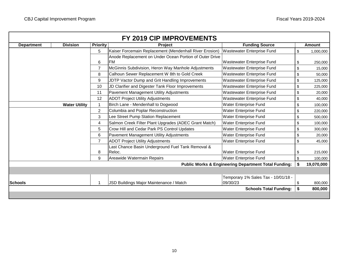| <b>Department</b> | <b>Division</b>      | <b>Priority</b> | <b>Project</b>                                          | <b>Funding Source</b>                                           |                         | <b>Amount</b> |
|-------------------|----------------------|-----------------|---------------------------------------------------------|-----------------------------------------------------------------|-------------------------|---------------|
|                   |                      | 5               | Kaiser Forcemain Replacement (Mendenhall River Erosion) | Wastewater Enterprise Fund                                      | $\sqrt[6]{\frac{1}{2}}$ | 1,000,000     |
|                   |                      |                 | Anode Replacement on Under Ocean Portion of Outer Drive |                                                                 |                         |               |
|                   |                      | 6               | <b>FM</b>                                               | Wastewater Enterprise Fund                                      | \$                      | 250,000       |
|                   |                      | $\overline{7}$  | McGinnis Subdivision, Heron Way Manhole Adjustments     | Wastewater Enterprise Fund                                      | \$                      | 15,000        |
|                   |                      | 8               | Calhoun Sewer Replacement W 8th to Gold Creek           | <b>Wastewater Enterprise Fund</b>                               | \$                      | 50,000        |
|                   |                      | 9               | JDTP Vactor Dump and Grit Handling Improvements         | Wastewater Enterprise Fund                                      | \$                      | 125,000       |
|                   |                      | 10              | JD Clarifier and Digester Tank Floor Improvements       | Wastewater Enterprise Fund                                      | \$                      | 225,000       |
|                   |                      | 11              | Pavement Management Utility Adjustments                 | <b>Wastewater Enterprise Fund</b>                               | \$                      | 20,000        |
|                   |                      | 12              | <b>ADOT Project Utility Adjustments</b>                 | Wastewater Enterprise Fund                                      | \$                      | 40,000        |
|                   | <b>Water Utility</b> |                 | Birch Lane - Mendenhall to Dogwood                      | Water Enterprise Fund                                           | \$                      | 100,000       |
|                   |                      | $\overline{2}$  | Columbia and Poplar Reconstruction                      | Water Enterprise Fund                                           | \$                      | 220,000       |
|                   |                      | 3               | Lee Street Pump Station Replacement                     | Water Enterprise Fund                                           | \$                      | 500,000       |
|                   |                      | 4               | Salmon Creek Filter Plant Upgrades (ADEC Grant Match)   | Water Enterprise Fund                                           | \$                      | 100,000       |
|                   |                      | 5               | Crow Hill and Cedar Park PS Control Updates             | <b>Water Enterprise Fund</b>                                    | \$                      | 300,000       |
|                   |                      | 6               | Pavement Management Utility Adjustments                 | <b>Water Enterprise Fund</b>                                    | \$                      | 20,000        |
|                   |                      | $\overline{7}$  | <b>ADOT Project Utility Adjustments</b>                 | <b>Water Enterprise Fund</b>                                    | $\sqrt[6]{\frac{1}{2}}$ | 45,000        |
|                   |                      |                 | Last Chance Basin Underground Fuel Tank Removal &       |                                                                 |                         |               |
|                   |                      | 8               | Reloc.                                                  | <b>Water Enterprise Fund</b>                                    | \$                      | 215,000       |
|                   |                      | 9               | Areawide Watermain Repairs                              | <b>Water Enterprise Fund</b>                                    | \$                      | 100,000       |
|                   |                      |                 |                                                         | <b>Public Works &amp; Engineering Department Total Funding:</b> | \$                      | 19,070,000    |
|                   |                      |                 |                                                         |                                                                 |                         |               |
|                   |                      |                 |                                                         | Temporary 1% Sales Tax - 10/01/18 -                             |                         |               |
| <b>Schools</b>    |                      |                 | JSD Buildings Major Maintenance / Match                 | 09/30/23                                                        | \$                      | 800,000       |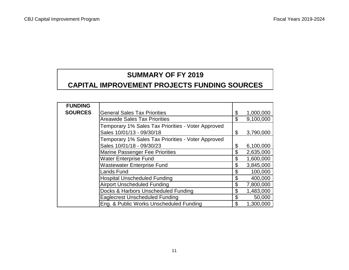# **SUMMARY OF FY 2019**

# **CAPITAL IMPROVEMENT PROJECTS FUNDING SOURCES**

| <b>FUNDING</b> |                                                    |                 |
|----------------|----------------------------------------------------|-----------------|
| <b>SOURCES</b> | <b>General Sales Tax Priorities</b>                | \$<br>1,000,000 |
|                | <b>Areawide Sales Tax Priorities</b>               | \$<br>9,100,000 |
|                | Temporary 1% Sales Tax Priorities - Voter Approved |                 |
|                | Sales 10/01/13 - 09/30/18                          | \$<br>3,790,000 |
|                | Temporary 1% Sales Tax Priorities - Voter Approved |                 |
|                | Sales 10/01/18 - 09/30/23                          | \$<br>6,100,000 |
|                | <b>Marine Passenger Fee Priorities</b>             | \$<br>2,635,000 |
|                | <b>Water Enterprise Fund</b>                       | \$<br>1,600,000 |
|                | <b>Wastewater Enterprise Fund</b>                  | \$<br>3,845,000 |
|                | Lands Fund                                         | \$<br>100,000   |
|                | <b>Hospital Unscheduled Funding</b>                | \$<br>400,000   |
|                | <b>Airport Unscheduled Funding</b>                 | \$<br>7,800,000 |
|                | Docks & Harbors Unscheduled Funding                | \$<br>1,483,000 |
|                | <b>Eaglecrest Unscheduled Funding</b>              | \$<br>50,000    |
|                | Eng. & Public Works Unscheduled Funding            | \$<br>1,300,000 |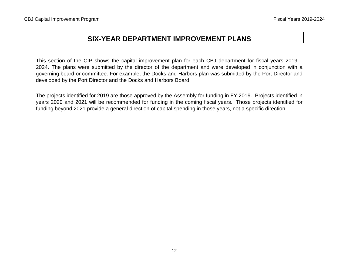# **SIX-YEAR DEPARTMENT IMPROVEMENT PLANS**

This section of the CIP shows the capital improvement plan for each CBJ department for fiscal years 2019 – 2024. The plans were submitted by the director of the department and were developed in conjunction with a governing board or committee. For example, the Docks and Harbors plan was submitted by the Port Director and developed by the Port Director and the Docks and Harbors Board.

The projects identified for 2019 are those approved by the Assembly for funding in FY 2019. Projects identified in years 2020 and 2021 will be recommended for funding in the coming fiscal years. Those projects identified for funding beyond 2021 provide a general direction of capital spending in those years, not a specific direction.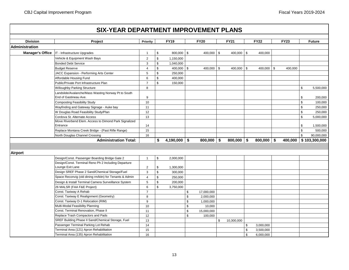## **Project Priority FY19 FY20 FY21 FY22 FY23 Future**  $|\text{T - Infrastucture Upgrades}$  1  $|\text{\$}$  800,000  $|\text{\$}$  400,000  $|\text{\$}$  400,000  $|\text{\$}$  400,000 Vehicle & Equipment Wash Bays 2 4 million 2 million 1,150,000 Bonded Debt Service 2008 2012 1 2012 1 3 3 4 3 1,040,000 Budget Reserve | 4 | \$ 400,000 | \$ 400,000 | \$ 400,000 | \$ 400,000 | \$ JACC Expansion - Performing Arts Center **5** 5 \$ 250,000 Affordable Housing Fund **6 5 100 km** 400,000 Public/Private Port Infrastructure Plan  $\begin{array}{ccc} | & 7 & | \ \text{\$} & & 150,000 \end{array}$ Willoughby Parking Structure example and the structure and the structure and the structure and the structure structure and the structure of  $\sim$  5,500,000  $\sim$  5,500,000 Landslide/Avalanche/Mass Wasting Norway Pt to South End of Gastineau Ave. 9 \$ 200,000 Composting Feasibility Study 10 (10 ) and the study of the study of the study of the study of the study of the study of the study of the study of the study of the study of the study of the study of the study of the study o Wayfinding and Gateway Signage - Auke bay 1990 and the state of the state of the state of the state of the state of the state of the state of the state of the state of the state of the state of the state of the state of th W Douglas Road Feasibility Study/Plan 12 \$ 250,000  $\textsf{\small Cordova St.}$  Alternate Access  $\begin{array}{|c|c|c|c|c|c|}\hline \textsf{\small S} & \textsf{\small S} & \textsf{\small S},000,000\hline \end{array}$ Move Riverbend Elem. Access to Dimond Park Signalized Entrance 14 \$ 1,500,000 Replace Montana Creek Bridge - (Past Rifle Range) 15 \$ 500,000 North Douglas Channel Crossing 16 \$ 90,000,000 **\$ 4,190,000 \$ 800,000 \$ 800,000 \$ 800,000 \$ 400,000 \$ 103,300,000** Design/Const. Passenger Boarding Bridge Gate 2 1 | \$ 2,000,000 Design/Const. Terminal Reno Ph 2 Including Departure Lounge Exit Lane 2 1,300,000 Design SREF Phase 2 Sand/Chemical Storage/Fuel 3 \ \ \$ 300,000 Space Reconvig (old dining rm/kitn) for Tenants & Admin 4 \$ 250,000 Design & Install Terminal Camera Surveillance System  $\begin{array}{ccc} \n\end{array}$  5  $\begin{array}{ccc} \n\end{array}$  \$ 200,000 26 MALSR (FAA F&E Project) 6 \$ 3,750,000 Const. Taxiway A Rehab  $\begin{array}{ccc} 1 & 7 & | & 7 & | & 1,000,000 \\ \hline \end{array}$ Const. Taxiway E Realignment (Geometry) 8 8 3.000,000 Const. Taxiway D-1 Relocation (RIM) 9 \$ 1,000,000 Multi-Modal Feasibility Planning 10 10 10 10 10 10 10,000 Const. Terminal Renovation, Phase II 11 11 | S 15,000,000 Replace Trash Compactors and Pads 12 | 12 | S 100,000 SREF Building Phase II Sand/Chemical Storage, Fuel 13 10 10,300,000 13 10,300,000 Passenger Terminal Parking Lot Rehab 14 \$ 3,000,000 Terminal Area (121) Apron Rehabilitation 15 \$ 3,500,000 Terminal Area (135) Apron Rehabilitation 16 \$ 6,000,000 **Administration Total: Airport SIX-YEAR DEPARTMENT IMPROVEMENT PLANS Division Administration Manager's Office**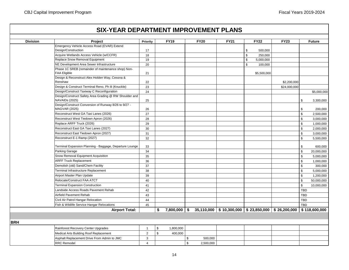| <b>Division</b> | Project                                                                         | Priority       | <b>FY19</b>     |                | <b>FY20</b> | <b>FY21</b>                                                                                       | <b>FY22</b>     | <b>FY23</b>  |                | <b>Future</b> |
|-----------------|---------------------------------------------------------------------------------|----------------|-----------------|----------------|-------------|---------------------------------------------------------------------------------------------------|-----------------|--------------|----------------|---------------|
|                 | Emergency Vehicle Access Road (EVAR) Extend                                     |                |                 |                |             |                                                                                                   |                 |              |                |               |
|                 | Design/Construction                                                             | 17             |                 |                |             |                                                                                                   | \$<br>500,000   |              |                |               |
|                 | Acquire Wetlands Access Vehicle (w/CCFR)                                        | 18             |                 |                |             |                                                                                                   | \$<br>250,000   |              |                |               |
|                 | Replace Snow Removal Equipment                                                  | 19             |                 |                |             |                                                                                                   | \$<br>5,000,000 |              |                |               |
|                 | NE Development Area Sewer Infrastructure                                        | 20             |                 |                |             |                                                                                                   | \$<br>100,000   |              |                |               |
|                 | Phase 1C SREB (remainder of maintenance shop) Non-                              |                |                 |                |             |                                                                                                   |                 |              |                |               |
|                 | <b>FAA Eligible</b>                                                             | 21             |                 |                |             |                                                                                                   | \$5,500,000     |              |                |               |
|                 | Design & Reconstruct Alex Holden Way, Cessna &                                  |                |                 |                |             |                                                                                                   |                 |              |                |               |
|                 | Renshaw                                                                         | 22             |                 |                |             |                                                                                                   |                 | \$2,200,000  |                |               |
|                 | Design & Construct Terminal Reno, Ph III (Knuckle)                              | 23             |                 |                |             |                                                                                                   |                 | \$24,000,000 |                |               |
|                 | Design/Construct Taxiway C Reconfiguration                                      | 24             |                 |                |             |                                                                                                   |                 |              |                | \$5,000,000   |
|                 | Design/Construct Safety Area Grading @ RW Shoulder and<br><b>NAVAIDs (2025)</b> | 25             |                 |                |             |                                                                                                   |                 |              | \$             | 3,300,000     |
|                 | Design/Construct Conversion of Runway 8/26 to 9/27 -<br><b>MAGVAR (2025)</b>    | 26             |                 |                |             |                                                                                                   |                 |              | \$             | 200,000       |
|                 | Reconstruct West GA Taxi Lanes (2026)                                           | 27             |                 |                |             |                                                                                                   |                 |              | \$             | 2,500,000     |
|                 | Reconstruct West Tiedown Apron (2026)                                           | 28             |                 |                |             |                                                                                                   |                 |              | $\mathfrak s$  | 3,000,000     |
|                 | Replace ARFF Truck (2026)                                                       | 29             |                 |                |             |                                                                                                   |                 |              | \$             | 1,000,000     |
|                 | Reconstruct East GA Taxi Lanes (2027)                                           | 30             |                 |                |             |                                                                                                   |                 |              | \$             | 2,000,000     |
|                 | Reconstruct East Tiedown Apron (2027)                                           | 31             |                 |                |             |                                                                                                   |                 |              | $$\mathbb{S}$$ | 3,000,000     |
|                 | Reconstruct E-1 Ramp (2027)                                                     | 32             |                 |                |             |                                                                                                   |                 |              | $\mathfrak s$  | 5,500,000     |
|                 | Terminal Expansion Planning - Baggage, Departure Lounge                         | 33             |                 |                |             |                                                                                                   |                 |              | \$             | 600,000       |
|                 | Parking Garage                                                                  | 34             |                 |                |             |                                                                                                   |                 |              | $\,$           | 20,000,000    |
|                 | Snow Removal Equipment Acquisition                                              | 35             |                 |                |             |                                                                                                   |                 |              | \$             | 5,000,000     |
|                 | <b>ARFF Truck Replacement</b>                                                   | 36             |                 |                |             |                                                                                                   |                 |              | $\mathfrak s$  | 1,000,000     |
|                 | Demolish (old) Sand/Chem Facility                                               | 37             |                 |                |             |                                                                                                   |                 |              | $\mathfrak s$  | 300,000       |
|                 | Terminal Infrastructure Replacement                                             | 38             |                 |                |             |                                                                                                   |                 |              | $\mathfrak s$  | 5,000,000     |
|                 | Airport Master Plan Update                                                      | 39             |                 |                |             |                                                                                                   |                 |              | $\,$           | 1,200,000     |
|                 | Relocate/Construct FAA ATCT                                                     | 40             |                 |                |             |                                                                                                   |                 |              | \$             | 50,000,000    |
|                 | <b>Terminal Expansion Construction</b>                                          | 41             |                 |                |             |                                                                                                   |                 |              | $\,$           | 10,000,000    |
|                 | Landside Access Roads Pavement Rehab                                            | 42             |                 |                |             |                                                                                                   |                 |              | TBD            |               |
|                 | Airfield Pavement Rehab                                                         | 43             |                 |                |             |                                                                                                   |                 |              | <b>TBD</b>     |               |
|                 | Civil Air Patrol Hangar Relocation                                              | 44             |                 |                |             |                                                                                                   |                 |              | <b>TBD</b>     |               |
|                 | Fish & Wildlife Service Hangar Relocations                                      | 45             |                 |                |             |                                                                                                   |                 |              | <b>TBD</b>     |               |
|                 | <b>Airport Total:</b>                                                           |                | \$              |                |             | 7,800,000 $\vert$ \$ 35,110,000 $\vert$ \$ 10,300,000 $\vert$ \$ 23,850,000 $\vert$ \$ 26,200,000 |                 |              | \$118,600,000  |               |
|                 |                                                                                 |                |                 |                |             |                                                                                                   |                 |              |                |               |
|                 |                                                                                 |                |                 |                |             |                                                                                                   |                 |              |                |               |
|                 | Rainforest Recovery Center Upgrades                                             | $\overline{1}$ | \$<br>1,800,000 |                |             |                                                                                                   |                 |              |                |               |
|                 | Medical Arts Building Roof Replacement                                          | 2              | \$<br>400,000   |                |             |                                                                                                   |                 |              |                |               |
|                 | Asphalt Replacement Drive From Admin to JMC                                     | 3              |                 | $\mathfrak s$  | 500,000     |                                                                                                   |                 |              |                |               |
|                 | <b>RRC Remodel</b>                                                              | $\overline{4}$ |                 | $$\mathbb{S}$$ | 2,500,000   |                                                                                                   |                 |              |                |               |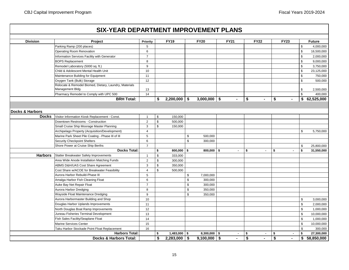|                       | <b>SIX-YEAR DEPARTMENT IMPROVEMENT PLANS</b>                               |                |    |                |                |                |             |                |                      |                      |              |               |
|-----------------------|----------------------------------------------------------------------------|----------------|----|----------------|----------------|----------------|-------------|----------------|----------------------|----------------------|--------------|---------------|
| <b>Division</b>       | Project                                                                    | Priority       |    | <b>FY19</b>    |                | <b>FY20</b>    | <b>FY21</b> |                | <b>FY22</b>          | <b>FY23</b>          |              | <b>Future</b> |
|                       | Parking Ramp (200 places)                                                  | 5              |    |                |                |                |             |                |                      |                      | \$           | 4,000,000     |
|                       | Operating Room Renovation                                                  | 6              |    |                |                |                |             |                |                      |                      | $\,$         | 16,500,000    |
|                       | <b>Information Services Facility with Generator</b>                        | $\overline{7}$ |    |                |                |                |             |                |                      |                      | \$           | 2,000,000     |
|                       | <b>BOPS Replacement</b>                                                    | 8              |    |                |                |                |             |                |                      |                      | \$           | 9,000,000     |
|                       | Remodel Laboratory (5000 sq. ft.)                                          | 9              |    |                |                |                |             |                |                      |                      | \$           | 3,750,000     |
|                       | Child & Adolescent Mental Health Unit                                      | 10             |    |                |                |                |             |                |                      |                      | \$           | 23,125,000    |
|                       | Maintenance Building for Equipment                                         | 11             |    |                |                |                |             |                |                      |                      | \$           | 750,000       |
|                       | Oxygen Tank (Bulk) Storage                                                 | 12             |    |                |                |                |             |                |                      |                      | \$           | 500,000       |
|                       | Relocate & Remodel Biomed, Dietary, Laundry, Materials<br>Management Bldg. | 13             |    |                |                |                |             |                |                      |                      | \$           | 2,500,000     |
|                       | Pharmacy Remodel to Comply with UPC 500                                    | 14             |    |                |                |                |             |                |                      |                      | \$           | 400,000       |
|                       | <b>BRH Total:</b>                                                          |                | \$ | $2,200,000$ \$ |                | $3,000,000$ \$ |             | $\blacksquare$ | \$<br>$\blacksquare$ | \$<br>$\blacksquare$ |              | \$62,525,000  |
|                       |                                                                            |                |    |                |                |                |             |                |                      |                      |              |               |
| Docks & Harbors       |                                                                            |                |    |                |                |                |             |                |                      |                      |              |               |
| <b>Docks</b>          | Visitor Information Kiosk Replacement - Const.                             | $\mathbf{1}$   | \$ | 150,000        |                |                |             |                |                      |                      |              |               |
|                       | Downtown Restrooms - Construction                                          | 2              | \$ | 500,000        |                |                |             |                |                      |                      |              |               |
|                       | Small Cruise Ship Moorage Master Planning                                  | $\mathbf{3}$   | \$ | 150,000        |                |                |             |                |                      |                      |              |               |
|                       | Archipelago Property (Acquisition/Development)                             | $\overline{4}$ |    |                |                |                |             |                |                      |                      | \$           | 5,750,000     |
|                       | Marine Park Sheet Pile Coating - Phase III of III                          | 5              |    |                | \$             | 500.000        |             |                |                      |                      |              |               |
|                       | <b>Security Checkpoint Shelters</b>                                        | 6              |    |                | \$             | 300,000        |             |                |                      |                      |              |               |
|                       | Shore Power at Cruise Ship Berths                                          | $\overline{7}$ |    |                |                |                |             |                |                      |                      | \$           | 25,800,000    |
|                       | <b>Docks Total:</b>                                                        |                | \$ | $800,000$ \$   |                | $800,000$ \$   |             | $\sim$         | \$<br>$\sim$         | \$                   | \$<br>$\sim$ | 31,550,000    |
| <b>Harbors</b>        | Statter Breakwater Safety Improvements                                     | $\mathbf{1}$   | \$ | 333,000        |                |                |             |                |                      |                      |              |               |
|                       | Area Wide Anode Installation Matching Funds                                | $\overline{2}$ | \$ | 300,000        |                |                |             |                |                      |                      |              |               |
|                       | ABMS D&H/UAS Cost Share Agreement                                          | $\mathbf{3}$   | \$ | 350,000        |                |                |             |                |                      |                      |              |               |
|                       | Cost Share w/ACOE for Breakwater Feasibility                               | $\overline{4}$ | \$ | 500,000        |                |                |             |                |                      |                      |              |               |
|                       | Aurora Harbor Rebuild-Phase III                                            | 5              |    |                | \$             | 7,000,000      |             |                |                      |                      |              |               |
|                       | Amalga Harbor Fish Cleaning Float                                          | 6              |    |                | $\,$           | 300,000        |             |                |                      |                      |              |               |
|                       | Auke Bay Net Repair Float                                                  | $\overline{7}$ |    |                | $\,$           | 300,000        |             |                |                      |                      |              |               |
|                       | Aurora Harbor Dredging                                                     | 8              |    |                | \$             | 350,000        |             |                |                      |                      |              |               |
|                       | Wayside Float Maintenance Dredging                                         | 9              |    |                | $$\mathbb{S}$$ | 350,000        |             |                |                      |                      |              |               |
|                       | Aurora Harbormaster Building and Shop                                      | 10             |    |                |                |                |             |                |                      |                      | \$           | 3,000,000     |
|                       | Douglas Harbor Uplands Improvements                                        | 11             |    |                |                |                |             |                |                      |                      | \$           | 2,000,000     |
|                       | North Douglas Boat Ramp Improvements                                       | 12             |    |                |                |                |             |                |                      |                      | \$           | 1,000,000     |
|                       | Juneau Fisheries Terminal Development                                      | 13             |    |                |                |                |             |                |                      |                      | \$           | 10,000,000    |
|                       | Fish Sales Facility/Seaplane Float                                         |                |    |                |                |                |             |                |                      |                      | \$           | 1,000,000     |
|                       | Marine Services Center                                                     |                |    |                |                |                |             |                |                      |                      | $\,$         | 10,000,000    |
|                       | 15<br>Taku Harbor Stockade Point Float Replacement<br>16                   |                |    |                |                |                |             |                |                      |                      | \$           | 300,000       |
| <b>Harbors Total:</b> |                                                                            |                | \$ | $1,483,000$ \$ |                | $8,300,000$ \$ |             | $\sim$         | \$                   | \$                   | \$<br>$\sim$ | 27,300,000    |
|                       | <b>Docks &amp; Harbors Total:</b>                                          |                |    | 2,283,000      | \$             | $9,100,000$ \$ |             | $\sim$         | \$<br>$\blacksquare$ | \$<br>$\blacksquare$ | \$           | 58,850,000    |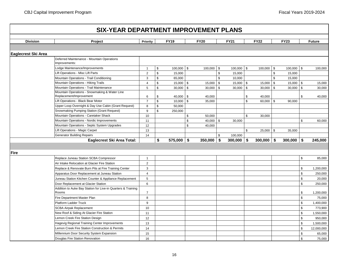| <b>Division</b><br>Project<br><b>Priority</b>                                 |              | <b>FY19</b>        |                 |                   |              |            |              |               |                  |
|-------------------------------------------------------------------------------|--------------|--------------------|-----------------|-------------------|--------------|------------|--------------|---------------|------------------|
|                                                                               |              |                    | <b>FY20</b>     | <b>FY21</b>       | <b>FY22</b>  |            | <b>FY23</b>  |               | <b>Future</b>    |
|                                                                               |              |                    |                 |                   |              |            |              |               |                  |
| <b>Eaglecrest Ski Area</b>                                                    |              |                    |                 |                   |              |            |              |               |                  |
| Deferred Maintenance - Mountain Operations<br>Improvements:                   |              |                    |                 |                   |              |            |              |               |                  |
| Lodge Maintenance/Improvements<br>$\overline{1}$                              | \$           | $100,000$ \$       | $100,000$ \$    | 100,000 \$        | 100,000      | \$         | $100,000$ \$ |               | 100,000          |
| Lift Operations - Misc Lift Parts<br>$\overline{2}$                           | $\mathbb{S}$ | 15,000             |                 | \$<br>15,000      |              | \$         | 15,000       |               |                  |
| 3<br>Mountain Operations - Trail Conditioning                                 | \$           | 65,000             |                 | \$<br>10,000      |              | \$         | 15,000       |               |                  |
| Mountain Operations - Hiking Trails<br>4                                      | \$           | $15,000$ \$        | 15,000          | \$<br>$15,000$ \$ | 15,000       | \$         | $15,000$ \$  |               | 15,000           |
| Mountain Operations - Trail Maintenance<br>5                                  | \$           | $30,000$ \$        | 30,000          | \$<br>$30,000$ \$ | 30,000       | \$         | $30,000$ \$  |               | 30,000           |
| Mountain Operations - Snowmaking & Water Line<br>Replacement/Improvement<br>6 | \$           | $40,000$ \$        | 40,000          |                   | \$<br>40,000 |            |              | \$            | 40,000           |
| Lift Operations - Black Bear Motor<br>$\overline{7}$                          | \$           | $10,000$ \$        | 35,000          |                   | \$<br>60,000 | \$         | 90,000       |               |                  |
| Upper Loop Overnight & Day Use Cabin (Grant Request)<br>8                     | \$           | 50,000             |                 |                   |              |            |              |               |                  |
| Snowmaking Pumping Station (Grant Request)<br>9                               | \$           | 250,000            |                 |                   |              |            |              |               |                  |
| Mountain Operations - Caretaker Shack<br>10                                   |              |                    | \$<br>50,000    |                   | \$<br>30,000 |            |              |               |                  |
| Mountain Operations - Nordic Improvements<br>11                               |              |                    | \$<br>40,000 \$ | 30,000            |              |            |              | \$            | 60,000           |
| Mountain Operations - Septic System Upgrades<br>12                            |              |                    | \$<br>40,000    |                   |              |            |              |               |                  |
| Lift Operations - Magic Carpet<br>13                                          |              |                    |                 |                   | \$<br>25,000 | \$         | 35,000       |               |                  |
| <b>Generator Building Repairs</b><br>14                                       |              |                    |                 | \$<br>100,000     |              |            |              |               |                  |
| Eaglecrest Ski Area Total:                                                    |              | $575,000$ \$<br>\$ | $350,000$ \$    | $300,000$ \$      | 300,000      | $\sqrt{2}$ | $300,000$ \$ |               | 245,000          |
|                                                                               |              |                    |                 |                   |              |            |              |               |                  |
| Fire                                                                          |              |                    |                 |                   |              |            |              |               |                  |
| Replace Juneau Station SCBA Compressor<br>$\mathbf{1}$                        |              |                    |                 |                   |              |            |              | \$            | 85,000           |
| 2<br>Air Intake Relocation at Glacier Fire Station                            |              |                    |                 |                   |              |            |              |               |                  |
| $\mathbf{3}$<br>Replace & Renovate Burn Pits at Fire Training Center          |              |                    |                 |                   |              |            |              | \$            | 1,200,000        |
| $\overline{4}$<br>Apparatus Door Replacement at Juneau Station                |              |                    |                 |                   |              |            |              | $\,$          | 250,000          |
| Juneau Station Kitchen Counter & Appliance Replacement<br>$5\phantom{.0}$     |              |                    |                 |                   |              |            |              | \$            | 20,000           |
| $\,6\,$<br>Door Replacement at Glacier Station                                |              |                    |                 |                   |              |            |              | $\mathfrak s$ | 250,000          |
| Addition to Auke Bay Station for Live-in Quarters & Training                  |              |                    |                 |                   |              |            |              |               |                  |
| Rooms<br>$\overline{7}$                                                       |              |                    |                 |                   |              |            |              | \$            | 1,200,000        |
| 8<br>Fire Department Master Plan                                              |              |                    |                 |                   |              |            |              | $\mathfrak s$ | 75,000           |
| 9<br><b>Platform Ladder Truck</b>                                             |              |                    |                 |                   |              |            |              | $\mathfrak s$ | 1,400,000        |
| <b>SCBA Airpak Replacement</b><br>10                                          |              |                    |                 |                   |              |            |              | $\,$          | 773,900          |
| New Roof & Siding At Glacier Fire Station<br>11                               |              |                    |                 |                   |              |            |              | \$            | 1,550,000        |
| Lemon Creek Fire Station Design<br>12                                         |              |                    |                 |                   |              |            |              | $\,$          | 950,000          |
| Hagevig Regional Training Center Improvements<br>13                           |              |                    |                 |                   |              |            |              | $\,$          | 1,500,000        |
| Lemon Creek Fire Station Construction & Permits<br>14                         |              |                    |                 |                   |              |            |              | \$            | 12,000,000       |
| Millennium Door Security System Expansion                                     |              |                    |                 |                   |              |            |              | $\,$          |                  |
| 15<br>Douglas Fire Station Renovation<br>16                                   |              |                    |                 |                   |              |            |              | $\mathbb{S}$  | 65,000<br>75,000 |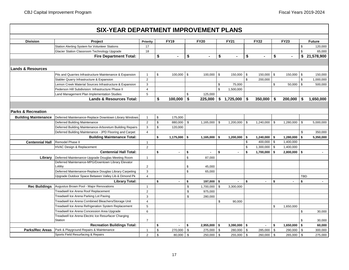|                               | <b>SIX-YEAR DEPARTMENT IMPROVEMENT PLANS</b>             |                |                |                |               |                  |                      |            |                |      |                |            |               |
|-------------------------------|----------------------------------------------------------|----------------|----------------|----------------|---------------|------------------|----------------------|------------|----------------|------|----------------|------------|---------------|
| <b>Division</b>               | <b>Project</b>                                           | Priority       |                | <b>FY19</b>    |               | <b>FY20</b>      | <b>FY21</b>          |            | <b>FY22</b>    |      | <b>FY23</b>    |            | <b>Future</b> |
|                               | Station Alerting System for Volunteer Stations           | 17             |                |                |               |                  |                      |            |                |      |                | \$         | 120,000       |
|                               | Glacier Station Classroom Technology Upgrade             | 18             |                |                |               |                  |                      |            |                |      |                | \$         | 65,000        |
|                               | <b>Fire Department Total:</b>                            |                | \$             |                | \$            |                  | \$                   | \$         |                | \$   |                | \$         | 21,578,900    |
|                               |                                                          |                |                |                |               |                  |                      |            |                |      |                |            |               |
| <b>Lands &amp; Resources</b>  |                                                          |                |                |                |               |                  |                      |            |                |      |                |            |               |
|                               | Pits and Quarries Infrastructure Maintenance & Expansion | $\mathbf{1}$   | $\mathfrak{s}$ | $100,000$ \$   |               | 100.000          | \$<br>150,000        | $\sqrt{3}$ | 150,000        | \$   | $150,000$ \$   |            | 150,000       |
|                               | Stabler Quarry Infrastructure & Expansion                | 2              |                |                |               |                  |                      | \$         | 200,000        |      |                | \$         | 1,000,000     |
|                               | Lemon Creek Material Sources Infrastructure & Expansion  | 3              |                |                |               |                  | \$<br>75,000         |            |                | \$   | $50,000$ \$    |            | 500,000       |
|                               | Pederson Hill Subdivision: Infrastructure Phase II       | $\overline{4}$ |                |                |               |                  | \$<br>1,500,000      |            |                |      |                |            |               |
|                               | Land Management Plan Implementation Studies              | $\sqrt{5}$     |                |                | \$            | 125,000          |                      |            |                |      |                |            |               |
|                               | <b>Lands &amp; Resources Total:</b>                      |                | \$             | 100,000        | \$            | 225,000          | \$1,725,000          | \$         | 350,000        | \$   | 200,000        | \$         | 1,650,000     |
|                               |                                                          |                |                |                |               |                  |                      |            |                |      |                |            |               |
| <b>Parks &amp; Recreation</b> |                                                          |                |                |                |               |                  |                      |            |                |      |                |            |               |
| <b>Building Maintenance</b>   | Deferred Maintenance-Replace Downtown Library Windows    | $\overline{1}$ | \$             | 175,000        |               |                  |                      |            |                |      |                |            |               |
|                               | <b>Deferred Building Maintenance</b>                     | $\overline{2}$ | \$             | 880,000        | $\mathfrak s$ | 1,165,000        | \$<br>1,200,000      | - \$       | 1,240,000      | - \$ | $1,280,000$ \$ |            | 5,000,000     |
|                               | Deferred Building Maintenance-Arboretum Building Repairs | 3              | $\mathsf{\$}$  | 120,000        |               |                  |                      |            |                |      |                |            |               |
|                               | Deferred Building Maintenance - JPD Flooring and Carpet  | $\overline{4}$ |                |                |               |                  |                      |            |                |      |                | \$         | 350,000       |
|                               | <b>Building Maintenance Total:</b>                       |                | \$             | $1,175,000$ \$ |               | $1,165,000$ \ \$ | $1,200,000$ \$       |            | 1,240,000      | -\$  | 1,280,000      | \$         | 5,350,000     |
| <b>Centennial Hall</b>        | Remodel Phase II                                         | $\mathbf{1}$   |                |                |               |                  |                      | \$         | 400,000        | \$   | 1,400,000      |            |               |
|                               | HVAC Design & Replacement                                | $\overline{2}$ |                |                |               |                  |                      | \$         | 1,300,000      | \$   | 1,400,000      |            |               |
|                               | <b>Centennial Hall Total:</b>                            |                | \$             | $\overline{a}$ | \$            | ä.               | \$<br>$\blacksquare$ | \$         | 1,700,000      | - \$ | $2,800,000$ \$ |            |               |
| Library                       | Deferred Maintenance-Upgrade Douglas Meeting Room        | $\overline{1}$ |                |                | \$            | 87.000           |                      |            |                |      |                |            |               |
|                               | Deferred Maintenance-MPG/Downtown Library Elevator       |                |                |                |               |                  |                      |            |                |      |                |            |               |
|                               | Lobby                                                    | $\overline{2}$ |                |                | \$            | 45,000           |                      |            |                |      |                |            |               |
|                               | Deferred Maintenance-Replace Douglas Library Carpeting   | 3              |                |                | \$            | 65,000           |                      |            |                |      |                |            |               |
|                               | Upgrade Outdoor Space Between Valley Lib & Dimond Pk     | $\overline{4}$ |                |                |               |                  |                      |            |                |      |                | <b>TBD</b> |               |
|                               | <b>Library Total:</b>                                    |                | \$             |                | \$            | $197,000$ \$     |                      | \$         | $\blacksquare$ | \$   | $\blacksquare$ | \$         |               |
| <b>Rec Buildings</b>          | Augustus Brown Pool - Major Renovations                  | $\mathbf{1}$   |                |                | \$            | 1,700,000        | \$<br>3,300,000      |            |                |      |                |            |               |
|                               | Treadwell Ice Arena Roof Replacement                     | $\overline{2}$ |                |                | $\mathbb S$   | 975,000          |                      |            |                |      |                |            |               |
|                               | Treadwell Ice Arena Parking Lot Paving                   | 3              |                |                | \$            | 280,000          |                      |            |                |      |                |            |               |
|                               | Treadwell Ice Arena Combined Bleachers/Storage Unit      | $\overline{4}$ |                |                |               |                  | \$<br>90,000         |            |                |      |                |            |               |
|                               | Treadwell Ice Arena Refrigeration System Replacement     | 5              |                |                |               |                  |                      |            |                | \$   | 1,650,000      |            |               |
|                               | Treadwell Ice Arena Concession Area Upgrade              | $6\phantom{1}$ |                |                |               |                  |                      |            |                |      |                | \$         | 30,000        |
|                               | Treadwell Ice Arena Electric Ice Resurfacer Charging     |                |                |                |               |                  |                      |            |                |      |                |            |               |
|                               | <b>Station</b>                                           | $\overline{7}$ |                |                |               |                  |                      |            |                |      |                | \$         | 30,000        |
|                               | <b>Recreation Buildings Total:</b>                       |                | \$             |                | \$            | $2,955,000$ \$   | $3,390,000$ \$       |            |                | \$   | $1,650,000$ \$ |            | 60,000        |
| <b>Parks/Rec Areas</b>        | Park & Playground Repairs & Maintenance                  | $\mathbf{1}$   | \$             | 270,000        | \$            | 275,000          | \$<br>280,000        | - \$       | 285,000        | \$   | 290,000 \$     |            | 300,000       |
|                               | Sports Field Resurfacing & Repairs                       | $\overline{2}$ | \$             | 80.000         | $\mathfrak s$ | 250,000 \$       | 255,000 \$           |            | 260.000        | \$   | $265,000$ \$   |            | 275,000       |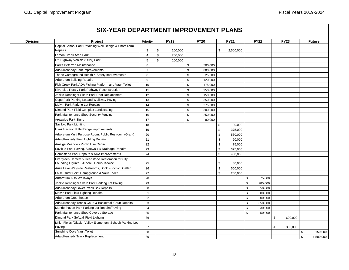## **Project Priority FY19 FY20 FY21 FY22 FY23 Future SIX-YEAR DEPARTMENT IMPROVEMENT PLANS Division** Capital School Park Retaining Wall-Design & Short Term Repairs 3 \$ 200,000 \$ 2,500,000 Lemon Creek Area Park  $\begin{array}{ccc} 4 & 1 & 250,000 \end{array}$ Off-Highway Vehicle (OHV) Park  $\begin{array}{ccc} 1 & 5 & 5 \end{array}$  5 100,000 Parks Deferred Maintenance 6 \$ 500,000 \$ 500,000 \$ 500,000 \$ 500,000 \$ 500,000 \$ 500,000 \$ 500,000 \$ Adair/Kennedy Park Improvements 7 | | \$ 800,000 Thane Campground Health & Safety Improvements 8 \$ 25,000 Arboretum Building Repairs **120,000 building Repairs** 120,000 Fish Creek Park ADA Fishing Platform and Vault Toilet | 10 | S 175,000 Riverside Rotary Park Pathway Reconstruction 11 | 11 | S 250,000 Jackie Renninger Skate Park Roof Replacement 12 | 12 | 150.000 Cope Park Parking Lot and Walkway Paving 13  $\vert$  13  $\vert$  13  $\vert$  5 350,000 Melvin Park Parking Lot Repairs 14 | 14 | 14 | 15 275,000 Dimond Park Field Complex Landscaping 15 \$ 300,000 Park Maintenance Shop Security Fencing 16 | 16 | S 250,000 Areawide Park Signs 17 \$ 80,000 Savikko Park Lighting 18 100,000 18 18 100,000 18 18 100,000 18 18 100,000 18 18 100,000 18 100,000 1 Hank Harmon Rifle Range Improvements 19 \$ 375,000 Arboretum Multi Purpose Room, Public Restroom (Grant) 20 \$ 530,000 Adair/Kennedy Field Lighting Repairs | \$ 50,000 Amalga Meadows Public Use Cabin 22 \$ 75,000 Savikko Park Paving, Sidewalk & Drainage Repairs 23 \$ 375,000 Homestead Park Repairs & ADA Improvements 24 \$ 450,000 Evergreen Cemetery Headstone Restoration for City Founding Figures - Juneau, Harris, Kowee 25 \$ 25 \$ 30,000 Auke Lake Wayside Restrooms, Dock & Picnic Shelter 26 \$50,000 False Outer Point Campground & Vault Toilet 27 \$ 200,000 Arboretum ADA Walkways 28 \$ 75,000 Jackie Renninger Skate Park Parking Lot Paving 29 \$ 285,000 Adair/Kennedy Lower Press Box Repairs 30 \$ 50,000 Melvin Park Field Lighting Repairs 31 \$ 500,000 Arboretum Greenhouse 32 \$ 200,000 Adair/Kennedy Tennis Court & Basketball Court Repairs \$ 33 \$ 350,000 \$ 350,000 \$ 350,000 Mendenhaven Park Parking Lot Repairs/Paving 34 \$ 30,000 Park Maintenance Shop Covered Storage 35 \$ 50,000 Dimond Park Softball Field Lighting 36 \$ 600,000 Miller Fields (Glacier Valley Elementary School) Parking Lot Paving 300,000 (37 ) 37 (200 ) (37 ) (201 ) (300,000 ) (300,000 ) (300,000 ) (300,000 ) (300,000 ) (300,000 ) (

Sunshine Cove Vault Toilet 150,000 (Sunshine Cove Vault Toilet 150,000 (Sunshine Cove Vault Toilet 150,000 (Sunshine Cove Vault Toilet 150,000 (Sunshine Cove Vault Toilet 150,000 (Sunshine Cove Vault Toilet 150,000 (Sunshi Adair/Kennedy Track Replacement 39 \$ | \$ 1,500,000 \$ 1,500,000 \$ 1,500,000 \$ 1,500,000 \$ 1,500,000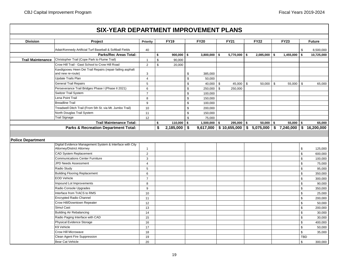|                          |                                                                                |                                |          |                |               | <b>SIX-YEAR DEPARTMENT IMPROVEMENT PLANS</b> |              |                      |                |                                                                   |                            |               |
|--------------------------|--------------------------------------------------------------------------------|--------------------------------|----------|----------------|---------------|----------------------------------------------|--------------|----------------------|----------------|-------------------------------------------------------------------|----------------------------|---------------|
| <b>Division</b>          | <b>Project</b>                                                                 | Priority                       |          | <b>FY19</b>    |               | <b>FY20</b>                                  | <b>FY21</b>  |                      | <b>FY22</b>    | <b>FY23</b>                                                       |                            | <b>Future</b> |
|                          | Adair/Kennedy Artificial Turf Baseball & Softball Fields                       | 40                             |          |                |               |                                              |              |                      |                |                                                                   | \$                         |               |
|                          | <b>Parks/Rec Areas Total:</b>                                                  |                                |          |                |               |                                              |              |                      |                |                                                                   | \$                         | 8,500,000     |
| <b>Trail Maintenance</b> | Christopher Trail (Cope Park to Flume Trail)                                   |                                | \$       | $900,000$ \$   |               | $3,800,000$ \$                               |              | $5,770,000$ \$       | $2,085,000$ \$ | 1,455,000                                                         |                            | 10,725,000    |
|                          | Crow Hill Trail - Gast School to Crow Hill Road                                | $\mathbf{1}$<br>$\overline{2}$ | \$<br>\$ | 90,000         |               |                                              |              |                      |                |                                                                   |                            |               |
|                          |                                                                                |                                |          | 20,000         |               |                                              |              |                      |                |                                                                   |                            |               |
|                          | Kaxdigoowu Heen Dei Trail Repairs (repair failing asphalt<br>and new re-route) | 3                              |          |                | \$            | 385,000                                      |              |                      |                |                                                                   |                            |               |
|                          | Update Trails Plan                                                             | $\overline{4}$                 |          |                | $\mathfrak s$ | 50,000                                       |              |                      |                |                                                                   |                            |               |
|                          | <b>General Trail Repairs</b>                                                   | 5                              |          |                | \$            | $40,000$ \ \$                                |              | 45,000 $\frac{1}{3}$ | 50,000         | \$<br>55,000                                                      | \$                         | 65,000        |
|                          | Perseverance Trail Bridges Phase I (Phase II 2021)                             | 6                              |          |                | \$            | 250,000                                      | $\mathbb{S}$ | 250,000              |                |                                                                   |                            |               |
|                          | Switzer Trail System                                                           | $\overline{7}$                 |          |                | \$            | 100,000                                      |              |                      |                |                                                                   |                            |               |
|                          | Lena Point Trail                                                               | 8                              |          |                | \$            | 150,000                                      |              |                      |                |                                                                   |                            |               |
|                          | <b>Breadline Trail</b>                                                         | 9                              |          |                | $\mathbb{S}$  | 100,000                                      |              |                      |                |                                                                   |                            |               |
|                          | Treadwell Ditch Trail (From 5th St. via Mt. Jumbo Trail)                       | 10                             |          |                | \$            | 200,000                                      |              |                      |                |                                                                   |                            |               |
|                          | North Douglas Trail System                                                     | 11                             |          |                | \$            | 150,000                                      |              |                      |                |                                                                   |                            |               |
|                          | <b>Trail Signage</b>                                                           | 12                             |          |                | $\mathbb{S}$  | 75,000                                       |              |                      |                |                                                                   |                            |               |
|                          | <b>Trail Maintenance Total:</b>                                                |                                | \$       | $110,000$ \$   |               | $1,500,000$ \$                               |              | $295,000$ \$         | $50,000$ \$    | $55,000$ \$                                                       |                            | 65,000        |
|                          | <b>Parks &amp; Recreation Department Total:</b>                                |                                | \$       | $2,185,000$ \$ |               |                                              |              |                      |                | $9,617,000$ \$ 10,655,000 \$ 5,075,000 \$ 7,240,000 \$ 16,200,000 |                            |               |
| <b>Police Department</b> | Digital Evidence Management System & Interface with City                       |                                |          |                |               |                                              |              |                      |                |                                                                   |                            |               |
|                          | Attorney/District Attorney                                                     | $\mathbf{1}$                   |          |                |               |                                              |              |                      |                |                                                                   | \$                         | 125,000       |
|                          | <b>CAD System Replacement</b>                                                  | 2                              |          |                |               |                                              |              |                      |                |                                                                   | $\mathbb{S}$               | 600,000       |
|                          | <b>Communications Center Furniture</b>                                         | 3                              |          |                |               |                                              |              |                      |                |                                                                   | \$                         | 100,000       |
|                          | JPD Needs Assessment                                                           | $\overline{\mathbf{4}}$        |          |                |               |                                              |              |                      |                |                                                                   | \$                         | 75,000        |
|                          | Radio Study                                                                    | 5                              |          |                |               |                                              |              |                      |                |                                                                   | \$                         | 95,000        |
|                          | <b>Building Flooring Replacement</b>                                           | 6                              |          |                |               |                                              |              |                      |                |                                                                   | \$                         | 350,000       |
|                          | <b>EOD Vehicle</b>                                                             | $\overline{7}$                 |          |                |               |                                              |              |                      |                |                                                                   | $\mathbb S$                | 300,000       |
|                          | Impound Lot Improvements                                                       | 8                              |          |                |               |                                              |              |                      |                |                                                                   | \$                         | 90,000        |
|                          | Radio Console Upgrades                                                         | 9                              |          |                |               |                                              |              |                      |                |                                                                   | \$                         | 350,000       |
|                          | Interface from TrACS to RMS                                                    | 10                             |          |                |               |                                              |              |                      |                |                                                                   | \$                         | 25,000        |
|                          | Encrypted Radio Channel                                                        | 11                             |          |                |               |                                              |              |                      |                |                                                                   | \$                         | 200,000       |
|                          | Crow Hill/Downtown Repeater                                                    | 12                             |          |                |               |                                              |              |                      |                |                                                                   | $$\mathbb{S}$$             | 50,000        |
|                          | Simul Cast                                                                     | 13                             |          |                |               |                                              |              |                      |                |                                                                   | \$                         | 200,000       |
|                          | <b>Building Air Rebalancing</b>                                                | 14                             |          |                |               |                                              |              |                      |                |                                                                   | $\mathbb S$                | 30,000        |
|                          |                                                                                |                                |          |                |               |                                              |              |                      |                |                                                                   |                            | 30,000        |
|                          | Radio Paging Interface with CAD                                                | 15                             |          |                |               |                                              |              |                      |                |                                                                   | \$                         |               |
|                          | Physical Evidence Storage                                                      | 16                             |          |                |               |                                              |              |                      |                |                                                                   | \$                         | 400,000       |
|                          | K9 Vehicle                                                                     | 17                             |          |                |               |                                              |              |                      |                |                                                                   | $\mathbb S$                | 50,000        |
|                          | Crow Hill Microwave                                                            | 18                             |          |                |               |                                              |              |                      |                |                                                                   | $\,$                       |               |
|                          | Clean Agent Fire Suppression<br><b>Bear Cat Vehicle</b>                        | 19                             |          |                |               |                                              |              |                      |                |                                                                   | <b>TBD</b><br>$\mathbb{S}$ | 35,000        |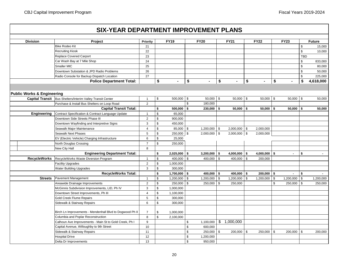### **Project Priority FY19 FY20 FY21 FY22 FY23 Future SIX-YEAR DEPARTMENT IMPROVEMENT PLANS Division** Bike Rodeo Kit 21 \$ 15,000 Recruiting Kiosk 22 \$ 10,000 Replace Covered Carport 23 TBD Car Wash Bay at 7 Mile Shop 233,000 (24 \$ 833,000 ) 24 \$ 833,000 (25 \$ 833,000 ) [ 24 \$ 833,000 ] Smaller MIC 25 \$ 80,000 Downtown Substation & JPD Radio Problems 26 \$ 50,000 Radio Console for Backup Dispatch Location 27 | 27 | 225,000 | 27 | 225,000 | 27 | 225,000 | 27 | 225,000 | 27 **\$ - \$ - \$ - \$ - \$ - \$ 4,618,000 Capital Transit** Rus Shelters/Interim Valley Transit Center | 1 | \$ 50,000 | \$ 50,000 | \$ 50,000 | \$ 50,000 | \$ 50,000 | \$ 50,000 | \$ Purchase & Install Bus Shelters on Loop Road 2 2 | S 180,000 **\$ 500,000 \$ 230,000 \$ 50,000 \$ 50,000 \$ 50,000 \$ 50,000** Contract Specification & Contract Language Update 1 1 \$ 65,000 Downtown Side Streets Phase III 2 \$ 900,000 Downtown Wayfinding and Interpretive Signs 3 \$ 450,000 Seawalk Major Maintenance 4 4 \$ 85,000 \$ 1,200,000 \$ 2,000,000 \$ 2,000,000 Seawalk Next Phases 5 250,000 2,000,000 2,000,000 2,000,000 EV (Electric Vehicle) Charging Infrastructure  $\begin{array}{ccc} \vert & 6 \vert & \vert & 3 \end{array}$  25,000 North Douglas Crossing **1988** 250,000 New City Hall 8 **\$ 2,025,000 \$ 3,200,000 \$ 4,000,000 \$ 4,000,000 \$ - \$ -** RecycleWorks Waste Diversion Program 1 \$ 400,000 \$ 400,000 \$ 400,000 \$ 200,000 Facility Upgrades  $\begin{array}{ccc} \vert & 2 & \vert & 1,000,000 \end{array}$ Water Building Upgrades 300,000 **\$ 1,700,000 \$ 400,000 \$ 400,000 \$ 200,000 \$ - \$ -** Pavement Management 1 5 1 | 1 | 1 | 1 | 1,200,000 | 3 1,200,000 | 5 1,200,000 | 3 1,200,000 | 5 1,200,000 | 3 1,200,000 | 3 1,200,000 | 3 1,200,000 | 3 1,200,000 | 3 1,200,000 | 3 1,200,000 | 3 1,200,000 | 3 1,200,000 | 3 Areawide Drainage Improvements 2 \$ 250,000 \$ 250,000 \$ 250,000 \$ 250,000 \$ 250,000 McGinnis Subdivision Improvements, LID, Ph IV 3 \$ 1,000,000 Downtown Street Improvements, Ph III  $\vert$  4 \ \$ 1,100,000 Gold Creek Flume Repairs 6 1 1 200 1 200 1 200 1 200 1 200 1 200 1 200 1 200 1 200 1 200 1 200 1 200 1 200 1 20 Sidewalk & Stairway Repairs **6 18 and 5 and 5 and 5 and 5 and 5 and 5 and 5 and 5 and 5 and 5 and 5 and 5 and 5 and 5 and 5 and 5 and 5 and 5 and 5 and 5 and 5 and 5 and 5 and 5 and 5 and 5 and 5 and 5 and 5 and 5 and 5 an** Birch Ln Improvements - Mendenhall Blvd to Dogwood Ph II  $\vert$  7  $\vert$  \$ 1,000,000 Columbia and Poplar Reconstruction 1 8 8 \$ 2,100,000 Calhoun Ave Improvements - Main St to Gold Creek, Ph I  $\qquad \qquad \qquad \qquad \mid$  9  $\qquad \qquad \mid$  \$ 1,100,000  $\mid \$$  1,000,000 Capital Avenue, Willoughby to 9th Street 10  $\vert$  10  $\vert$  10  $\vert$  5 600,000 Sidewalk & Stairway Repairs 11 \$ 250,000 \$ 200,000 \$ 250,000 \$ 200,000 \$ 200,000 Hospital Drive 12 \$ 1,200,000 Delta Dr Improvements 13 | 13 | 13 | \$ 950,000 **RecycleWorks Total: RecycleWorks Engineering Department Total: Public Works & Engineering Police Department Total: Capital Transit Total: Streets Engineering**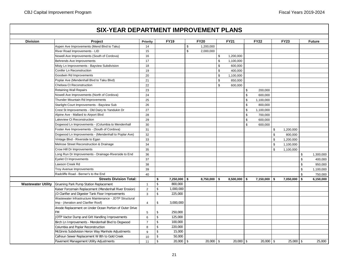# **Project Priority FY19 FY20 FY21 FY22 FY23 Future SIX-YEAR DEPARTMENT IMPROVEMENT PLANS Division** Aspen Ave Improvements (Mend Blvd to Taku) 14 | 14 | \$ 1,200,000 River Road Improvements - LID 15 \$ 2,000,000 Nowell Ave Improvements (South of Cordova) | 16 | | \$ 1,200,000

|                           | Nowell Ave Improvements (South of Cordova)              | 16             |                    |                |                | \$<br>1,200,000 |                 |    |                |                 |
|---------------------------|---------------------------------------------------------|----------------|--------------------|----------------|----------------|-----------------|-----------------|----|----------------|-----------------|
|                           | Behrends Ave Improvements                               | 17             |                    |                |                | \$<br>1,100,000 |                 |    |                |                 |
|                           | Misty Ln Improvements - Bayview Subdivision             | 18             |                    |                |                | \$<br>600,000   |                 |    |                |                 |
|                           | Conifer Ln Reconstruction                               | 19             |                    |                |                | \$<br>400,000   |                 |    |                |                 |
|                           | Goodwin Rd Improvements                                 | 20             |                    |                |                | \$<br>1,100,000 |                 |    |                |                 |
|                           | Poplar Ave (Mendenhall Blvd to Taku Blvd)               | 21             |                    |                |                | \$<br>850,000   |                 |    |                |                 |
|                           | Chelsea Ct Reconstruction                               | 22             |                    |                |                | \$<br>600,000   |                 |    |                |                 |
|                           | <b>Retaining Wall Repairs</b>                           | 23             |                    |                |                |                 | \$<br>200,000   |    |                |                 |
|                           | Nowell Ave Improvements (North of Cordova)              | 24             |                    |                |                |                 | \$<br>600,000   |    |                |                 |
|                           | Thunder Mountain Rd Improvements                        | 25             |                    |                |                |                 | \$<br>1,100,000 |    |                |                 |
|                           | Starlight Court Improvements - Bayview Sub              | 26             |                    |                |                |                 | \$<br>800,000   |    |                |                 |
|                           | Crest St Improvements - Old Dairy to Yandukin Dr        | 27             |                    |                |                |                 | \$<br>1,100,000 |    |                |                 |
|                           | Alpine Ave - Mallard to Airport Blvd                    | 28             |                    |                |                |                 | \$<br>700,000   |    |                |                 |
|                           | Lakeview Ct Reconstruction                              | 29             |                    |                |                |                 | \$<br>600,000   |    |                |                 |
|                           | Dogwood Ln Improvements - (Columbia to Mendenhall       | 30             |                    |                |                |                 | \$<br>600,000   |    |                |                 |
|                           | Foster Ave Improvements - (South of Cordova)            | 31             |                    |                |                |                 |                 | S  | 1,200,000      |                 |
|                           | Dogwood Ln Improvements - (Mendenhall to Poplar Ave)    | 32             |                    |                |                |                 |                 | \$ | 800,000        |                 |
|                           | Vintage Blvd - Riverside to Egan                        | 33             |                    |                |                |                 |                 | \$ | 1,200,000      |                 |
|                           | Melrose Street Reconstruction & Drainage                | 34             |                    |                |                |                 |                 | \$ | 1,100,000      |                 |
|                           | Crow Hill Dr Improvements                               | 35             |                    |                |                |                 |                 | \$ | 1,100,000      |                 |
|                           | Long Run Dr Improvements - Drainage-Riverside to End    | 36             |                    |                |                |                 |                 |    |                | \$<br>1,300,000 |
|                           | <b>Eyelet Ct Improvements</b>                           | 37             |                    |                |                |                 |                 |    |                | \$<br>400,000   |
|                           | Lawson Creek Rd                                         | 38             |                    |                |                |                 |                 |    |                | \$<br>950,000   |
|                           | Troy Avenue Improvements                                | 39             |                    |                |                |                 |                 |    |                | \$<br>1,100,000 |
|                           | Radcliffe Road - Berner's to the End                    | 40             |                    |                |                |                 |                 |    |                | \$<br>750,000   |
|                           | <b>Streets Division Total:</b>                          |                | \$                 | $7,250,000$ \$ | $8,750,000$ \$ | $8,500,000$ \$  | $7,150,000$ \$  |    | $7,050,000$ \$ | 6,150,000       |
| <b>Wastewater Utility</b> | Gruening Park Pump Station Replacement                  | $\mathbf{1}$   | $\mathbf{\hat{S}}$ | 800,000        |                |                 |                 |    |                |                 |
|                           | Kaiser Forcemain Replacement (Mendenhall River Erosion) | $\overline{2}$ | \$                 | 1,000,000      |                |                 |                 |    |                |                 |
|                           | JD Clarifier and Digester Tank Floor Improvements       | $\mathbf{3}$   | \$                 | 225,000        |                |                 |                 |    |                |                 |
|                           | Wastewater Infrastructure Maintenance - JDTP Structural |                |                    |                |                |                 |                 |    |                |                 |
|                           | Imp - (Aeration and Clarifier Roof)                     | 4              | \$                 | 3,000,000      |                |                 |                 |    |                |                 |
|                           | Anode Replacement on Under Ocean Portion of Outer Drive |                |                    |                |                |                 |                 |    |                |                 |
|                           | <b>FM</b>                                               | 5              | \$                 | 250,000        |                |                 |                 |    |                |                 |
|                           | JDTP Vactor Dump and Grit Handling Improvements         | 6              | $\mathsf{\$}$      | 125,000        |                |                 |                 |    |                |                 |
|                           | Birch Ln Improvements - Mendenhall Blvd to Dogwood      | $\overline{7}$ | $\mathbf{\hat{S}}$ | 100,000        |                |                 |                 |    |                |                 |
|                           | Columbia and Poplar Reconstruction                      | 8              | \$                 | 220,000        |                |                 |                 |    |                |                 |
|                           | McGinnis Subdivision Heron Way Manhole Adjustments      | 9              | \$                 | 15,000         |                |                 |                 |    |                |                 |
|                           | Calhoun Sewer Replacement W 8th to Gold Creek           | 10             |                    | 50,000         |                |                 |                 |    |                |                 |
|                           | Pavement Management Utility Adjustments                 | 11             | \$                 | $20,000$ \ \$  | $20,000$ \$    | $20,000$ \ \$   | $20,000$ \$     |    | $25,000$ \ \$  | 25,000          |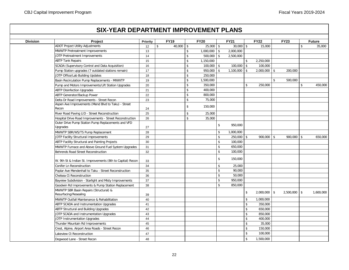# **SIX-YEAR DEPARTMENT IMPROVEMENT PLANS**

| <b>Division</b> | Project                                                    | Priority | <b>FY19</b>         |                    | <b>FY20</b>   |                         | <b>FY21</b>      |                    | <b>FY22</b>    |               | <b>FY23</b>      | <b>Future</b> |
|-----------------|------------------------------------------------------------|----------|---------------------|--------------------|---------------|-------------------------|------------------|--------------------|----------------|---------------|------------------|---------------|
|                 | <b>ADOT Project Utility Adjustments</b>                    | 12       | $40,000$ \ \$<br>\$ |                    | $25,000$ \ \$ |                         | $30,000$   \$    |                    | 15,000         |               |                  | \$<br>35,000  |
|                 | MWWTP Pretreatment Improvements                            | 13       |                     | $\mathsf{\$}$      | 1,000,000     | $\sqrt[6]{\frac{1}{2}}$ | 2,000,000        |                    |                |               |                  |               |
|                 | JDTP Pretreatment Improvements                             | 14       |                     | $\mathsf{\$}$      | 500,000       | \$                      | 2,500,000        |                    |                |               |                  |               |
|                 | <b>ABTP Tank Repairs</b>                                   | 15       |                     | $\mathsf{\$}$      | 1,150,000     |                         |                  | \$                 | 2,250,000      |               |                  |               |
|                 | SCADA (Supervisory Control and Data Acquisition)           | 16       |                     | $\mathbf{\hat{s}}$ | 100,000       | \$                      | $100,000$ \$     |                    | 100,000        |               |                  |               |
|                 | Pump Station upgrades (7 outdated stations remain)         | 17       |                     | $\mathsf{\$}$      | 950,000       | \$                      | $1,100,000$ \ \$ |                    | $2,000,000$ \$ |               | 200,000          |               |
|                 | JDTP Office/Lab Building Updates                           | 18       |                     | $\frac{1}{2}$      | 250,000       |                         |                  |                    |                |               |                  |               |
|                 | Basin Recirculation Pump Replacements - MWWTP              | 19       |                     | $\mathsf{\$}$      | 1,500,000     |                         |                  |                    |                | $\mathsf{\$}$ | 500,000          |               |
|                 | Pump and Motors Improvements/Lift Station Upgrades         | 20       |                     | $\mathsf{\$}$      | 350,000       |                         |                  | $\mathbf{\hat{S}}$ | 250,000        |               |                  | \$<br>450,000 |
|                 | <b>ABTP Disinfection Upgrades</b>                          | 21       |                     | $\mathsf{\$}$      | 400,000       |                         |                  |                    |                |               |                  |               |
|                 | ABTP Generator/Backup Power                                | 22       |                     | $\mathsf{\$}$      | 800,000       |                         |                  |                    |                |               |                  |               |
|                 | Delta Dr Road Improvements - Street Recon                  | 23       |                     | $\mathsf{\$}$      | 75,000        |                         |                  |                    |                |               |                  |               |
|                 | Aspen Ave Improvements (Mend Blvd to Taku) - Street        |          |                     | $\frac{1}{2}$      | 150,000       |                         |                  |                    |                |               |                  |               |
|                 | Recon                                                      | 24       |                     |                    |               |                         |                  |                    |                |               |                  |               |
|                 | River Road Paving LID - Street Reconstruction              | 25       |                     | $\mathbf{\hat{s}}$ | 25,000        |                         |                  |                    |                |               |                  |               |
|                 | Hospital Drive Road Improvements - Street Reconstruction   | 26       |                     | $\mathsf{s}$       | 35,000        |                         |                  |                    |                |               |                  |               |
|                 | Outer Drive Pump Station Pump Replacements and VFD         |          |                     |                    |               | \$                      | 950,000          |                    |                |               |                  |               |
|                 | Upgrades                                                   | 27       |                     |                    |               |                         |                  |                    |                |               |                  |               |
|                 | MWWTP SBR/WS/TS Pump Replacement                           | 28       |                     |                    |               | \$                      | 1,000,000        |                    |                |               |                  |               |
|                 | JDTP Facility Structural Improvements                      | 29       |                     |                    |               | $\mathbf{\hat{S}}$      | $250,000$ \$     |                    | $900,000$ \$   |               | $900,000$ \$     | 650,000       |
|                 | ABTP Facility Structural and Painting Projects             | 30       |                     |                    |               | \$                      | 100,000          |                    |                |               |                  |               |
|                 | MWWTP Furnace and Above Ground Fuel System Upgrades        | 31       |                     |                    |               | \$                      | 650,000          |                    |                |               |                  |               |
|                 | Behrends Road Street Reconstruction                        | 32       |                     |                    |               | \$                      | 100,000          |                    |                |               |                  |               |
|                 |                                                            |          |                     |                    |               | \$                      | 150,000          |                    |                |               |                  |               |
|                 | W. 9th St & Indian St. Improvements (8th to Capital) Recon | 33       |                     |                    |               |                         |                  |                    |                |               |                  |               |
|                 | <b>Conifer Ln Reconstruction</b>                           | 34       |                     |                    |               | \$                      | 25,000           |                    |                |               |                  |               |
|                 | Poplar Ave Mendenhall to Taku - Street Reconstruction      | 35       |                     |                    |               | \$                      | 90,000           |                    |                |               |                  |               |
|                 | Chelsea Ct Reconstruction                                  | 36       |                     |                    |               | \$                      | 50,000           |                    |                |               |                  |               |
|                 | Bayview Subdivision - Starlight and Misty Improvements     | 37       |                     |                    |               | \$                      | 950,000          |                    |                |               |                  |               |
|                 | Goodwin Rd Improvements & Pump Station Replacement         | 38       |                     |                    |               | \$                      | 850,000          |                    |                |               |                  |               |
|                 | MWWTP SBR Basin Repairs (Structural) &                     |          |                     |                    |               |                         |                  | \$                 | $2,000,000$ \$ |               | $2,500,000$ \ \$ | 1,600,000     |
|                 | Resurfacing/Resealing                                      | 39       |                     |                    |               |                         |                  |                    |                |               |                  |               |
|                 | MWWTP Outfall Maintenance & Rehabilitation                 | 40       |                     |                    |               |                         |                  | \$                 | 1,000,000      |               |                  |               |
|                 | ABTP SCADA and Instrumentation Upgrades                    | 41       |                     |                    |               |                         |                  | $\mathbf S$        | 350,000        |               |                  |               |
|                 | ABTP Structural and Building Upgrades                      | 42       |                     |                    |               |                         |                  | \$                 | 650,000        |               |                  |               |
|                 | JDTP SCADA and Instrumentation Upgrades                    | 43       |                     |                    |               |                         |                  | \$                 | 850,000        |               |                  |               |
|                 | JDTP Instrumentation Upgrades                              | 44       |                     |                    |               |                         |                  | $\mathbf{\hat{S}}$ | 400,000        |               |                  |               |
|                 | Thunder Mountain Rd Improvements                           | 45       |                     |                    |               |                         |                  | \$                 | 35,000         |               |                  |               |
|                 | Crest, Alpine, Airport Area Roads - Street Recon           | 46       |                     |                    |               |                         |                  | \$                 | 150,000        |               |                  |               |
|                 | Lakeview Ct Reconstruction                                 | 47       |                     |                    |               |                         |                  | $\mathbf{\hat{S}}$ | 100,000        |               |                  |               |
|                 | Dogwood Lane - Street Recon                                | 48       |                     |                    |               |                         |                  | $\mathbf{\hat{S}}$ | 1,500,000      |               |                  |               |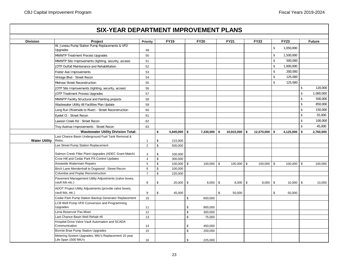## **Project Priority FY19 FY20 FY21 FY22 FY23 Future SIX-YEAR DEPARTMENT IMPROVEMENT PLANS Division** W. Juneau Pump Station Pump Replacements & VFD Upgrades and the current conduction of the conduction of the conduction of the conduction of the conduction of the conduction of the conduction of the conduction of the conduction of the conduction of the conduction of the MWWTP Treatment Process Upgrades 50 \$ 1,500,000 \$ 1,500,000 \$ 1,500,000 \$ 1,500,000 \$ 1,500,000 \$ 1,500 \$ 1,500 \$ 1,500 \$ 1,500 \$ 1,500 \$ 1,500 \$ 1,500 \$ 1,500 \$ 1,500 \$ 1,500 \$ 1,500 \$ 1,500 \$ 1,500 \$ 1,500 \$ 1 MWWTP Site Improvements (lighting, security, access)  $\begin{vmatrix} 51 \end{vmatrix}$  51  $\begin{vmatrix} 1 \end{vmatrix}$  51  $\begin{vmatrix} 1 \end{vmatrix}$  500,000 JDTP Outfall Maintenance and Rehabilitation 52 \$ 1,000,000 \$ 1,000,000 \$ 1,000,000 \$ 1,000,000 \$ 1,000 Foster Ave Improvements 53 \$ 200,000 Vintage Blvd - Street Recon 54 \$ 125,000 Melrose Street Reconstruction 55 \$ 125,000 JDTP Site Improvements (lighting, security, access) 56 \$ 120,000 JDTP Treatment Process Upgrades 57 \$ | \$ 1,000,000 \$ | \$ 1,000,000 \$ | \$ 1,000,000 \$ | \$ 1,000,000 MWWTP Facility Structural and Painting projects **58 \$ 500,000** \$ 500,000 \$ 500,000 Wastewater Utility All Facilities Plan Update 59 \$ \$50,000 \$ \$ 850,000 \$ \$ \$ 850,000 \$ \$ \$ 850,000 \$ Long Run (Riverside to River) - Street Reconstruction 60 \$ 150,000 \$ 150,000 \$ 150,000 \$ 150,000 \$ 150,000 Eyelet Ct - Street Recon 61 \$ 55,000 \$ 55,000 \$ 55,000 \$ 55,000 \$ 55,000 \$ 55,000 \$ 55,000 \$ 55,000 \$ 55,000 \$ 55,000 \$ 55,000 \$ 55,000 \$ 55,000 \$ 55,000 \$ 55,000 \$ 55,000 \$ 55,000 \$ 55,000 \$ 55,000 \$ 55,000 Lawson Creek Rd - Street Recon 62 \$ 100,000 Troy Avenue Improvements - Street Recon 63 \$ 45,000 **\$ 5,845,000 \$ 7,330,000 \$ 10,915,000 \$ 12,570,000 \$ 4,125,000 \$ 2,760,000** Last Chance Basin Underground Fuel Tank Removal & Reloc. 215,000  $\begin{array}{|c|c|c|c|c|c|c|c|} \hline \text{reloc.} & & & & \text{1} & \text{\$} & & \text{215,000} \ \hline \end{array}$ Lee Street Pump Station Replacement 1 1 2 | \$ 500,000 Salmon Creek Filter Plant Upgrades (ADEC Grant Match) | 3 | \$ 100,000 Crow Hill and Cedar Park PS Control Updates  $\begin{array}{ccc} 4 & 1 & 1 & 300,000 \\ 4 & 1 & 1 & 300,000 \end{array}$ Areawide Watermain Repairs | 5 | \$ 100,000 | \$ 100,000 | \$ 100,000 | \$ 100,000 | \$ 100,000 Birch Lane Mendenhall to Dogwood - Street Recon 6 \$ 100,000 Columbia and Poplar Reconstruction 1991 1991 1991 1992 120,000 Pavement Management Utility Adjustments (valve boxes, vault lids etc.) | 8 | \$ 20,000 | \$ 8,000 | \$ 8,000 | \$ 10,000 | \$ 10,000 | ADOT Project Utility Adjustments (provide valve boxes, vault lids, etc.) | 9 | \$ 45,000 | | \$ 50,000 | | \$ 50,000 Cedar Park Pump Station Backup Generator Replacement 10 \$ 600,000 LCB Well Pump VFD Conversion and Programming Upgrades 11 \$ 900,000 Lena Reservoir Pax Mixer 12 to the service of the service of the service of the service of the service of the s Last Chance Basin Well Rehab #6 13 13 13  $\vert$  5 75.000 Hospital Drive Valve Vault Automation and SCADA Communication 14 \$ 450,000 Bonnie Brae Pump Station Upgrades 15 \$ 200,000 Metering System Upgrades, MIU's Replacement 10 year Life Span 1500 MIU's 16 3 225,000 16 3 225,000 16 3 225,000 16 3 225,000 16 3 225,000 16 3 225,000 16 3 225,000 **Water Utility Wastewater Utility Division Total:**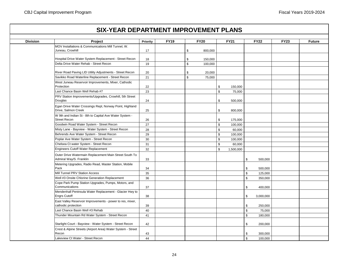|                 | <b>SIX-YEAR DEPARTMENT IMPROVEMENT PLANS</b>                                                     |          |             |                   |             |             |                    |                 |             |               |
|-----------------|--------------------------------------------------------------------------------------------------|----------|-------------|-------------------|-------------|-------------|--------------------|-----------------|-------------|---------------|
| <b>Division</b> | Project                                                                                          | Priority | <b>FY19</b> |                   | <b>FY20</b> |             | <b>FY21</b>        | <b>FY22</b>     | <b>FY23</b> | <b>Future</b> |
|                 | MOV Installations & Communications Mill Tunnel, W.                                               |          |             |                   |             |             |                    |                 |             |               |
|                 | Juneau, Crowhill                                                                                 | 17       |             | \$                | 800,000     |             |                    |                 |             |               |
|                 |                                                                                                  |          |             |                   |             |             |                    |                 |             |               |
|                 | Hospital Drive Water System Replacement - Street Recon<br>Delta Drive Water Rehab - Street Recon | 18<br>19 |             | \$<br>$\mathbb S$ | 150,000     |             |                    |                 |             |               |
|                 |                                                                                                  |          |             |                   | 100,000     |             |                    |                 |             |               |
|                 | River Road Paving LID Utility Adjustments - Street Recon                                         | 20       |             | \$                | 20,000      |             |                    |                 |             |               |
|                 | Savikko Road Waterline Replacement - Street Recon                                                | 21       |             | \$                | 75,000      |             |                    |                 |             |               |
|                 | West Juneau Reservoir Improvements, Mixer, Cathodic                                              |          |             |                   |             |             |                    |                 |             |               |
|                 | Protection                                                                                       | 22       |             |                   |             | \$          | 150,000            |                 |             |               |
|                 | Last Chance Basin Well Rehab #7                                                                  | 23       |             |                   |             | \$          | 75,000             |                 |             |               |
|                 | PRV Station Improvements/Upgrades, Crowhill, 5th Street                                          |          |             |                   |             |             |                    |                 |             |               |
|                 | Douglas                                                                                          | 24       |             |                   |             | \$          | 500,000            |                 |             |               |
|                 | Egan Drive Water Crossings Repl, Norway Point, Highland                                          |          |             |                   |             |             |                    |                 |             |               |
|                 | Drive, Salmon Creek                                                                              | 25       |             |                   |             | \$          | 800,000            |                 |             |               |
|                 | W 9th and Indian St - 8th to Capital Ave Water System -<br><b>Street Recon</b>                   |          |             |                   |             |             |                    |                 |             |               |
|                 | Goodwin Road Water System - Street Recon                                                         | 26<br>27 |             |                   |             | \$<br>\$    | 175,000<br>100,000 |                 |             |               |
|                 | Misty Lane - Bayview - Water System - Street Recon                                               | 28       |             |                   |             | \$          | 60,000             |                 |             |               |
|                 | Behrends Ave Water System - Street Recon                                                         | 29       |             |                   |             | $\mathbb S$ | 100,000            |                 |             |               |
|                 | Poplar Ave Water System - Street Recon                                                           | 30       |             |                   |             | \$          | 100,000            |                 |             |               |
|                 | Chelsea Ct water System - Street Recon                                                           | 31       |             |                   |             | \$          | 60,000             |                 |             |               |
|                 | Engineers Cutoff Water Replacement                                                               | 32       |             |                   |             | \$          | 1,500,000          |                 |             |               |
|                 | Outer Drive Watermain Replacement Main Street South To<br>Admiral Way/S. Franklin                | 33       |             |                   |             |             |                    | \$<br>500,000   |             |               |
|                 | Metering Upgrades, Radio Read, Master Station, Mobile                                            |          |             |                   |             |             |                    |                 |             |               |
|                 | Pack                                                                                             | 34       |             |                   |             |             |                    | \$<br>500,000   |             |               |
|                 | Mill Tunnel PRV Station Access                                                                   | 35       |             |                   |             |             |                    | \$<br>125,000   |             |               |
|                 | Well #3 Onsite Chlorine Generation Replacement                                                   | 36       |             |                   |             |             |                    | \$<br>350,000   |             |               |
|                 | Cope Park Pump Station Upgrades, Pumps, Motors, and<br>Communications                            | 37       |             |                   |             |             |                    | \$<br>400,000   |             |               |
|                 | Mendenhall Peninsula Water Replacement - Glacier Hwy to<br><b>Engrs Cutoff</b>                   | 38       |             |                   |             |             |                    | \$<br>3,000,000 |             |               |
|                 | East Valley Reservoir Improvements - power to res, mixer,<br>cathodic protection                 | 39       |             |                   |             |             |                    | \$<br>250,000   |             |               |
|                 | Last Chance Basin Well #3 Rehab                                                                  | 40       |             |                   |             |             |                    | \$<br>75,000    |             |               |
|                 | Thunder Mountain Rd Water System - Street Recon                                                  | 41       |             |                   |             |             |                    | \$<br>180,000   |             |               |
|                 | Starlight Court - Bayview - Water System - Street Recon                                          | 42       |             |                   |             |             |                    | \$<br>200,000   |             |               |
|                 | Crest & Alpine Streets (Airport Area) Water System - Street<br>Recon                             | 43       |             |                   |             |             |                    | \$<br>300,000   |             |               |
|                 | Lakeview Ct Water - Street Recon                                                                 | 44       |             |                   |             |             |                    | \$<br>100,000   |             |               |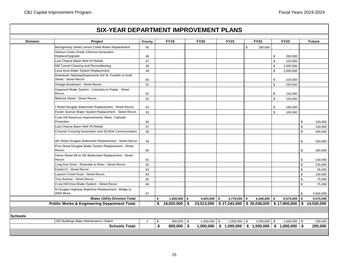п

Ħ.

| <b>Division</b> | Project                                                                       | Priority     | <b>FY19</b>           | <b>FY20</b>                                                  | <b>FY21</b>               |              | <b>FY22</b>    |               | <b>FY23</b>    |     | <b>Future</b> |
|-----------------|-------------------------------------------------------------------------------|--------------|-----------------------|--------------------------------------------------------------|---------------------------|--------------|----------------|---------------|----------------|-----|---------------|
|                 | Montgomery Street Lemon Creek Water Replacement                               | 45           |                       |                                                              |                           | $\mathbb{S}$ | 180,000        |               |                |     |               |
|                 | Salmon Creek Onsite Chlorine Generation                                       |              |                       |                                                              |                           |              |                |               |                |     |               |
|                 | Replace/Upgrade                                                               | 46           |                       |                                                              |                           |              |                | \$            | 260,000        |     |               |
|                 | Last Chance Basin Well #4 Rehab                                               | 47           |                       |                                                              |                           |              |                | $\mathfrak s$ | 100,000        |     |               |
|                 | Mill Tunnel Cleaning and Reconditioning                                       | 48           |                       |                                                              |                           |              |                | \$            | 2,500,000      |     |               |
|                 | Lena Area Water System Replacement                                            | 49           |                       |                                                              |                           |              |                | \$            | 2,500,000      |     |               |
|                 | Downtown Stairway/Easements 3rd St. Franklin to Gold<br>Street - Street Recon | 50           |                       |                                                              |                           |              |                | \$            | 220,000        |     |               |
|                 | Vintage Boulevard - Street Recon                                              | 51           |                       |                                                              |                           |              |                | $\mathbb{S}$  | 250,000        |     |               |
|                 | Dogwood Water System - Columbia to Poplar - Street<br>Recon                   | 52           |                       |                                                              |                           |              |                | \$            | 150,000        |     |               |
|                 | Melrose Street - Street Recon                                                 | 53           |                       |                                                              |                           |              |                | $\mathfrak s$ | 150,000        |     |               |
|                 |                                                                               |              |                       |                                                              |                           |              |                |               |                |     |               |
|                 | Street Douglas Watermain Replacement - Street Recon                           | 54           |                       |                                                              |                           |              |                | \$            | 185,000        |     |               |
|                 | Foster Avenue Water System Replacement - Street Recon                         | 55           |                       |                                                              |                           |              |                | $\mathfrak s$ | 100,000        |     |               |
|                 | Crow Hill Reservoir Improvements, Mixer, Cathodic<br>Protection               | 56           |                       |                                                              |                           |              |                |               |                | \$  | 150,000       |
|                 | Last Chance Basin Well #5 Rehab                                               | 57           |                       |                                                              |                           |              |                |               |                | \$  | 100,000       |
|                 | Channel Crossing Automation and SCADA Communication                           | 58           |                       |                                                              |                           |              |                |               |                | \$  | 400,000       |
|                 | 4th Street Douglas Watermain Replacement - Street Recon                       | 59           |                       |                                                              |                           |              |                |               |                | \$  | 250,000       |
|                 | First Street Douglas Water System Replacement - Street                        |              |                       |                                                              |                           |              |                |               |                |     |               |
|                 | Recon                                                                         | 60           |                       |                                                              |                           |              |                |               |                | \$  | 300,000       |
|                 | Harris Street 4th to 5th Watermain Replacement - Street                       |              |                       |                                                              |                           |              |                |               |                |     |               |
|                 | Recon                                                                         | 61           |                       |                                                              |                           |              |                |               |                | \$  | 140,000       |
|                 | Long Run Drive - Riverside to River - Street Recon                            | 62           |                       |                                                              |                           |              |                |               |                | \$  | 225,000       |
|                 | Eyelet Ct - Street Recon                                                      | 63           |                       |                                                              |                           |              |                |               |                | \$  | 45,000        |
|                 | Lawson Creek Road - Street Recon                                              | 64           |                       |                                                              |                           |              |                |               |                | \$  | 100,000       |
|                 | Troy Avenue - Street Recon                                                    | 65           |                       |                                                              |                           |              |                |               |                | \$  | 75,000        |
|                 | Crow Hill Drive Water System - Street Recon                                   | 66           |                       |                                                              |                           |              |                |               |                | \$  | 75,000        |
|                 | N Douglas Highway Waterline Replacement - Bridge to<br>4000 Block             | 67           |                       |                                                              |                           |              |                |               |                | \$  | 3,600,000     |
|                 | <b>Water Utility Division Total:</b>                                          |              | \$<br>$1,600,000$ \$  | $4,003,000$ \$                                               | $3,778,000$ \$            |              | $6,268,000$ \$ |               | $6,575,000$ \$ |     | 5,570,000     |
|                 | <b>Public Works &amp; Engineering Department Total:</b>                       |              | \$<br>$18,920,000$ \$ | $23,513,000$   \$ 27,243,000   \$ 30,038,000   \$ 17,800,000 |                           |              |                |               |                |     | \$14,530,000  |
|                 |                                                                               |              |                       |                                                              |                           |              |                |               |                |     |               |
| <b>Schools</b>  |                                                                               |              |                       |                                                              |                           |              |                |               |                |     |               |
|                 | JSD Buildings Major Maintenance / Match                                       | $\mathbf{1}$ | \$<br>800,000 \$      | $1,000,000$ \$                                               | $1,000,000$ \$            |              | $1,000,000$ \$ |               | $1,000,000$ \$ |     | 200,000       |
|                 | <b>Schools Total:</b>                                                         |              | \$<br>800,000 \$      | 1,000,000                                                    | $$1,000,000$ $$1,000,000$ |              |                |               | \$1,000,000    | -\$ | 200,000       |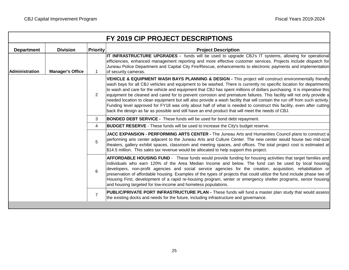| <b>Department</b> | <b>Division</b>         | <b>Priority</b> | <b>Project Description</b>                                                                                                                                                                                                                                                                                                                                                                                                                                                                                                                                                                                                                                                                                                                                                                                                                  |
|-------------------|-------------------------|-----------------|---------------------------------------------------------------------------------------------------------------------------------------------------------------------------------------------------------------------------------------------------------------------------------------------------------------------------------------------------------------------------------------------------------------------------------------------------------------------------------------------------------------------------------------------------------------------------------------------------------------------------------------------------------------------------------------------------------------------------------------------------------------------------------------------------------------------------------------------|
| l Administration  | <b>Manager's Office</b> | $\mathbf 1$     | IT INFRASTRUCTURE UPGRADES - funds will be used to upgrade CBJ's IT systems, allowing for operational<br>efficiencies, enhanced management reporting and more effective customer services. Projects include dispatch for<br>Juneau Police Department and Capital City Fire/Rescue, enhancements to electronic payments and implementation<br>of security cameras.                                                                                                                                                                                                                                                                                                                                                                                                                                                                           |
|                   |                         | 2               | VEHICLE & EQUIPMENT WASH BAYS PLANNING & DESIGN - This project will construct environmentally friendly<br>wash bays for all CBJ vehicles and equipment to be washed. There is currently no specific location for departments<br>to wash and care for the vehicle and equipment that CBJ has spent millions of dollars purchasing. It is imperative this<br>equipment be cleaned and cared for to prevent corrosion and premature failures. This facility will not only provide a<br>needed location to clean equipment but will also provide a wash facility that will contain the run off from such activity.<br>Funding level approved for FY18 was only about half of what is needed to construct this facility, even after cutting<br>back the design as far as possible and still have an end product that will meet the needs of CBJ. |
|                   |                         | 3               | <b>BONDED DEBT SERVICE -</b> These funds will be used for bond debt repayment.                                                                                                                                                                                                                                                                                                                                                                                                                                                                                                                                                                                                                                                                                                                                                              |
|                   |                         | 4               | <b>BUDGET RESERVE</b> - These funds will be used to increase the City's budget reserve.                                                                                                                                                                                                                                                                                                                                                                                                                                                                                                                                                                                                                                                                                                                                                     |
|                   |                         | 5               | JACC EXPANSION - PERFORMING ARTS CENTER - The Juneau Arts and Humanities Council plans to construct a<br>performing arts center adjacent to the Juneau Arts and Culture Center. The new center would house two mid-size<br>theaters, gallery exhibit spaces, classroom and meeting spaces, and offices. The total project cost is estimated at<br>\$14.5 million. This sales tax revenue would be allocated to help support this project.                                                                                                                                                                                                                                                                                                                                                                                                   |
|                   |                         | 6               | AFFORDABLE HOUSING FUND - These funds would provide funding for housing activities that target families and<br>individuals who earn 120% of the Area Median Income and below. The fund can be used by local housing<br>developers, non-profit agencies and social service agencies for the creation, acquisition, rehabilitation or<br>preservation of affordable housing. Examples of the types of projects that could utilize the fund include phase two of<br>Housing First, development of a rapid re-housing program, winter or emergency shelter programs, senior housing<br>and housing targeted for low-income and homeless populations.                                                                                                                                                                                            |
|                   |                         | $\overline{7}$  | PUBLIC/PRIVATE PORT INFRASTRUCTURE PLAN - These funds will fund a master plan study that would assess<br>the existing docks and needs for the future, including infrastructure and governance.                                                                                                                                                                                                                                                                                                                                                                                                                                                                                                                                                                                                                                              |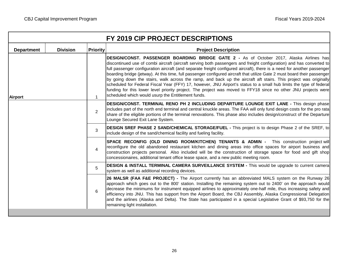|                   |                 |                 | FY 2019 CIP PROJECT DESCRIPTIONS                                                                                                                                                                                                                                                                                                                                                                                                                                                                                                                                                                                                                                                                                                                                                                                                                                                            |
|-------------------|-----------------|-----------------|---------------------------------------------------------------------------------------------------------------------------------------------------------------------------------------------------------------------------------------------------------------------------------------------------------------------------------------------------------------------------------------------------------------------------------------------------------------------------------------------------------------------------------------------------------------------------------------------------------------------------------------------------------------------------------------------------------------------------------------------------------------------------------------------------------------------------------------------------------------------------------------------|
| <b>Department</b> | <b>Division</b> | <b>Priority</b> | <b>Project Description</b>                                                                                                                                                                                                                                                                                                                                                                                                                                                                                                                                                                                                                                                                                                                                                                                                                                                                  |
| <b>Airport</b>    |                 | $\mathbf{1}$    | DESIGN/CONST. PASSENGER BOARDING BRIDGE GATE 2 - As of October 2017, Alaska Airlines has<br>discontinued use of combi aircraft (aircraft serving both passengers and freight configuration) and has converted to<br>full passenger configuration aircraft (and separate freight configured aircraft), there is a need for another passenger<br>boarding bridge (jetway). At this time, full passenger configured aircraft that utilize Gate 2 must board their passenger<br>by going down the stairs, walk across the ramp, and back up the aircraft aft stairs. This project was originally<br>scheduled for Federal Fiscal Year (FFY) 17, however, JNU Airport's status to a small hub limits the type of federal<br>funding for this lower level priority project. The project was moved to FFY18 since no other JNU projects were<br>scheduled which would usurp the Entitlement funds. |
|                   |                 | 2               | DESIGN/CONST. TERMINAL RENO PH 2 INCLUDING DEPARTURE LOUNGE EXIT LANE - This design phase<br>includes part of the north end terminal and central knuckle areas. The FAA will only fund design costs for the pro rata<br>share of the eligible portions of the terminal renovations. This phase also includes design/construct of the Departure<br>Lounge Secured Exit Lane System.                                                                                                                                                                                                                                                                                                                                                                                                                                                                                                          |
|                   |                 | 3               | <b>DESIGN SREF PHASE 2 SAND/CHEMICAL STORAGE/FUEL -</b> This project is to design Phase 2 of the SREF, to<br>include design of the sand/chemical facility and fueling facility.                                                                                                                                                                                                                                                                                                                                                                                                                                                                                                                                                                                                                                                                                                             |
|                   |                 | $\overline{4}$  | SPACE RECONFIG (OLD DINING ROOM/KITCHEN) TENANTS & ADMIN - This construction project will<br>reconfigure the old abandoned restaurant kitchen and dining areas into office spaces for airport business and<br>construction projects personal. Also included will be the construction of storage space for food and gift shop<br>concessionaires, additional tenant office lease space, and a new public meeting room.                                                                                                                                                                                                                                                                                                                                                                                                                                                                       |
|                   |                 | 5               | DESIGN & INSTALL TERMINAL CAMERA SURVEILLANCE SYSTEM - This would be upgrade to current camera<br>system as well as additional recording devices.                                                                                                                                                                                                                                                                                                                                                                                                                                                                                                                                                                                                                                                                                                                                           |
|                   |                 | 6               | 26 MALSR (FAA F&E PROJECT) - The Airport currently has an abbreviated MALS system on the Runway 26<br>approach which goes out to the 800' station. Installing the remaining system out to 2400' on the approach would<br>decrease the minimums for instrument equipped airlines to approximately one-half mile, thus increasing safety and<br>efficiency into JNU. This has support from the Airport Board, the CBJ Assembly, Alaska Congressional Delegation<br>and the airlines (Alaska and Delta). The State has participated in a special Legislative Grant of \$93,750 for the<br>remaining light installation.                                                                                                                                                                                                                                                                        |
|                   |                 |                 |                                                                                                                                                                                                                                                                                                                                                                                                                                                                                                                                                                                                                                                                                                                                                                                                                                                                                             |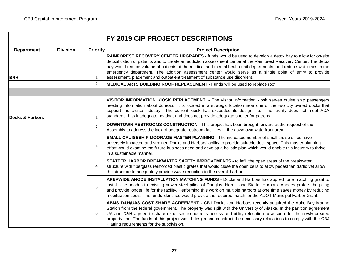|                            |                 |                 | FY 2019 CIP PROJECT DESCRIPTIONS                                                                                                                                                                                                                                                                                                                                                                                                                                                                                                             |
|----------------------------|-----------------|-----------------|----------------------------------------------------------------------------------------------------------------------------------------------------------------------------------------------------------------------------------------------------------------------------------------------------------------------------------------------------------------------------------------------------------------------------------------------------------------------------------------------------------------------------------------------|
| <b>Department</b>          | <b>Division</b> | <b>Priority</b> | <b>Project Description</b>                                                                                                                                                                                                                                                                                                                                                                                                                                                                                                                   |
| <b>BRH</b>                 |                 | $\mathbf{1}$    | RAINFOREST RECOVERY CENTER UPGRADES - funds would be used to develop a detox bay to allow for on-site<br>detoxification of patients and to create an addiction assessment center at the Rainforest Recovery Center. The detox<br>bay would reduce volume of patients at the medical and mental health unit departments, and reduce wait times in the<br>emergency department. The addition assessment center would serve as a single point of entry to provide<br>assessment, placement and outpatient treatment of substance use disorders. |
|                            |                 | $\overline{2}$  | MEDICAL ARTS BUILDING ROOF REPLACEMENT - Funds will be used to replace roof.                                                                                                                                                                                                                                                                                                                                                                                                                                                                 |
|                            |                 |                 |                                                                                                                                                                                                                                                                                                                                                                                                                                                                                                                                              |
| <b>Docks &amp; Harbors</b> |                 | $\mathbf 1$     | VISITOR INFORMATION KIOSK REPLACEMENT - The visitor information kiosk serves cruise ship passengers<br>needing information about Juneau. It is located in a strategic location near one of the two city owned docks that<br>support the cruise industry. The current kiosk has exceeded its design life. The facility does not meet ADA<br>standards, has inadequate heating, and does not provide adequate shelter for patrons.                                                                                                             |
|                            |                 | $\overline{2}$  | DOWNTOWN RESTROOMS CONSTRUCTION - This project has been brought forward at the request of the<br>Assembly to address the lack of adequate restroom facilities in the downtown waterfront area.                                                                                                                                                                                                                                                                                                                                               |
|                            |                 | 3               | SMALL CRUISESHIP MOORAGE MASTER PLANNING - The increased number of small cruise ships have<br>adversely impacted and strained Docks and Harbors' ability to provide suitable dock space. This master planning<br>effort would examine the future business need and develop a holistic plan which would enable this industry to thrive<br>in a sustainable manner.                                                                                                                                                                            |
|                            |                 | 4               | STATTER HARBOR BREAKWATER SAFETY IMPROVEMENTS - to infill the open areas of the breakwater<br>structure with fiberglass reinforced plastic grates that would close the open cells to allow pedestrian traffic yet allow<br>the structure to adequately provide wave reduction to the overall harbor.                                                                                                                                                                                                                                         |
|                            |                 | 5               | AREAWIDE ANODE INSTALLATION MATCHING FUNDS - Docks and Harbors has applied for a matching grant to<br>install zinc anodes to existing newer steel piling of Douglas, Harris, and Statter Harbors. Anodes protect the piling<br>and provide longer life for the facility. Performing this work on multiple harbors at one time saves money by reducing<br>mobilization costs. The funds identified would provide the required match for the ADOT Municipal Harbor Grant.                                                                      |
|                            |                 | 6               | ABMS D&H/UAS COST SHARE AGREEMENT - CBJ Docks and Harbors recently acquired the Auke Bay Marine<br>Station from the federal government. The property was spilt with the University of Alaska. In the partition agreement<br>UA and D&H agreed to share expenses to address access and utility relocation to account for the newly created<br>property line. The funds of this project would design and construct the necessary relocations to comply with the CBJ<br>Platting requirements for the subdivision.                              |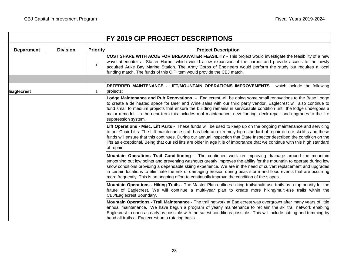|                   |                 |                 | FY 2019 CIP PROJECT DESCRIPTIONS                                                                                                                                                                                                                                                                                                                                                                                                                                                                                                                                            |
|-------------------|-----------------|-----------------|-----------------------------------------------------------------------------------------------------------------------------------------------------------------------------------------------------------------------------------------------------------------------------------------------------------------------------------------------------------------------------------------------------------------------------------------------------------------------------------------------------------------------------------------------------------------------------|
| <b>Department</b> | <b>Division</b> | <b>Priority</b> | <b>Project Description</b>                                                                                                                                                                                                                                                                                                                                                                                                                                                                                                                                                  |
|                   |                 | $\overline{7}$  | COST SHARE WITH ACOE FOR BREAKWATER FEASILITY - This project would investigate the feasibility of a new<br>wave attenuator at Statter Harbor which would allow expansion of the harbor and provide access to the newly<br>acquired Auke Bay Marine Station. The Army Corps of Engineers would perform the study but requires a local<br>funding match. The funds of this CIP item would provide the CBJ match.                                                                                                                                                              |
|                   |                 |                 |                                                                                                                                                                                                                                                                                                                                                                                                                                                                                                                                                                             |
| <b>Eaglecrest</b> |                 | $\mathbf 1$     | <b>DEFERRED MAINTENANCE - LIFT/MOUNTAIN OPERATIONS IMPROVEMENTS -</b> which include the following<br>projects:                                                                                                                                                                                                                                                                                                                                                                                                                                                              |
|                   |                 |                 | Lodge Maintenance and Pub Renovations - Eaglecrest will be doing some small renovations to the Base Lodge<br>to create a delineated space for Beer and Wine sales with our third party vendor. Eaglecrest will also continue to<br>fund small to medium projects that ensure the building remains in serviceable condition until the lodge undergoes a<br>major remodel. In the near term this includes roof maintenance, new flooring, deck repair and upgrades to the fire<br>suppression system.                                                                         |
|                   |                 |                 | Lift Operations - Misc. Lift Parts - These funds will be used to keep up on the ongoing maintenance and servicing<br>to our Chair Lifts. The Lift maintenance staff has held an extremely high standard of repair on our ski lifts and these<br>funds will ensure that this continues. During our annual inspection that State Inspector described the condition on the<br>lifts as exceptional. Being that our ski lifts are older in age it is of importance that we continue with this high standard<br>of repair.                                                       |
|                   |                 |                 | Mountain Operations Trail Conditioning - The continued work on improving drainage around the mountain<br>smoothing out low points and preventing washouts greatly improves the ability for the mountain to operate during low<br>snow conditions providing a dependable skiing experience. We are in the need of culvert replacement and upgrades<br>in certain locations to eliminate the risk of damaging erosion during peak storm and flood events that are occurring<br>more frequently. This is an ongoing effort to continually improve the condition of the slopes. |
|                   |                 |                 | Mountain Operations - Hiking Trails - The Master Plan outlines hiking trails/multi-use trails as a top priority for the<br>future of Eaglecrest. We will continue a multi-year plan to create more hiking/multi-use trails within the<br>CBJ/Eaglecrest Boundary.                                                                                                                                                                                                                                                                                                           |
|                   |                 |                 | Mountain Operations - Trail Maintenance - The trail network at Eaglecrest was overgrown after many years of little<br>annual maintenance. We have begun a program of yearly maintenance to reclaim the ski trail network enabling<br>Eaglecrest to open as early as possible with the safest conditions possible. This will include cutting and trimming by<br>hand all trails at Eaglecrest on a rotating basis.                                                                                                                                                           |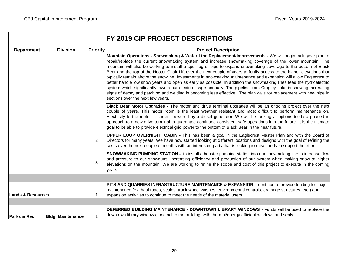|                              | <b>Division</b>          |                 |                                                                                                                                                                                                                                                                                                                                                                                                                                                                                                                                                                                                                                                                                                                                                                                                                                                                                                                                                                                                                                   |
|------------------------------|--------------------------|-----------------|-----------------------------------------------------------------------------------------------------------------------------------------------------------------------------------------------------------------------------------------------------------------------------------------------------------------------------------------------------------------------------------------------------------------------------------------------------------------------------------------------------------------------------------------------------------------------------------------------------------------------------------------------------------------------------------------------------------------------------------------------------------------------------------------------------------------------------------------------------------------------------------------------------------------------------------------------------------------------------------------------------------------------------------|
| <b>Department</b>            |                          | <b>Priority</b> | <b>Project Description</b><br>Mountain Operations - Snowmaking & Water Line Replacement/Improvements - We will begin multi-year plan to<br>repair/replace the current snowmaking system and increase snowmaking coverage of the lower mountain. The<br>mountain will also be working to install a spur leg of pipe to expand snowmaking coverage to the bottom of Black<br>Bear and the top of the Hooter Chair Lift over the next couple of years to fortify access to the higher elevations that<br>typically remain above the snowline. Investments in snowmaking maintenance and expansion will allow Eaglecrest to<br>better handle low snow years and open as early as possible. In addition the snowmaking lines feed the hydroelectric<br>system which significantly lowers our electric usage annually. The pipeline from Cropley Lake is showing increasing<br>signs of decay and patching and welding is becoming less effective. The plan calls for replacement with new pipe in<br>sections over the next few years. |
|                              |                          |                 | Black Bear Motor Upgrades - The motor and drive terminal upgrades will be an ongoing project over the next<br>couple of years. This motor room is the least weather resistant and most difficult to perform maintenance on.<br>Electricity to the motor is current powered by a diesel generator. We will be looking at options to do a phased in<br>approach to a new drive terminal to guarantee continued consistent safe operations into the future. It is the ultimate<br>goal to be able to provide electrical grid power to the bottom of Black Bear in the near future.                                                                                                                                                                                                                                                                                                                                                                                                                                                   |
|                              |                          | $\overline{2}$  | UPPER LOOP OVERNIGHT CABIN - This has been a goal in the Eaglecrest Master Plan and with the Board of<br>Directors for many years. We have now started looking at different locations and designs with the goal of refining the<br>costs over the next couple of months with an interested party that is looking to raise funds to support the effort.                                                                                                                                                                                                                                                                                                                                                                                                                                                                                                                                                                                                                                                                            |
|                              |                          | 3               | SNOWMAKING PUMPING STATION - to install a booster pumping station into our snowmaking line to increase flow<br>and pressure to our snowguns, increasing efficiency and production of our system when making snow at higher<br>elevations on the mountain. We are working to refine the scope and cost of this project to execute in the coming<br>years.                                                                                                                                                                                                                                                                                                                                                                                                                                                                                                                                                                                                                                                                          |
|                              |                          |                 |                                                                                                                                                                                                                                                                                                                                                                                                                                                                                                                                                                                                                                                                                                                                                                                                                                                                                                                                                                                                                                   |
| <b>Lands &amp; Resources</b> |                          | -1              | PITS AND QUARRIES INFRASTRUCTURE MAINTENANCE & EXPANSION - continue to provide funding for major<br>maintenance (ex. haul roads, scales, truck wheel washes, environmental controls, drainage structures, etc.) and<br>expansion activities to continue to meet the needs of the material users.                                                                                                                                                                                                                                                                                                                                                                                                                                                                                                                                                                                                                                                                                                                                  |
|                              |                          |                 |                                                                                                                                                                                                                                                                                                                                                                                                                                                                                                                                                                                                                                                                                                                                                                                                                                                                                                                                                                                                                                   |
| Parks & Rec                  | <b>Bldg. Maintenance</b> |                 | DEFERRED BUILDING MAINTENANCE - DOWNTOWN LIBRARY WINDOWS - Funds will be used to replace the<br>downtown library windows, original to the building, with thermal/energy efficient windows and seals.                                                                                                                                                                                                                                                                                                                                                                                                                                                                                                                                                                                                                                                                                                                                                                                                                              |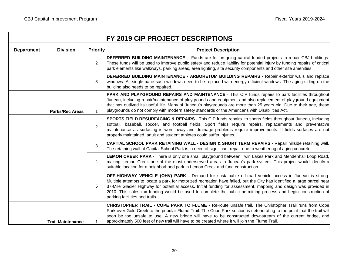| FY 2019 CIP PROJECT DESCRIPTIONS |                          |                 |                                                                                                                                                                                                                                                                                                                                                                                                                                                                                                                 |  |  |  |  |  |
|----------------------------------|--------------------------|-----------------|-----------------------------------------------------------------------------------------------------------------------------------------------------------------------------------------------------------------------------------------------------------------------------------------------------------------------------------------------------------------------------------------------------------------------------------------------------------------------------------------------------------------|--|--|--|--|--|
| <b>Department</b>                | <b>Division</b>          | <b>Priority</b> | <b>Project Description</b>                                                                                                                                                                                                                                                                                                                                                                                                                                                                                      |  |  |  |  |  |
|                                  |                          | $\overline{2}$  | <b>DEFERRED BUILDING MAINTENANCE -</b> Funds are for on-going capital funded projects to repair CBJ buildings.<br>These funds will be used to improve public safety and reduce liability for potential injury by funding repairs of critical<br>park elements like walkways, parking areas, area lighting, site security components and other site amenities.                                                                                                                                                   |  |  |  |  |  |
|                                  |                          | 3               | DEFERRED BUILDING MAINTENANCE - ARBORETUM BUILDING REPAIRS - Repair exterior walls and replace<br>windows. All single-pane sash windows need to be replaced with energy efficient windows. The aging siding on the<br>building also needs to be repaired.                                                                                                                                                                                                                                                       |  |  |  |  |  |
|                                  | <b>Parks/Rec Areas</b>   | $\mathbf{1}$    | PARK AND PLAYGROUND REPAIRS AND MAINTENANCE - This CIP funds repairs to park facilities throughout<br>Juneau, including repair/maintenance of playgrounds and equipment and also replacement of playground equipment<br>that has outlived its useful life. Many of Juneau's playgrounds are more than 25 years old. Due to their age, these<br>playgrounds do not comply with modern safety standards or the Americans with Disabilities Act.                                                                   |  |  |  |  |  |
|                                  |                          | $\overline{2}$  | <b>SPORTS FIELD RESURFACING &amp; REPAIRS</b> - This CIP funds repairs to sports fields throughout Juneau, including<br>softball, baseball, soccer, and football fields. Sport fields require repairs, replacements and preventative<br>maintenance as surfacing is worn away and drainage problems require improvements. If fields surfaces are not<br>properly maintained, adult and student athletes could suffer injuries.                                                                                  |  |  |  |  |  |
|                                  |                          |                 | CAPITAL SCHOOL PARK RETAINING WALL - DESIGN & SHORT TERM REPAIRS - Repair hillside retaining wall.<br>The retaining wall at Capital School Park is in need of significant repair due to weathering of aging concrete.                                                                                                                                                                                                                                                                                           |  |  |  |  |  |
|                                  |                          | 4               | LEMON CREEK PARK - There is only one small playground between Twin Lakes Park and Mendenhall Loop Road,<br>making Lemon Creek one of the most underserved areas in Juneau's park system. This project would identify a<br>suitable location for a neighborhood park in Lemon Creek and fund construction.                                                                                                                                                                                                       |  |  |  |  |  |
|                                  |                          | 5               | <b>OFF-HIGHWAY VEHICLE (OHV) PARK -</b> Demand for sustainable off-road vehicle access in Juneau is strong.<br>Multiple attempts to locate a park for motorized recreation have failed, but the City has identified a large parcel near<br>37-Mile Glacier Highway for potential access. Initial funding for assessment, mapping and design was provided in<br>2010. This sales tax funding would be used to complete the public permitting process and begin construction of<br>parking facilities and trails. |  |  |  |  |  |
|                                  | <b>Trail Maintenance</b> |                 | CHRISTOPHER TRAIL - COPE PARK TO FLUME - Re-route unsafe trail. The Christopher Trail runs from Cope<br>Park over Gold Creek to the popular Flume Trail. The Cope Park section is deteriorating to the point that the trail will<br>soon be too unsafe to use. A new bridge will have to be constructed downstream of the current bridge, and<br>approximately 500 feet of new trail will have to be created where it will join the Flume Trail.                                                                |  |  |  |  |  |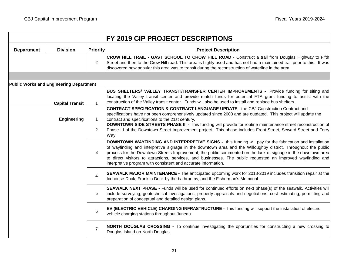$\overline{\phantom{a}}$ 

|                   |                                                |                 | FY 2019 CIP PROJECT DESCRIPTIONS                                                                                                                                                                                                                                                                                                                                                                                                                                                                                              |  |  |  |  |  |
|-------------------|------------------------------------------------|-----------------|-------------------------------------------------------------------------------------------------------------------------------------------------------------------------------------------------------------------------------------------------------------------------------------------------------------------------------------------------------------------------------------------------------------------------------------------------------------------------------------------------------------------------------|--|--|--|--|--|
| <b>Department</b> | <b>Division</b>                                | <b>Priority</b> | <b>Project Description</b>                                                                                                                                                                                                                                                                                                                                                                                                                                                                                                    |  |  |  |  |  |
|                   |                                                | $\overline{2}$  | CROW HILL TRAIL - GAST SCHOOL TO CROW HILL ROAD - Construct a trail from Douglas Highway to Fifth<br>Street and then to the Crow Hill road. This area is highly used and has not had a maintained trail prior to this. It was<br>discovered how popular this area was to transit during the reconstruction of waterline in the area.                                                                                                                                                                                          |  |  |  |  |  |
|                   |                                                |                 |                                                                                                                                                                                                                                                                                                                                                                                                                                                                                                                               |  |  |  |  |  |
|                   | <b>Public Works and Engineering Department</b> |                 |                                                                                                                                                                                                                                                                                                                                                                                                                                                                                                                               |  |  |  |  |  |
|                   | <b>Capital Transit</b>                         | $\mathbf{1}$    | BUS SHELTERS/ VALLEY TRANSIT/TRANSFER CENTER IMPROVEMENTS - Provide funding for siting and<br>locating the Valley transit center and provide match funds for potential FTA grant funding to assist with the<br>construction of the Valley transit center. Funds will also be used to install and replace bus shelters.                                                                                                                                                                                                        |  |  |  |  |  |
|                   | <b>Engineering</b><br>$\mathbf{1}$             |                 | <b>CONTRACT SPECIFICATION &amp; CONTRACT LANGUAGE UPDATE - the CBJ Construction Contract and</b><br>specifications have not been comprehensively updated since 2003 and are outdated. This project will update the<br>contract and specifications to the 21st century.                                                                                                                                                                                                                                                        |  |  |  |  |  |
|                   |                                                |                 | DOWNTOWN SIDE STREETS PHASE III - This funding will provide for routine maintenance street reconstruction of<br>Phase III of the Downtown Street Improvement project. This phase includes Front Street, Seward Street and Ferry<br>Way                                                                                                                                                                                                                                                                                        |  |  |  |  |  |
|                   |                                                | 3               | DOWNTOWN WAYFINDING AND INTERPRETIVE SIGNS - this funding will pay for the fabrication and installation<br>of wayfinding and interpretive signage in the downtown area and the Willoughby district. Throughout the public<br>process for the Downtown Streets Improvement, the public commented on the lack of signage in the downtown area<br>to direct visitors to attractions, services, and businesses. The public requested an improved wayfinding and<br>interpretive program with consistent and accurate information. |  |  |  |  |  |
|                   |                                                | 4               | <b>SEAWALK MAJOR MAINTENANCE -</b> The anticipated upcoming work for 2018-2019 includes transition repair at the<br>Icehouse Dock, Franklin Dock by the bathrooms, and the Fisherman's Memorial.                                                                                                                                                                                                                                                                                                                              |  |  |  |  |  |
|                   |                                                | 5               | SEAWALK NEXT PHASE - Funds will be used for continued efforts on next phase(s) of the seawalk. Activities will<br>include surveying, geotechnical investigations, property appraisals and negotiations, cost estimating, permitting and<br>preparation of conceptual and detailed design plans.                                                                                                                                                                                                                               |  |  |  |  |  |
|                   |                                                | 6               | EV (ELECTRIC VEHICLE) CHARGING INFRASTRUCTURE - This funding will support the installation of electric<br>vehicle charging stations throughout Juneau.                                                                                                                                                                                                                                                                                                                                                                        |  |  |  |  |  |
|                   |                                                | $\overline{7}$  | NORTH DOUGLAS CROSSING - To continue investigating the oportunities for constructing a new crossing to<br>Douglas Island on North Douglas.                                                                                                                                                                                                                                                                                                                                                                                    |  |  |  |  |  |

이 사람들은 아이들은 아이들의 사람들은 아이들의 사람들을 만들어 있다. 이 사람들은 아이들의 사람들은 아이들의 사람들을 만들어 있다. 이 사람들은 아이들의 사람들은 아이들의 사람들을 만들어 있다.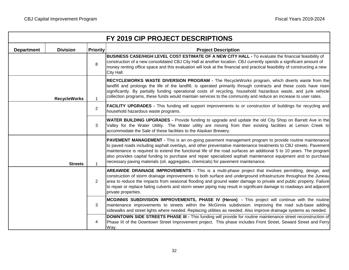|                                      |                     | FY 2019 CIP PROJECT DESCRIPTIONS                                                                                                                                                                                                                                                                                                                                                                                                                                                                                                                               |
|--------------------------------------|---------------------|----------------------------------------------------------------------------------------------------------------------------------------------------------------------------------------------------------------------------------------------------------------------------------------------------------------------------------------------------------------------------------------------------------------------------------------------------------------------------------------------------------------------------------------------------------------|
| <b>Division</b><br><b>Department</b> | <b>Priority</b>     | <b>Project Description</b>                                                                                                                                                                                                                                                                                                                                                                                                                                                                                                                                     |
|                                      | 8                   | BUSINESS CASE/HIGH LEVEL COST ESTIMATE OF A NEW CITY HALL - To evaluate the financial feasibility of<br>construction of a new consolidated CBJ City Hall at another location. CBJ currently spends a significant amount of<br>money renting office space and this evaluation will look at the financial and practical feasibility of constructing a new<br>City Hall.                                                                                                                                                                                          |
| <b>RecycleWorks</b>                  | $\mathbf{1}$        | RECYCLEWORKS WASTE DIVERSION PROGRAM - The RecycleWorks program, which diverts waste from the<br>landfill and prolongs the life of the landfill, is operated primarily through contracts and these costs have risen<br>significantly. By partially funding operational costs of recycling, household hazardous waste, and junk vehicle<br>collection programs, these funds would maintain services to the community and reduce an increase to user rates.                                                                                                      |
|                                      | 2                   | <b>FACILITY UPGRADES</b> - This funding will support improvements to or construction of buildings for recycling and<br>household hazardous waste programs.                                                                                                                                                                                                                                                                                                                                                                                                     |
|                                      | 3                   | <b>WATER BUILDING UPGRADES -</b> Provide funding to upgrade and update the old City Shop on Barrett Ave in the<br>Valley for the Water Utility. The Water utility are moving from their existing facilities at Lemon Creek to<br>accommodate the Sale of these facilities to the Alaskan Brewery.                                                                                                                                                                                                                                                              |
|                                      | <b>Streets</b><br>1 | <b>PAVEMENT MANAGEMENT</b> - This is an on-going pavement management program to provide routine maintenance<br>to paved roads including asphalt overlays, and other preventative maintenance treatments to CBJ streets. Pavement<br>maintenance is required to extend the functional life of the road surfaces an additional 5 to 10 years. The program<br>also provides capital funding to purchase and repair specialized asphalt maintenance equipment and to purchase<br>necessary paving materials (oil, aggregates, chemicals) for pavement maintenance. |
|                                      | 2                   | AREAWIDE DRAINAGE IMPROVEMENTS - This is a multi-phase project that involves permitting, design, and<br>construction of storm drainage improvements to both surface and underground infrastructure throughout the Juneau<br>area to reduce the impacts from seasonal flooding and ground water damage to private and public property. Failure<br>to repair or replace failing culverts and storm sewer piping may result in significant damage to roadways and adjacent<br>private properties.                                                                 |
|                                      | 3                   | MCGINNIS SUBDIVISION IMPROVEMENTS, PHASE IV (Heron) - This project will continue with the routine<br>maintenance improvements to streets within the McGinnis subdivision. Improving the road sub-base adding<br>sidewalks and street lights where needed. Replacing utilities as needed. Also improve drainage systems as needed.                                                                                                                                                                                                                              |
|                                      | 4                   | DOWNTOWN SIDE STREETS PHASE III - This funding will provide for routine maintenance street reconstruction of<br>Phase III of the Downtown Street Improvement project. This phase includes Front Street, Seward Street and Ferry<br>Way.                                                                                                                                                                                                                                                                                                                        |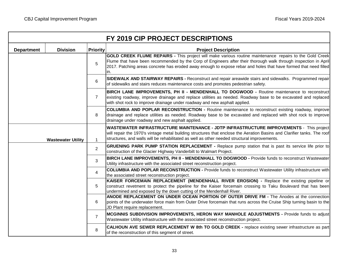|                   |                           |                 | FY 2019 CIP PROJECT DESCRIPTIONS                                                                                                                                                                                                                                                                                                                      |
|-------------------|---------------------------|-----------------|-------------------------------------------------------------------------------------------------------------------------------------------------------------------------------------------------------------------------------------------------------------------------------------------------------------------------------------------------------|
| <b>Department</b> | <b>Division</b>           | <b>Priority</b> | <b>Project Description</b>                                                                                                                                                                                                                                                                                                                            |
|                   |                           |                 | GOLD CREEK FLUME REPAIRS - This project will make various routine maintenance repairs to the Gold Creek<br>Flume that have been recommended by the Corp of Engineers after their thorough walk through inspection in April<br>2017. Patching areas concrete has eroded away enough to expose rebar and holes that have formed that need filled<br>in. |
|                   |                           | 6               | SIDEWALK AND STAIRWAY REPAIRS - Reconstruct and repair areawide stairs and sidewalks. Programmed repair<br>of sidewalks and stairs reduces maintenance costs and promotes pedestrian safety.                                                                                                                                                          |
|                   |                           | $\overline{7}$  | BIRCH LANE IMPROVEMENTS, PH II - MENDENHALL TO DOGWOOD - Routine maintenance to reconstruct<br>existing roadway, improve drainage and replace utilities as needed. Roadway base to be excavated and replaced<br>with shot rock to improve drainage under roadway and new asphalt applied.                                                             |
|                   |                           | 8               | COLUMBIA AND POPLAR RECONSTRUCTION - Routine maintenance to reconstruct existing roadway, improve<br>drainage and replace utilities as needed. Roadway base to be excavated and replaced with shot rock to improve<br>drainage under roadway and new asphalt applied.                                                                                 |
|                   | <b>Wastewater Utility</b> | $\mathbf{1}$    | <b>WASTEWATER INFRASTRUCTURE MAINTENANCE - JDTP INFRASTRUCTURE IMPROVEMENTS - This project</b><br>will repair the 1970's vintage metal building structures that enclose the Aeration Basins and Clarifier tanks. The roof<br>structures, and walls will be rehabilitated as well as other needed structural improvements.                             |
|                   |                           | $\overline{2}$  | GRUENING PARK PUMP STATION REPLACEMENT - Replace pump station that is past its service life prior to<br>construction of the Glacier Highway Vanderbilt to Walmart Project.                                                                                                                                                                            |
|                   |                           | 3               | BIRCH LANE IMPROVEMENTS, PH II - MENDENHALL TO DOGWOOD - Provide funds to reconstruct Wastewater<br>Utility infrastructure with the associated street reconstruction project.                                                                                                                                                                         |
|                   |                           | 4               | <b>COLUMBIA AND POPLAR RECONSTRUCTION - Provide funds to reconstruct Wastewater Utility infrastructure with</b><br>the associated street reconstruction project.                                                                                                                                                                                      |
|                   |                           | 5               | KAISER FORCEMAIN REPLACEMENT (MENDENHALL RIVER EROSION) - Replace the existing pipeline or<br>construct revetment to protect the pipeline for the Kaiser forcemain crossing to Taku Boulevard that has been<br>undermined and exposed by the down cutting of the Mendenhall River.                                                                    |
|                   |                           |                 | ANODE REPLACEMENT ON UNDER OCEAN PORTION OF OUTER DRIVE FM - The Anodes at the connection<br>points of the underwater force main from Outer Drive forcemain that runs across the Cruise Ship turning basin to the<br>JD Plant require replacement.                                                                                                    |
|                   |                           | $\overline{7}$  | MCGINNIS SUBDIVISION IMPROVEMENTS, HERON WAY MANHOLE ADJUSTMENTS - Provide funds to adjust<br>Wastewater Utility infrastructure with the associated street reconstruction project.                                                                                                                                                                    |
|                   |                           | 8               | <b>CALHOUN AVE SEWER REPLACEMENT W 8th TO GOLD CREEK - replace existing sewer infrastructure as part</b><br>of the reconstruction of this segment of street.                                                                                                                                                                                          |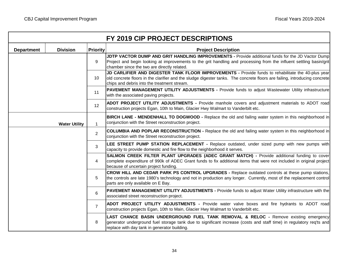$\overline{\phantom{a}}$ 

| FY 2019 CIP PROJECT DESCRIPTIONS |                      |                 |                                                                                                                                                                                                                                                                                |  |  |  |  |  |  |
|----------------------------------|----------------------|-----------------|--------------------------------------------------------------------------------------------------------------------------------------------------------------------------------------------------------------------------------------------------------------------------------|--|--|--|--|--|--|
| <b>Department</b>                | <b>Division</b>      | <b>Priority</b> | <b>Project Description</b>                                                                                                                                                                                                                                                     |  |  |  |  |  |  |
|                                  |                      | 9               | JDTP VACTOR DUMP AND GRIT HANDLING IMPROVEMENTS - Provide additional funds for the JD Vactor Dump<br>Project and begin looking at improvements to the grit handling and processing from the influent settling basin/grit<br>chamber since the two are directly related.        |  |  |  |  |  |  |
|                                  |                      | 10              | JD CARLIFIER AND DIGESTER TANK FLOOR IMPROVEMENTS - Provide funds to rehabilitate the 40-plus year<br>old concrete floors in the clarifier and the sludge digester tanks. The concrete floors are failing, introducing concrete<br>chips and debris into the treatment stream. |  |  |  |  |  |  |
|                                  |                      | 11              | PAVEMENT MANAGEMENT UTILITY ADJUSTMENTS - Provide funds to adjust Wastewater Utility infrastructure<br>with the associated paving projects.                                                                                                                                    |  |  |  |  |  |  |
|                                  |                      | 12              | ADOT PROJECT UTILITY ADJUSTMENTS - Provide manhole covers and adjustment materials to ADOT road<br>construction projects Egan, 10th to Main, Glacier Hwy Walmart to Vanderbilt etc.                                                                                            |  |  |  |  |  |  |
|                                  | <b>Water Utility</b> | $\mathbf{1}$    | BIRCH LANE - MENDENHALL TO DOGWOOD - Replace the old and failing water system in this neighborhood in<br>conjunction with the Street reconstruction project.                                                                                                                   |  |  |  |  |  |  |
|                                  |                      | $\overline{2}$  | COLUMBIA AND POPLAR RECONSTRUCTION - Replace the old and failing water system in this neighborhood in<br>conjunction with the Street reconstruction project.                                                                                                                   |  |  |  |  |  |  |
|                                  |                      | 3               | LEE STREET PUMP STATION REPLACEMENT - Replace outdated, under sized pump with new pumps with<br>capacity to provide domestic and fire flow to the neighborhood it serves.                                                                                                      |  |  |  |  |  |  |
|                                  |                      | 4               | SALMON CREEK FILTER PLANT UPGRADES (ADEC GRANT MATCH) - Provide additional funding to cover<br>complete expenditure of 990k of ADEC Grant funds to fix additional items that were not included in original project<br>because of uncertain project funding.                    |  |  |  |  |  |  |
|                                  |                      | 5               | CROW HILL AND CEDAR PARK PS CONTROL UPGRADES - Replace outdated controls at these pump stations,<br>the controls are late 1980's technology and not in production any longer. Currently, most of the replacement control<br>parts are only available on E Bay.                 |  |  |  |  |  |  |
|                                  |                      |                 | PAVEMENT MANAGEMENT UTILITY ADJUSTMENTS - Provide funds to adjust Water Utility infrastructure with the<br>associated street reconstruction project.                                                                                                                           |  |  |  |  |  |  |
|                                  |                      | $\overline{7}$  | ADOT PROJECT UTILITY ADJUSTMENTS - Provide water valve boxes and fire hydrants to ADOT road<br>construction projects Egan, 10th to Main, Glacier Hwy Walmart to Vanderbilt etc.                                                                                                |  |  |  |  |  |  |
|                                  |                      | 8               | LAST CHANCE BASIN UNDERGROUND FUEL TANK REMOVAL & RELOC - Remove existing emergency<br>generator underground fuel storage tank due to significant increase (costs and staff time) in regulatory req'ts and<br>replace with day tank in generator building.                     |  |  |  |  |  |  |

이 사람들은 아이들은 아이들의 사람들은 아이들의 사람들을 만들어 있다. 이 사람들은 아이들의 사람들은 아이들의 사람들을 만들어 있다. 이 사람들은 아이들의 사람들은 아이들의 사람들을 만들어 있다.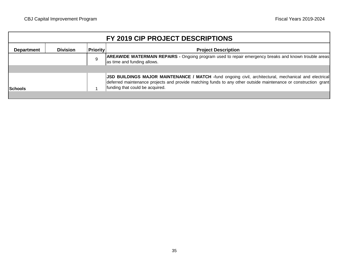| FY 2019 CIP PROJECT DESCRIPTIONS                                                      |  |   |                                                                                                                                                                                                                                                             |  |  |  |  |  |
|---------------------------------------------------------------------------------------|--|---|-------------------------------------------------------------------------------------------------------------------------------------------------------------------------------------------------------------------------------------------------------------|--|--|--|--|--|
| <b>Priority</b><br><b>Division</b><br><b>Project Description</b><br><b>Department</b> |  |   |                                                                                                                                                                                                                                                             |  |  |  |  |  |
|                                                                                       |  | 9 | AREAWIDE WATERMAIN REPAIRS - Ongoing program used to repair emergency breaks and known trouble areas<br>as time and funding allows.                                                                                                                         |  |  |  |  |  |
|                                                                                       |  |   |                                                                                                                                                                                                                                                             |  |  |  |  |  |
| <b>Schools</b>                                                                        |  |   | JSD BUILDINGS MAJOR MAINTENANCE / MATCH -fund ongoing civil, architectural, mechanical and electrical<br>deferred maintenance projects and provide matching funds to any other outside maintenance or construction grant<br>funding that could be acquired. |  |  |  |  |  |
|                                                                                       |  |   |                                                                                                                                                                                                                                                             |  |  |  |  |  |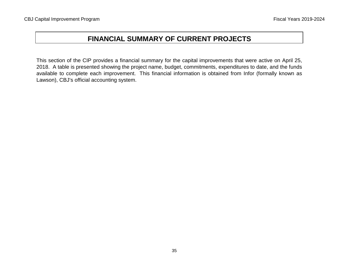# **FINANCIAL SUMMARY OF CURRENT PROJECTS**

This section of the CIP provides a financial summary for the capital improvements that were active on April 25, 2018. A table is presented showing the project name, budget, commitments, expenditures to date, and the funds available to complete each improvement. This financial information is obtained from Infor (formally known as Lawson), CBJ's official accounting system.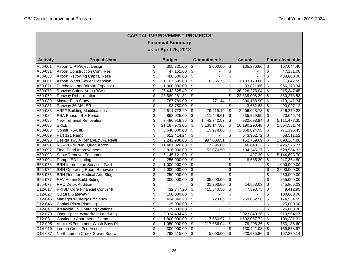٦

г

|                      | <b>CAPITAL IMPROVEMENT PROJECTS</b>   |                          |               |                           |                          |                                      |                |                                      |                        |  |  |
|----------------------|---------------------------------------|--------------------------|---------------|---------------------------|--------------------------|--------------------------------------|----------------|--------------------------------------|------------------------|--|--|
|                      | <b>Financial Summary</b>              |                          |               |                           |                          |                                      |                |                                      |                        |  |  |
|                      | as of April 25, 2018                  |                          |               |                           |                          |                                      |                |                                      |                        |  |  |
|                      |                                       |                          |               |                           |                          |                                      |                |                                      |                        |  |  |
| <b>Activity</b>      | <b>Project Name</b>                   |                          | <b>Budget</b> |                           | <b>Commitments</b>       |                                      | <b>Actuals</b> |                                      | <b>Funds Available</b> |  |  |
| A50-001              | Airport CIP Project Design            | \$                       | 305,331.00    | $\overline{\mathbf{3}}$   | 3,000.00                 | \$                                   | 135,286.60     | \$                                   | 167,044.40             |  |  |
| A50-031              | <b>Airport Construction Cont. Res</b> | $\overline{\mathcal{S}}$ | 47,151.00     | $\sqrt{2}$                |                          | \$                                   |                | $\sqrt{2}$                           | 47,151.00              |  |  |
| A50-033              | <b>Airport Revovling Capital Rese</b> | \$                       | 488,600.00    | $\overline{\mathcal{S}}$  | ä,                       | $\overline{\boldsymbol{\mathsf{s}}}$ |                | \$                                   | 488,600.00             |  |  |
| A50-061              | Airport Water/Sewer Extension         | \$                       | 1,107,695.00  | \$                        | 6,366.75                 | \$                                   | 1,103,170.80   | \$                                   | (1,842.55)             |  |  |
| A50-071              | Purchase Land/Airport Expansio        | \$                       | 1,000,000.00  | $\overline{\mathbf{s}}$   |                          | \$                                   | 33,821.66      | \$                                   | 966,178.34             |  |  |
| A50-078              | Runway Safety Area (RSA)              | \$                       | 26,443,625.49 | $\sqrt{2}$                | $\overline{a}$           | $\overline{\mathcal{L}}$             | 26,228,278.04  | \$                                   | 215,347.45             |  |  |
| A50-079              | <b>Runway Rehabilitation</b>          | \$                       | 23,689,281.82 | $\overline{\mathbf{3}}$   |                          | \$                                   | 22,839,008.29  | \$                                   | 850,273.53             |  |  |
| A50-080              | Master Plan Study                     | \$                       | 787,789.00    | $\overline{\mathbf{e}}$   | 771.44                   | $\overline{\boldsymbol{\mathsf{s}}}$ | 800,158.90     | $\boldsymbol{\mathsf{S}}$            | (13, 141.34)           |  |  |
| A50-081              | Runway 26 MALSR                       | \$                       | 93,750.00     | $\overline{\mathbf{e}}$   |                          | \$                                   | 3,652.88       | $\boldsymbol{\mathsf{S}}$            | 90,097.12              |  |  |
| A50-083              | <b>ARFF Building Modifications</b>    | \$                       | 2,611,722.20  | \$                        | 79,419.19                | \$                                   | 2,206,023.73   | \$                                   | 326,279.28             |  |  |
| A50-084              | RSA Phase IIB & Fence                 | \$                       | 868,025.00    | \$                        | 11,448.61                | \$                                   | 835,929.65     | \$                                   | 20,646.74              |  |  |
| A50-085              | <b>New Terminal Renovation</b>        | \$                       | 7,486,919.86  | \$                        | 1,442,742.57             | \$                                   | 932,698.94     | \$                                   | 5,111,478.35           |  |  |
| A50-086              | <b>SREB</b>                           | \$                       | 21,187,973.05 | $\overline{\mathbf{S}}$   | 3,133,147.83             | \$                                   | 16,190,293.48  | \$                                   | 1,864,531.74           |  |  |
| A50-088              | Constr RSA IIB                        | $\overline{\$}$          | 3,646,000.00  | \$                        | 15,978.60                | \$                                   | 2,858,824.95   | \$                                   | 771,196.45             |  |  |
| A50-089              | Part 121 Ramp                         | \$                       | 612,414.24    | \$                        |                          | \$                                   | 543,902.72     | \$                                   | 68,511.52              |  |  |
| A50-090              | Design Twy A Rehab/E&D-1 Reali        | \$                       | 2,242,938.00  | $\overline{\mathbf{e}}$   | 997,003.51               | \$                                   | 152,769.69     | \$                                   | 1,093,164.80           |  |  |
| A50-091              | RSA 2C-NE/NW Quad Apron               | \$                       | 11,481,020.00 | $\boldsymbol{\mathsf{S}}$ | 7,395.00                 | \$                                   | 46,648.23      | \$                                   | 11,426,976.77          |  |  |
| A50-092              | <b>Float Pond Improvements</b>        | $\overline{\$}$          | 816,000.00    | $\overline{\mathcal{L}}$  | 53,070.50                | \$                                   | 134,345.17     | \$                                   | 628,584.33             |  |  |
| A50-093              | Snow Removal Equipment                | \$                       | 5,145,121.00  | \$                        |                          | \$                                   | 427.30         | \$                                   | 5,144,693.70           |  |  |
| A50-094              | Ramp LED Lighting                     | \$                       | 256,000.00    | \$                        | $\overline{\phantom{a}}$ | $\overline{\mathcal{S}}$             | 8,635.20       | \$                                   | 247,364.80             |  |  |
| B55-073              | <b>BRH Information Services Facil</b> | \$                       | 1,000,000.00  | $\overline{\mathbf{S}}$   | ÷,                       | $\overline{\boldsymbol{\mathsf{s}}}$ |                | \$                                   | 1,000,000.00           |  |  |
| B55-074              | <b>BRH Operating Room Renovation</b>  | $\overline{\$}$          | 2,000,000.00  | $\overline{\mathcal{L}}$  | $\blacksquare$           | $\overline{\mathcal{L}}$             |                | $\overline{\$}$                      | 2,000,000.00           |  |  |
| B55-075              | <b>BRH Roof for Medical Arts Bldg</b> | \$                       | 250,000.00    | \$                        |                          | $\sqrt{2}$                           |                | \$                                   | 250,000.00             |  |  |
| B55-077              | <b>RFV Admin Build-Siding</b>         | $\overline{\$}$          | 300,000.00    | $\overline{\$}$           | 35,000.00                | \$                                   |                | \$                                   | 265,000.00             |  |  |
| B55-078              | <b>RRC Detox Addition</b>             | \$                       |               | $\overline{\mathbf{e}}$   | 31,303.00                | \$                                   | 14,563.03      | \$                                   | (45,866.03)            |  |  |
| D12-017              | <b>PRISM Core Financial Conver II</b> | \$                       | 432,347.20    | \$                        | 415,540.50               | \$                                   | 7,393.75       | \$                                   | 9,412.95               |  |  |
| D12-027              | Cultural Gateway                      | $\overline{\$}$          | 100,000.00    | $\sqrt{2}$                |                          | \$                                   |                | \$                                   | 100,000.00             |  |  |
| D12-045              | Manager's Energy Efficiency           | \$                       | 434,340.23    | $\overline{\mathbf{e}}$   | 723.06                   | $\overline{\mathcal{S}}$             | 259,082.58     | \$                                   | 174,534.59             |  |  |
| D12-046              | Capitol Plaza Planning                | \$                       | 25,000.00     | $\overline{\mathbf{e}}$   |                          | \$                                   |                | \$                                   | 25,000.00              |  |  |
| D12-047              | Areawide EV Charging Stations         | \$                       | 25,000.00     | $\overline{\mathbf{e}}$   | ä,                       | $\overline{\mathcal{S}}$             |                | $\overline{\boldsymbol{\mathsf{s}}}$ | 25,000.00              |  |  |
| D12-070              | Open Space Waterfront Land Acq        | \$                       | 3,934,404.43  | $\overline{\mathcal{L}}$  |                          | $\overline{\mathcal{L}}$             | 2,023,840.36   | \$                                   | 1,910,564.07           |  |  |
| D12-081              | Gastineau Apartments Demo             | \$                       | 1,800,000.00  | \$                        | 7,650.97                 | \$                                   | 1,692,067.72   | \$                                   | 100,281.31             |  |  |
| D12-095              | Vehicle&Equipment Wash Bays Pl        | \$                       | 1,050,000.00  | $\overline{\mathbf{e}}$   | 217,656.04               | \$                                   | 79,208.36      | \$                                   | 753,135.60             |  |  |
| $\overline{D14-019}$ | Lemon Creek 2nd Access                | \$                       | 300,000.00    | $\boldsymbol{\mathsf{S}}$ |                          | \$                                   | 130,441.03     | \$                                   | 169,558.97             |  |  |
| D14-037              | North Lemon Creek Gravel Sourc        | $\overline{\mathcal{L}}$ | 793,215.00    | $\sqrt{3}$                | 5,000.00                 | \$                                   | 620,935.86     | \$                                   | 167,279.14             |  |  |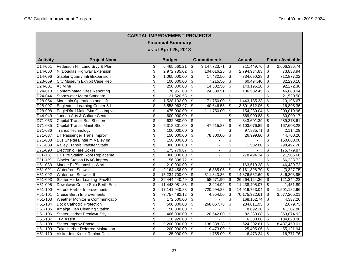ı

г

|                      | <b>CAPITAL IMPROVEMENT PROJECTS</b>      |                          |               |                                      |                          |                                  |                |                                  |                        |  |  |  |
|----------------------|------------------------------------------|--------------------------|---------------|--------------------------------------|--------------------------|----------------------------------|----------------|----------------------------------|------------------------|--|--|--|
|                      | <b>Financial Summary</b>                 |                          |               |                                      |                          |                                  |                |                                  |                        |  |  |  |
|                      | as of April 25, 2018                     |                          |               |                                      |                          |                                  |                |                                  |                        |  |  |  |
|                      |                                          |                          |               |                                      |                          |                                  |                |                                  |                        |  |  |  |
| <b>Activity</b>      | <b>Project Name</b>                      |                          | <b>Budget</b> |                                      | <b>Commitments</b>       |                                  | <b>Actuals</b> |                                  | <b>Funds Available</b> |  |  |  |
| D14-051              | Pederson Hill Land Srvy & Plan           | \$                       | 6,465,560.21  | \$                                   | 3, 147, 723. 71          | $\overline{\mathbf{s}}$          | 711,449.76     | \$                               | 2,606,386.74           |  |  |  |
| D14-060              | N. Douglas Highway Extension             | \$                       | 2,972,785.02  | $\mathsf{\$}$                        | 104,016.25               | \$                               | 2,794,934.83   | $\sqrt[6]{3}$                    | 73,833.94              |  |  |  |
| D14-096              | <b>Stabler Quarry Infr&amp;Expansion</b> | \$                       | 1,065,000.00  | $\boldsymbol{\mathsf{S}}$            | 17,432.50                | \$                               | 334,690.28     | $\boldsymbol{\mathsf{S}}$        | 712,877.22             |  |  |  |
| D23-059              | City Museum Exhibit Case Repl            | $\overline{\mathcal{S}}$ | 100,000.00    | \$                                   | 7,215.50                 | \$                               | 60,494.40      | $\boldsymbol{\mathsf{S}}$        | 32,290.10              |  |  |  |
| D24-001              | AJ Mine                                  | $\overline{\mathbf{S}}$  | 250,000.00    | $\overline{\boldsymbol{\theta}}$     | 14,532.50                | \$                               | 143,195.20     | $\boldsymbol{\mathsf{S}}$        | 92,272.30              |  |  |  |
| D24-010              | <b>Contaminated Sites Reporting</b>      | $\overline{\$}$          | 176,951.00    | \$                                   | 24,330.51                | $\overline{\mathcal{L}}$         | 106,532.45     | $\boldsymbol{\mathsf{S}}$        | 46,088.04              |  |  |  |
| D24-044              | Stormwater Mgmt Standard II              | \$                       | 21,520.58     | \$                                   |                          | \$                               |                | \$                               | 21,520.58              |  |  |  |
| D <sub>28</sub> -054 | Mountain Operations and Lift             | $\overline{\mathbf{S}}$  | 1,528,132.00  | $\overline{\boldsymbol{\mathsf{s}}}$ | 71,750.00                | $\overline{\mathbf{s}}$          | 1,443,185.33   | \$                               | 13,196.67              |  |  |  |
| D28-097              | Eaglecrest Learning Center & L           | $\overline{\mathcal{S}}$ | 3,558,963.97  | $\overline{\boldsymbol{\mathsf{s}}}$ | 40,646.55                | \$                               | 3,501,512.06   | $\boldsymbol{\mathsf{S}}$        | 16,805.36              |  |  |  |
| D28-098              | EagleDfrrd Maint/Mtn Ops Impvm           | \$                       | 475,000.00    | \$                                   | 111,750.00               | \$                               | 154,230.04     | \$                               | 209,019.96             |  |  |  |
| D <sub>44-049</sub>  | Juneau Arts & Culture Center             | $\overline{\mathcal{S}}$ | 600,000.00    | $\overline{\mathbf{s}}$              |                          | \$                               | 569,990.83     | $\boldsymbol{\mathsf{S}}$        | 30,009.17              |  |  |  |
| D71-053              | <b>Capital Transit Bus Shelters</b>      | $\overline{\mathcal{S}}$ | 632,980.00    | $\overline{\boldsymbol{\mathsf{s}}}$ |                          | $\overline{\boldsymbol{\theta}}$ | 343,601.39     | \$                               | 289,378.61             |  |  |  |
| D71-085              | Capital Transit Maint Shop               | $\overline{\mathcal{S}}$ | 6,318,301.00  | $\overline{\boldsymbol{\theta}}$     | 47,615.83                | \$                               | 6,103,076.89   | $\boldsymbol{\mathsf{S}}$        | 167,608.28             |  |  |  |
| D71-086              | <b>Transit Technology</b>                | \$                       | 100,000.00    | $\overline{\mathcal{L}}$             |                          | \$                               | 97,885.71      | $\boldsymbol{\mathsf{S}}$        | 2,114.29               |  |  |  |
| D71-087              | <b>DT Passenger Trans Improv</b>         | \$                       | 150,000.00    | \$                                   | 78,300.00                | $\boldsymbol{\mathsf{S}}$        | 26,999.80      | \$                               | 44,700.20              |  |  |  |
| D71-088              | Bus Shelters/Interim Valley Im           | $\overline{\mathbf{S}}$  | 150,000.00    | $\overline{\boldsymbol{\theta}}$     |                          | \$                               |                | \$                               | 150,000.00             |  |  |  |
| D71-089              | Valley Transit Transfer Statio           | $\overline{\$}$          | 300,000.00    | $\overline{\mathcal{S}}$             | ÷,                       | $\overline{\$}$                  | 1,502.80       | $\overline{\boldsymbol{\theta}}$ | 298,497.20             |  |  |  |
| D71-090              | <b>Electronic Fare Boxes</b>             | $\overline{\mathcal{L}}$ | 175,779.87    | $\overline{\mathcal{L}}$             | $\blacksquare$           | $\overline{\$}$                  |                | \$                               | 175,779.87             |  |  |  |
| F21-038              | <b>DT Fire Station Roof Replaceme</b>    | \$                       | 300.000.00    | \$                                   | $\blacksquare$           | \$                               | 278,494.34     | \$                               | 21,505.66              |  |  |  |
| F21-039              | <b>Glacier Station HVAC improv</b>       | \$                       | 56,338.72     | $\overline{\boldsymbol{\mathsf{s}}}$ | $\overline{\phantom{a}}$ | $\overline{\mathbf{S}}$          |                | \$                               | 56,338.72              |  |  |  |
| H51-083              | Marine Pk/Steamship Whrf II              | $\overline{\mathbf{e}}$  | 210,000.00    | $\overline{\boldsymbol{\theta}}$     | ä,                       | $\overline{\boldsymbol{\theta}}$ | 163,519.28     | \$                               | 46,480.72              |  |  |  |
| H51-091              | <b>Waterfront Seawalk</b>                | $\overline{\$}$          | 9,164,456.00  | $\overline{\mathcal{L}}$             | 6,385.05                 | \$                               | 9,161,398.70   | \$                               | (3,327.75)             |  |  |  |
| H51-092              | <b>Waterfront Seawalk II</b>             | \$                       | 15,234,700.00 | \$                                   | 511,843.36               | \$                               | 14,376,552.69  | \$                               | 346,303.95             |  |  |  |
| H51-093              | Statter Harbor Loading Fac/El            | \$                       | 26,444,440.49 | $\overline{\boldsymbol{\mathsf{s}}}$ | 58,971.90                | \$                               | 26,264,124.36  | $\boldsymbol{\mathsf{S}}$        | 121,344.23             |  |  |  |
| H51-095              | Downtown Cruise Ship Berth Enh           | \$                       | 11,443,081.88 | \$                                   | 3,224.92                 | \$                               | 11,438,405.07  | \$                               | 1,451.89               |  |  |  |
| H51-100              | Aurora Harbor Improvements               | \$                       | 17,141,940.88 | \$                                   | 720,994.88               | \$                               | 14,919,763.04  | \$                               | 1,501,182.96           |  |  |  |
| H51-101              | <b>Cruise Berth Improvements</b>         | \$                       | 73,757,482.12 | \$                                   | 4,954.50                 | \$                               | 70,175,322.61  | \$                               | 3,577,205.01           |  |  |  |
| H51-103              | Weather Monitor & Communicatio           | $\overline{\mathcal{S}}$ | 172,500.00    | $\overline{\boldsymbol{\mathsf{s}}}$ |                          | \$                               | 168,162.74     | $\boldsymbol{\mathsf{S}}$        | 4,337.26               |  |  |  |
| $H51-104$            | <b>Dock Cathodic Protection</b>          | $\overline{\mathcal{S}}$ | 500,000.00    | $\overline{\boldsymbol{\theta}}$     | 268,067.78               | $\overline{\boldsymbol{\theta}}$ | 234,611.95     | \$                               | (2,679.73)             |  |  |  |
| $H51-105$            | Amalga Fish Cleaning Station             | \$                       | 50,000.00     | $\overline{\boldsymbol{\theta}}$     |                          | \$                               | 8,692.20       | $\boldsymbol{\mathsf{S}}$        | 41,307.80              |  |  |  |
| H51-106              | Statter Harbor Breakwtr Sfty I           | \$                       | 466,000.00    | \$                                   | 20,542.00                | \$                               | 82,383.08      | \$                               | 363,074.92             |  |  |  |
| H51-107              | <b>Tug Assist</b>                        | $\overline{\mathbf{S}}$  | 110,920.00    | $\overline{\boldsymbol{\theta}}$     |                          | \$                               | 6,300.00       | $\boldsymbol{\mathsf{S}}$        | 104,620.00             |  |  |  |
| H51-108              | Statter Improv-Phase III                 | \$                       | 9,200,000.00  | $\overline{\boldsymbol{\theta}}$     | 138,338.38               | $\overline{\boldsymbol{\theta}}$ | 624,202.61     | \$                               | 8,437,459.01           |  |  |  |
| H51-109              | Taku Harbor Deferred Maintenan           | $\overline{\mathcal{S}}$ | 200,000.00    | $\overline{\mathcal{S}}$             | 119,473.00               | \$                               | 25,405.06      | \$                               | 55,121.94              |  |  |  |
| H51-110              | Visitor Info Kiosk Replmt-Desi           | \$                       | 25,000.00     | \$                                   | 1,755.00                 | \$                               | 6,473.24       | \$                               | 16,771.76              |  |  |  |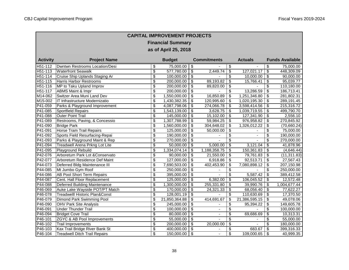٦

г

|                 | <b>CAPITAL IMPROVEMENT PROJECTS</b>       |                          |               |                                      |                    |                                        |                |                                  |                        |  |  |
|-----------------|-------------------------------------------|--------------------------|---------------|--------------------------------------|--------------------|----------------------------------------|----------------|----------------------------------|------------------------|--|--|
|                 | <b>Financial Summary</b>                  |                          |               |                                      |                    |                                        |                |                                  |                        |  |  |
|                 | as of April 25, 2018                      |                          |               |                                      |                    |                                        |                |                                  |                        |  |  |
|                 |                                           |                          |               |                                      |                    |                                        |                |                                  |                        |  |  |
| <b>Activity</b> | <b>Project Name</b>                       |                          | <b>Budget</b> |                                      | <b>Commitments</b> |                                        | <b>Actuals</b> |                                  | <b>Funds Available</b> |  |  |
| H51-112         | Dwntwn Restrooms Location/Desi            | $\overline{\mathcal{E}}$ | 75,000.00     | $\overline{\mathbf{e}}$              |                    | $\overline{\mathbf{S}}$                |                | $\overline{\mathbf{e}}$          | 75,000.00              |  |  |
| H51-113         | <b>Waterfront Seawalk</b>                 | $\overline{\$}$          | 577,780.00    | $\sqrt{2}$                           | 2,449.74           | \$                                     | 127,021.17     | $\overline{\mathbf{e}}$          | 448,309.09             |  |  |
| H51-114         | Cruise Ship Uplands Staging Ar            | \$                       | 100,000.00    | $\overline{\boldsymbol{\theta}}$     |                    | \$                                     | 10,000.00      | $\boldsymbol{\mathsf{S}}$        | 90,000.00              |  |  |
| H51-115         | Harris Harbor Restrooms                   | \$                       | 200,000.00    | \$                                   | 89,193.82          | \$                                     | 15,766.41      | \$                               | 95,039.77              |  |  |
| H51-116         | MP to Taku Upland Improv                  | $\overline{\mathcal{S}}$ | 200,000.00    | $\overline{\$}$                      | 89,820.00          | \$                                     |                | $\overline{\boldsymbol{\theta}}$ | 110,180.00             |  |  |
| H51-117         | <b>ABMS Maint &amp; Impr</b>              | \$                       | 200,000.00    | $\overline{\$}$                      |                    | \$                                     | 13,286.59      | $\sqrt[6]{\frac{1}{2}}$          | 186,713.41             |  |  |
| M14-062         | Switzer Area Muni Land Dev                | $\overline{\mathcal{S}}$ | 1,550,000.00  | $\overline{\boldsymbol{\mathsf{s}}}$ | 16,850.89          | $\overline{\mathcal{S}}$               | 1,251,346.80   | \$                               | 281,802.31             |  |  |
| M15-002         | IT Infrastructure Modernizatio            | $\overline{\mathcal{S}}$ | 1,430,382.35  | \$                                   | 120,995.60         | \$                                     | 1,020,195.30   | \$                               | 289,191.45             |  |  |
| P41-059         | Parks & Playground Improvement            | $\overline{\$}$          | 4,087,798.06  | $\overline{\$}$                      | 274,066.78         | $\overline{\mathbf{e}}$                | 3,598,414.56   | $\overline{\mathbf{e}}$          | 215,316.72             |  |  |
| P41-085         | <b>Sportfield Repairs</b>                 | \$                       | 1,543,139.00  | \$                                   | 3,628.75           | \$                                     | 1,039,719.55   | \$                               | 499,790.70             |  |  |
| P41-088         | <b>Outer Point Trail</b>                  | \$                       | 145,000.00    | $\overline{\boldsymbol{\theta}}$     | 15,102.00          | \$                                     | 127,341.90     | \$                               | 2,556.10               |  |  |
| P41-089         | Restrooms, Paving, & Concessio            | \$                       | 1,307,788.99  | \$                                   | 59,984.25          | \$                                     | 976,958.82     | \$                               | 270,845.92             |  |  |
| P41-090         | <b>Bridge Park</b>                        | $\overline{\mathbf{e}}$  | 1,560,000.00  | $\overline{\boldsymbol{\mathsf{s}}}$ | 304,648.02         | \$                                     | 1,326,012.22   | \$                               | (70,660.24)            |  |  |
| P41-091         | <b>Horse Tram Trail Repairs</b>           | \$                       | 125,000.00    | $\overline{\mathcal{L}}$             | 50,000.00          | $\overline{\mathcal{L}}$               |                | $\overline{\mathcal{L}}$         | 75,000.00              |  |  |
| P41-092         | Sports Field Resurfacing-Repai            | \$                       | 190,000.00    | \$                                   |                    | \$                                     |                | \$                               | 190,000.00             |  |  |
| P41-093         | Parks & Playground Maint & Rep            | $\overline{\mathcal{S}}$ | 270,000.00    | $\overline{\boldsymbol{\theta}}$     |                    | $\overline{\boldsymbol{\theta}}$       |                | \$                               | 270,000.00             |  |  |
| P41-094         | Treadwell Arena Prkng Lot Lite            | $\overline{\mathcal{S}}$ | 50,000.00     | $\overline{\boldsymbol{\mathsf{s}}}$ | 5,000.00           | $\overline{\boldsymbol{\theta}}$       | 3,121.04       | \$                               | 41,878.96              |  |  |
| P41-095         | Playground Rebuild                        | $\overline{\$}$          | 1,334,074.14  | $\overline{\$}$                      | 1,188,358.75       | $\overline{\mathcal{S}}$               | 150,361.83     | $\boldsymbol{\mathsf{S}}$        | (4,646.44)             |  |  |
| P42-076         | Arboretum Park Lot & Conservato           | $\overline{\mathbf{S}}$  | 90,000.00     | \$                                   | 21,550.00          | \$                                     | 79,761.83      | $\boldsymbol{\mathsf{S}}$        | (11, 311.83)           |  |  |
| P42-077         | Arboretum Residence Def Maint             | \$                       | 127,000.00    | \$                                   | 6,918.86           | \$                                     | 92,513.71      | \$                               | 27,567.43              |  |  |
| P44-073         | Deferred Bldg Maintenance III             | $\overline{\mathcal{S}}$ | 7,690,503.00  | $\overline{\boldsymbol{\mathsf{s}}}$ | 402,453.90         | \$                                     | 7,080,898.12   | \$                               | 207,150.98             |  |  |
| P44-085         | Mt Jumbo Gym Roof                         | \$                       | 250,000.00    | $\overline{\mathcal{L}}$             |                    | \$                                     |                | \$                               | 250,000.00             |  |  |
| P44-086         | <b>AB Pool Short Term Repairs</b>         | \$                       | 395,000.00    | $\boldsymbol{\mathsf{S}}$            |                    | \$                                     | 5,587.42       | $\sqrt[6]{\frac{1}{2}}$          | 389,412.58             |  |  |
| P44-087         | Cent. Hall Floor Replacement              | \$                       | 125,000.00    | $\boldsymbol{\mathsf{S}}$            | 6,382.00           | \$                                     | 106,045.52     | \$                               | 12,572.48              |  |  |
| P44-088         | Deferred Building Maintenance             | $\overline{\mathcal{S}}$ | 1,300,000.00  | \$                                   | 255,331.80         | \$                                     | 39,990.76      | \$                               | 1,004,677.44           |  |  |
| P46-069         | Auke Lake Wayside POT/PT Match            | $\overline{\$}$          | 170,000.00    | $\overline{\mathcal{L}}$             | 24,321.33          | \$                                     | 68,056.40      | \$                               | 77,622.27              |  |  |
| P46-078         | <b>Treadwelll Historic Plan&amp;Const</b> | $\overline{\$}$          | 128,001.19    | $\overline{\boldsymbol{\mathsf{s}}}$ |                    | \$                                     | 110,630.69     | $\sqrt[6]{\frac{1}{2}}$          | 17,370.50              |  |  |
| P46-079         | Dimond Park Swimming Pool                 | \$                       | 21,850,364.88 | $\overline{\mathbf{3}}$              | 414,691.67         | $\overline{\boldsymbol{\mathfrak{s}}}$ | 21,386,595.15  | \$                               | 49,078.06              |  |  |
| P46-090         | <b>OHV Park Site Analysis</b>             | $\overline{\mathcal{S}}$ | 245,000.00    | $\overline{\boldsymbol{\mathsf{s}}}$ |                    | \$                                     | 95,394.22      | \$                               | 149,605.78             |  |  |
| P46-091         | <b>Under Thunder Trail</b>                | \$                       | 100,000.00    | \$                                   | $\overline{a}$     | $\overline{\mathcal{S}}$               |                | \$                               | 100,000.00             |  |  |
| P46-094         | <b>Bridget Cove Trail</b>                 | \$                       | 80,000.00     | \$                                   | $\blacksquare$     | $\overline{\mathcal{S}}$               | 69,686.69      | \$                               | 10,313.31              |  |  |
| P46-101         | ZGYC & AB Pool Improvements               | $\overline{\mathcal{S}}$ | 55,000.00     | $\overline{\mathcal{E}}$             | ä,                 | $\overline{\$}$                        |                | \$                               | 55,000.00              |  |  |
| P46-102         | <b>Trail Improvements</b>                 | \$                       | 200,000.00    | $\overline{\boldsymbol{\theta}}$     | 20,000.00          | $\overline{\boldsymbol{\mathfrak{s}}}$ |                | \$                               | 180,000.00             |  |  |
| $P46-103$       | Kax Trail Bridge River Bank St            | \$                       | 400,000.00    | $\overline{\mathcal{S}}$             | $\blacksquare$     | \$                                     | 683.67         | \$                               | 399,316.33             |  |  |
| P46-104         | <b>Treadwell Ditch Trail Repairs</b>      | $\overline{\mathcal{L}}$ | 150,000.00    | \$                                   | $\blacksquare$     | $\overline{\mathcal{L}}$               | 109,000.65     | \$                               | 40,999.35              |  |  |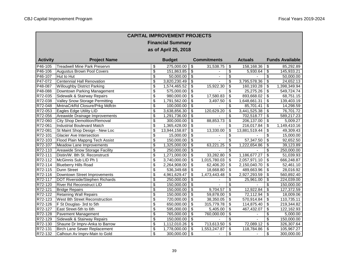Г

| <b>CAPITAL IMPROVEMENT PROJECTS</b> |                                       |                          |               |                                      |                |                                  |                |                                  |                        |  |  |  |
|-------------------------------------|---------------------------------------|--------------------------|---------------|--------------------------------------|----------------|----------------------------------|----------------|----------------------------------|------------------------|--|--|--|
| <b>Financial Summary</b>            |                                       |                          |               |                                      |                |                                  |                |                                  |                        |  |  |  |
| as of April 25, 2018                |                                       |                          |               |                                      |                |                                  |                |                                  |                        |  |  |  |
|                                     |                                       |                          |               |                                      |                |                                  |                |                                  |                        |  |  |  |
| <b>Activity</b>                     | <b>Project Name</b>                   | <b>Budget</b>            |               | <b>Commitments</b>                   |                |                                  | <b>Actuals</b> |                                  | <b>Funds Available</b> |  |  |  |
| P46-105                             | <b>Treadwell Mine Park Preservn</b>   | \$                       | 275,000.00    | $\overline{\mathbf{e}}$              | 31,538.75      | $\overline{\mathbf{3}}$          | 158,168.36     | \$                               | 85,292.89              |  |  |  |
| P46-106                             | <b>Augustus Brown Pool Covers</b>     | $\overline{\$}$          | 151,863.85    | $\sqrt{2}$                           |                | \$                               | 5,930.64       | $\boldsymbol{\mathsf{S}}$        | 145,933.21             |  |  |  |
| P46-107                             | Hut to Hut                            | $\overline{\mathcal{S}}$ | 50,000.00     | $\overline{\boldsymbol{\theta}}$     | ÷,             | $\overline{\mathbf{e}}$          |                | \$                               | 50,000.00              |  |  |  |
| P47-072                             | <b>Centennial Hall Renovation</b>     | \$                       | 3,820,230.49  | $\overline{\boldsymbol{\theta}}$     |                | $\overline{\mathbf{S}}$          | 3,795,578.36   | \$                               | 24,652.13              |  |  |  |
| P48-087                             | <b>Willoughby District Parking</b>    | $\overline{\mathcal{S}}$ | 1,574,465.52  | $\overline{\mathbf{3}}$              | 15,922.30      | \$                               | 160,193.28     | \$                               | 1,398,349.94           |  |  |  |
| P48-088                             | Downtown Parking Management           | \$                       | 575,000.00    | \$                                   |                | \$                               | 25,275.26      | $\sqrt{3}$                       | 549,724.74             |  |  |  |
| R72-035                             | Sidewalk & Stairway Repairs           | \$                       | 980,000.00    | $\overline{\mathbf{3}}$              | 17,580.83      | $\overline{\mathbf{s}}$          | 893,668.02     | \$                               | 68,751.15              |  |  |  |
| R72-038                             | <b>Valley Snow Storage Permitting</b> | $\overline{\mathcal{S}}$ | 1,791,562.00  | $\overline{\boldsymbol{\theta}}$     | 3,497.50       | \$                               | 1,648,661.31   | $\boldsymbol{\mathsf{S}}$        | 139,403.19             |  |  |  |
| R72-048                             | MntnaCrkRd Closure/Prkg Mdfctn        | $\overline{\mathcal{S}}$ | 100,000.00    | $\overline{\boldsymbol{\mathsf{s}}}$ |                | \$                               | 85,701.41      | $\boldsymbol{\mathsf{S}}$        | 14,298.59              |  |  |  |
| R72-053                             | Eagles Edge Utility LID               | \$                       | 3,638,856.30  | $\overline{\mathcal{S}}$             | 120,629.20     | \$                               | 3,441,525.38   | \$                               | 76,701.72              |  |  |  |
| R72-056                             | Areawide Drainage Improvements        | $\overline{\mathcal{S}}$ | 1,291,736.00  | $\overline{\boldsymbol{\mathsf{s}}}$ |                | \$                               | 702,518.77     | $\overline{\mathbf{3}}$          | 589,217.23             |  |  |  |
| R72-060                             | <b>City Shop Demolition/Removal</b>   | $\overline{\mathcal{S}}$ | 300,000.00    | $\overline{\boldsymbol{\theta}}$     | 88,853.73      | \$                               | 206,137.00     | \$                               | 5,009.27               |  |  |  |
| R72-061                             | <b>Industrial Boulevard Match</b>     | $\overline{\mathcal{S}}$ | 1,365,428.00  | $\overline{\mathbf{3}}$              |                | \$                               | 216,017.84     | \$                               | 1,149,410.16           |  |  |  |
| R72-081                             | St Maint Shop Design - New Loc        | $\overline{\$}$          | 13,944,158.87 | $\overline{\mathcal{L}}$             | 13,330.00      | $\overline{\mathcal{L}}$         | 13,881,519.44  | $\overline{\mathcal{S}}$         | 49,309.43              |  |  |  |
| R72-101                             | <b>Glacier Ave Intersection</b>       | \$                       | 15,000.00     | \$                                   |                | \$                               |                | \$                               | 15,000.00              |  |  |  |
| R72-103                             | Flood Plain Mappng Tech Assist        | $\overline{\mathbf{S}}$  | 150,000.00    | $\overline{\boldsymbol{\mathsf{s}}}$ |                | $\overline{\boldsymbol{\theta}}$ | 57,347.50      | \$                               | 92,652.50              |  |  |  |
| R72-107                             | Meadow Lane Improvements              | $\overline{\mathcal{S}}$ | 1,325,000.00  | $\overline{\boldsymbol{\theta}}$     | 63,221.25      | $\overline{\mathcal{S}}$         | 1,222,654.86   | \$                               | 39,123.89              |  |  |  |
| R72-110                             | Areawide Snow Storage Facility        | $\overline{\$}$          | 250,000.00    | $\overline{\mathcal{S}}$             |                | $\overline{\mathcal{S}}$         |                | $\overline{\mathcal{S}}$         | 250,000.00             |  |  |  |
| R72-111                             | Distin/W. 8th St. Reconstructi        | \$                       | 1,271,000.00  | \$                                   | 33,282.80      | \$                               | 1,186,677.27   | \$                               | 51,039.93              |  |  |  |
| R72-112                             | McGinnis Sub LID Ph 1                 | \$                       | 3,740,000.00  | $\overline{\boldsymbol{\mathsf{s}}}$ | 1,015,780.03   | \$                               | 2,057,971.10   | \$                               | 666,248.87             |  |  |  |
| R72-114                             | <b>Blueberry Hills Road</b>           | \$                       | 2,264,908.00  | \$                                   | 62,406.20      | \$                               | 2,150,040.70   | \$                               | 52,461.10              |  |  |  |
| R72-115                             | <b>Dunn Street</b>                    | $\overline{\$}$          | 536,349.68    | $\overline{\mathcal{L}}$             | 18,668.80      | $\overline{\mathcal{S}}$         | 489,663.96     | $\overline{\mathcal{S}}$         | 28,016.92              |  |  |  |
| R72-116                             | Downtown Street Improvements          | \$                       | 4,961,629.47  | \$                                   | 1,473,443.48   | \$                               | 2,927,293.59   | \$                               | 560,892.40             |  |  |  |
| R72-117                             | DOT Riverside/Stephen Richards        | $\overline{\mathcal{S}}$ | 250,000.00    | $\overline{\boldsymbol{\mathsf{s}}}$ |                | \$                               | 25,961.00      | \$                               | 224,039.00             |  |  |  |
| R72-120                             | <b>River Rd Reconstruct LID</b>       | $\overline{\mathcal{S}}$ | 150,000.00    | $\overline{\boldsymbol{\theta}}$     |                | $\overline{\mathcal{S}}$         |                | $\overline{\boldsymbol{\theta}}$ | 150,000.00             |  |  |  |
| R72-121                             | <b>Bridge Repairs</b>                 | $\overline{\$}$          | 150,000.00    | $\overline{\mathcal{L}}$             | 9,704.57       | \$                               | 12,922.84      | \$                               | 127,372.59             |  |  |  |
| R72-122                             | <b>Retaining Wall Repairs</b>         | \$                       | 150,000.00    | \$                                   | 59,878.00      | \$                               | 72,112.94      | $\boldsymbol{\mathsf{S}}$        | 18,009.06              |  |  |  |
| R72-123                             | West 8th Street Reconstruction        | $\overline{\mathcal{S}}$ | 720,000.00    | $\overline{\boldsymbol{\theta}}$     | 38,350.05      | \$                               | 570,914.84     | \$                               | 110,735.11             |  |  |  |
| R72-126                             | F St Douglas- 3rd to 5th              | $\overline{\$}$          | 650,000.00    | $\overline{\$}$                      | 315,779.78     | $\overline{\mathbf{S}}$          | 114,875.40     | $\overline{\mathbf{3}}$          | 219,344.82             |  |  |  |
| R72-127                             | East Street-5th to 6th                | $\overline{\mathcal{S}}$ | 595,000.00    | $\overline{\boldsymbol{\mathsf{s}}}$ | 5,405.00       | \$                               | 467,432.07     | \$                               | 122,162.93             |  |  |  |
| R72-128                             | Pavement Management                   | \$                       | 765,000.00    | \$                                   | 760,000.00     | \$                               |                | \$                               | 5,000.00               |  |  |  |
| R72-129                             | Sidewalk & Stairway Repairs           | $\overline{\$}$          | 150,000.00    | $\overline{\mathcal{E}}$             |                | \$                               | $\blacksquare$ | \$                               | 150,000.00             |  |  |  |
| R72-130                             | Shaune Dr Imprv-Anka to Barrow        | $\overline{\$}$          | 1,112,010.26  | $\overline{\boldsymbol{\mathsf{s}}}$ | 713,613.50     | $\overline{\$}$                  | 72,089.12      | $\overline{\mathbf{S}}$          | 326,307.64             |  |  |  |
| R72-131                             | <b>Birch Lane Sewer Replacement</b>   | $\overline{\mathcal{S}}$ | 1,778,000.00  | $\overline{\mathcal{S}}$             | 1,553,247.87   | $\overline{\mathbf{3}}$          | 118,784.86     | \$                               | 105,967.27             |  |  |  |
| R72-132                             | Calhoun Av Imprv-Main to Gold         | $\overline{\mathcal{L}}$ | 300,000.00    | $\overline{\mathcal{L}}$             | $\blacksquare$ | \$                               |                | \$                               | 300,000.00             |  |  |  |